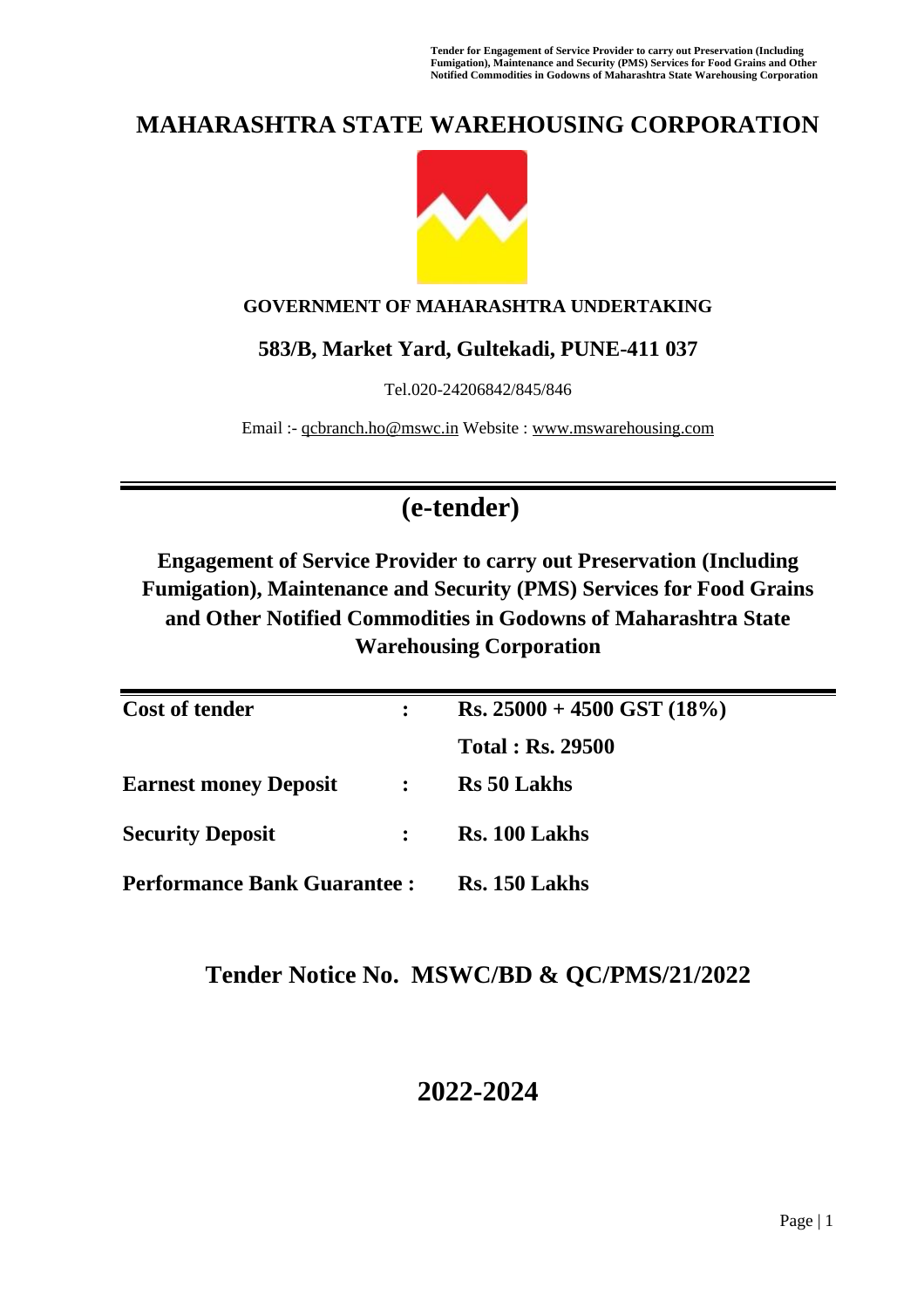**Tender for Engagement of Service Provider to carry out Preservation (Including Fumigation), Maintenance and Security (PMS) Services for Food Grains and Other Notified Commodities in Godowns of Maharashtra State Warehousing Corporation**

# **MAHARASHTRA STATE WAREHOUSING CORPORATION**



### **GOVERNMENT OF MAHARASHTRA UNDERTAKING**

### **583/B, Market Yard, Gultekadi, PUNE-411 037**

Tel.020-24206842/845/846

Email :- [qcbranch.ho@mswc.in](mailto:qcbranch.ho@mswc.in) Website : [www.mswarehousing.com](http://www.mswarehousing.com/)

# **(e-tender)**

**Engagement of Service Provider to carry out Preservation (Including Fumigation), Maintenance and Security (PMS) Services for Food Grains and Other Notified Commodities in Godowns of Maharashtra State Warehousing Corporation**

| <b>Cost of tender</b>              |                | $\text{Rs. } 25000 + 4500 \text{ GST } (18\%)$ |
|------------------------------------|----------------|------------------------------------------------|
|                                    |                | <b>Total: Rs. 29500</b>                        |
| <b>Earnest money Deposit</b>       | $\ddot{\cdot}$ | <b>Rs</b> 50 Lakhs                             |
| <b>Security Deposit</b>            |                | Rs. 100 Lakhs                                  |
| <b>Performance Bank Guarantee:</b> |                | Rs. 150 Lakhs                                  |

## **Tender Notice No. MSWC/BD & QC/PMS/21/2022**

# **2022-2024**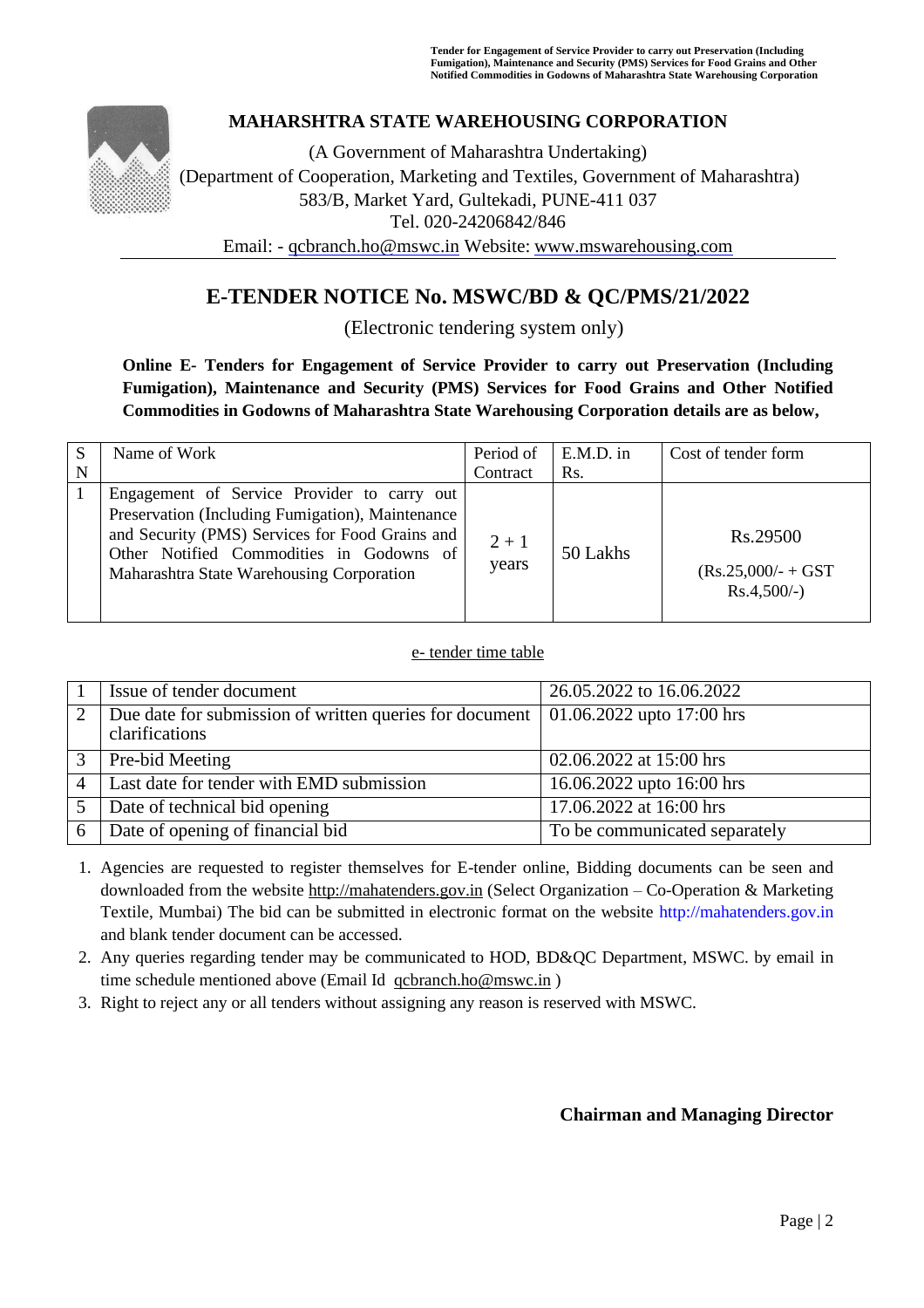

### **MAHARSHTRA STATE WAREHOUSING CORPORATION**

(A Government of Maharashtra Undertaking) (Department of Cooperation, Marketing and Textiles, Government of Maharashtra) 583/B, Market Yard, Gultekadi, PUNE-411 037 Tel. 020-24206842/846 Email: - [qcbranch.ho@mswc.in](mailto:qcbranch.ho@mswc.in) Website: [www.mswarehousing.com](http://www.mswarehousing.com/)

## **E-TENDER NOTICE No. MSWC/BD & QC/PMS/21/2022**

(Electronic tendering system only)

### **Online E- Tenders for Engagement of Service Provider to carry out Preservation (Including Fumigation), Maintenance and Security (PMS) Services for Food Grains and Other Notified Commodities in Godowns of Maharashtra State Warehousing Corporation details are as below,**

|   | Name of Work                                                                                                                                                                                                                                | Period of        | E.M.D. in | Cost of tender form                                 |
|---|---------------------------------------------------------------------------------------------------------------------------------------------------------------------------------------------------------------------------------------------|------------------|-----------|-----------------------------------------------------|
| N |                                                                                                                                                                                                                                             | Contract         | Rs.       |                                                     |
|   | Engagement of Service Provider to carry out<br>Preservation (Including Fumigation), Maintenance<br>and Security (PMS) Services for Food Grains and<br>Other Notified Commodities in Godowns of<br>Maharashtra State Warehousing Corporation | $2 + 1$<br>years | 50 Lakhs  | Rs.29500<br>$(Rs.25,000/- + GST)$<br>$Rs.4,500/-$ ) |

#### e- tender time table

|                | Issue of tender document                                | 26.05.2022 to 16.06.2022      |
|----------------|---------------------------------------------------------|-------------------------------|
|                |                                                         |                               |
| 2              | Due date for submission of written queries for document | 01.06.2022 upto $17:00$ hrs   |
|                |                                                         |                               |
|                | clarifications                                          |                               |
|                |                                                         |                               |
| 3              | Pre-bid Meeting                                         | 02.06.2022 at 15:00 hrs       |
|                |                                                         |                               |
| $\overline{4}$ | Last date for tender with EMD submission                | 16.06.2022 upto 16:00 hrs     |
|                |                                                         |                               |
|                | Date of technical bid opening                           | 17.06.2022 at 16:00 hrs       |
|                |                                                         |                               |
| 6              | Date of opening of financial bid                        | To be communicated separately |
|                |                                                         |                               |

1. Agencies are requested to register themselves for E-tender online, Bidding documents can be seen and downloaded from the website [http://mahatenders.gov.in](http://mahatenders.gov.in/) (Select Organization – Co-Operation & Marketing Textile, Mumbai) The bid can be submitted in electronic format on the website http://mahatenders.gov.in and blank tender document can be accessed.

2. Any queries regarding tender may be communicated to HOD, BD&QC Department, MSWC. by email in time schedule mentioned above (Email Id [qcbranch.ho@mswc.in](mailto:qcbranch.ho@mswc.in) )

3. Right to reject any or all tenders without assigning any reason is reserved with MSWC.

### **Chairman and Managing Director**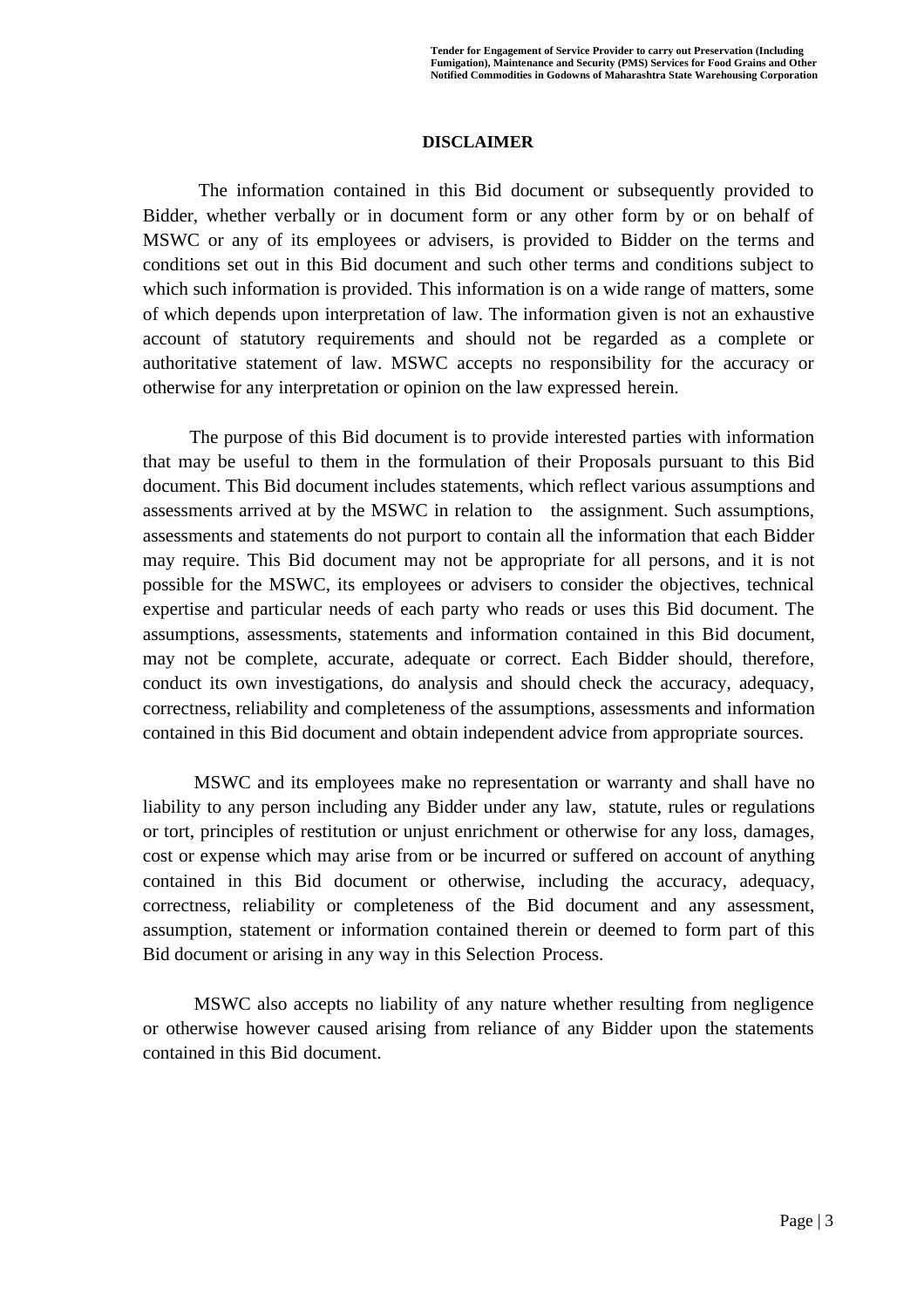#### **DISCLAIMER**

The information contained in this Bid document or subsequently provided to Bidder, whether verbally or in document form or any other form by or on behalf of MSWC or any of its employees or advisers, is provided to Bidder on the terms and conditions set out in this Bid document and such other terms and conditions subject to which such information is provided. This information is on a wide range of matters, some of which depends upon interpretation of law. The information given is not an exhaustive account of statutory requirements and should not be regarded as a complete or authoritative statement of law. MSWC accepts no responsibility for the accuracy or otherwise for any interpretation or opinion on the law expressed herein.

 The purpose of this Bid document is to provide interested parties with information that may be useful to them in the formulation of their Proposals pursuant to this Bid document. This Bid document includes statements, which reflect various assumptions and assessments arrived at by the MSWC in relation to the assignment. Such assumptions, assessments and statements do not purport to contain all the information that each Bidder may require. This Bid document may not be appropriate for all persons, and it is not possible for the MSWC, its employees or advisers to consider the objectives, technical expertise and particular needs of each party who reads or uses this Bid document. The assumptions, assessments, statements and information contained in this Bid document, may not be complete, accurate, adequate or correct. Each Bidder should, therefore, conduct its own investigations, do analysis and should check the accuracy, adequacy, correctness, reliability and completeness of the assumptions, assessments and information contained in this Bid document and obtain independent advice from appropriate sources.

 MSWC and its employees make no representation or warranty and shall have no liability to any person including any Bidder under any law, statute, rules or regulations or tort, principles of restitution or unjust enrichment or otherwise for any loss, damages, cost or expense which may arise from or be incurred or suffered on account of anything contained in this Bid document or otherwise, including the accuracy, adequacy, correctness, reliability or completeness of the Bid document and any assessment, assumption, statement or information contained therein or deemed to form part of this Bid document or arising in any way in this Selection Process.

 MSWC also accepts no liability of any nature whether resulting from negligence or otherwise however caused arising from reliance of any Bidder upon the statements contained in this Bid document.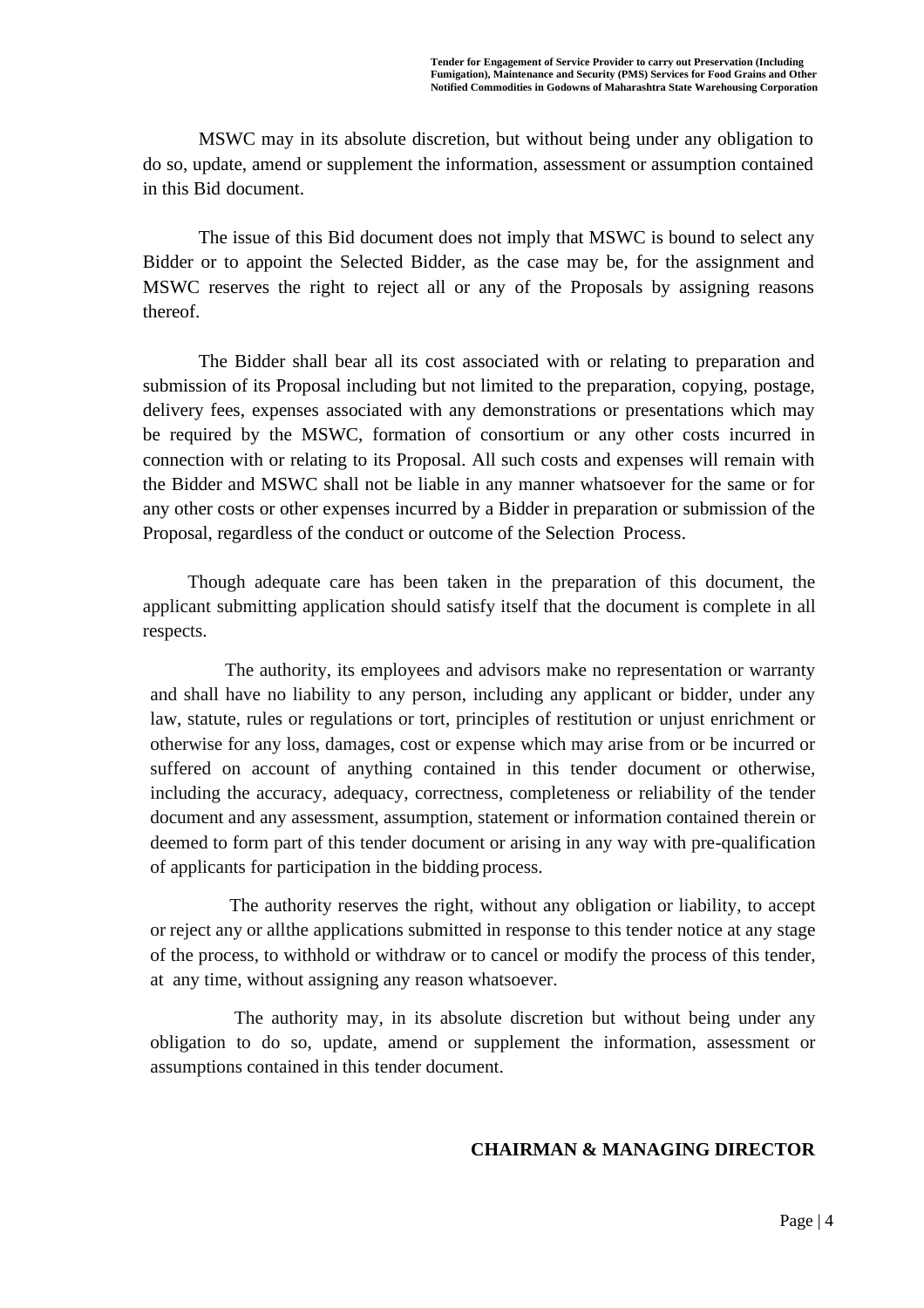MSWC may in its absolute discretion, but without being under any obligation to do so, update, amend or supplement the information, assessment or assumption contained in this Bid document.

The issue of this Bid document does not imply that MSWC is bound to select any Bidder or to appoint the Selected Bidder, as the case may be, for the assignment and MSWC reserves the right to reject all or any of the Proposals by assigning reasons thereof.

The Bidder shall bear all its cost associated with or relating to preparation and submission of its Proposal including but not limited to the preparation, copying, postage, delivery fees, expenses associated with any demonstrations or presentations which may be required by the MSWC, formation of consortium or any other costs incurred in connection with or relating to its Proposal. All such costs and expenses will remain with the Bidder and MSWC shall not be liable in any manner whatsoever for the same or for any other costs or other expenses incurred by a Bidder in preparation or submission of the Proposal, regardless of the conduct or outcome of the Selection Process.

 Though adequate care has been taken in the preparation of this document, the applicant submitting application should satisfy itself that the document is complete in all respects.

 The authority, its employees and advisors make no representation or warranty and shall have no liability to any person, including any applicant or bidder, under any law, statute, rules or regulations or tort, principles of restitution or unjust enrichment or otherwise for any loss, damages, cost or expense which may arise from or be incurred or suffered on account of anything contained in this tender document or otherwise, including the accuracy, adequacy, correctness, completeness or reliability of the tender document and any assessment, assumption, statement or information contained therein or deemed to form part of this tender document or arising in any way with pre-qualification of applicants for participation in the bidding process.

 The authority reserves the right, without any obligation or liability, to accept or reject any or allthe applications submitted in response to this tender notice at any stage of the process, to withhold or withdraw or to cancel or modify the process of this tender, at any time, without assigning any reason whatsoever.

The authority may, in its absolute discretion but without being under any obligation to do so, update, amend or supplement the information, assessment or assumptions contained in this tender document.

#### **CHAIRMAN & MANAGING DIRECTOR**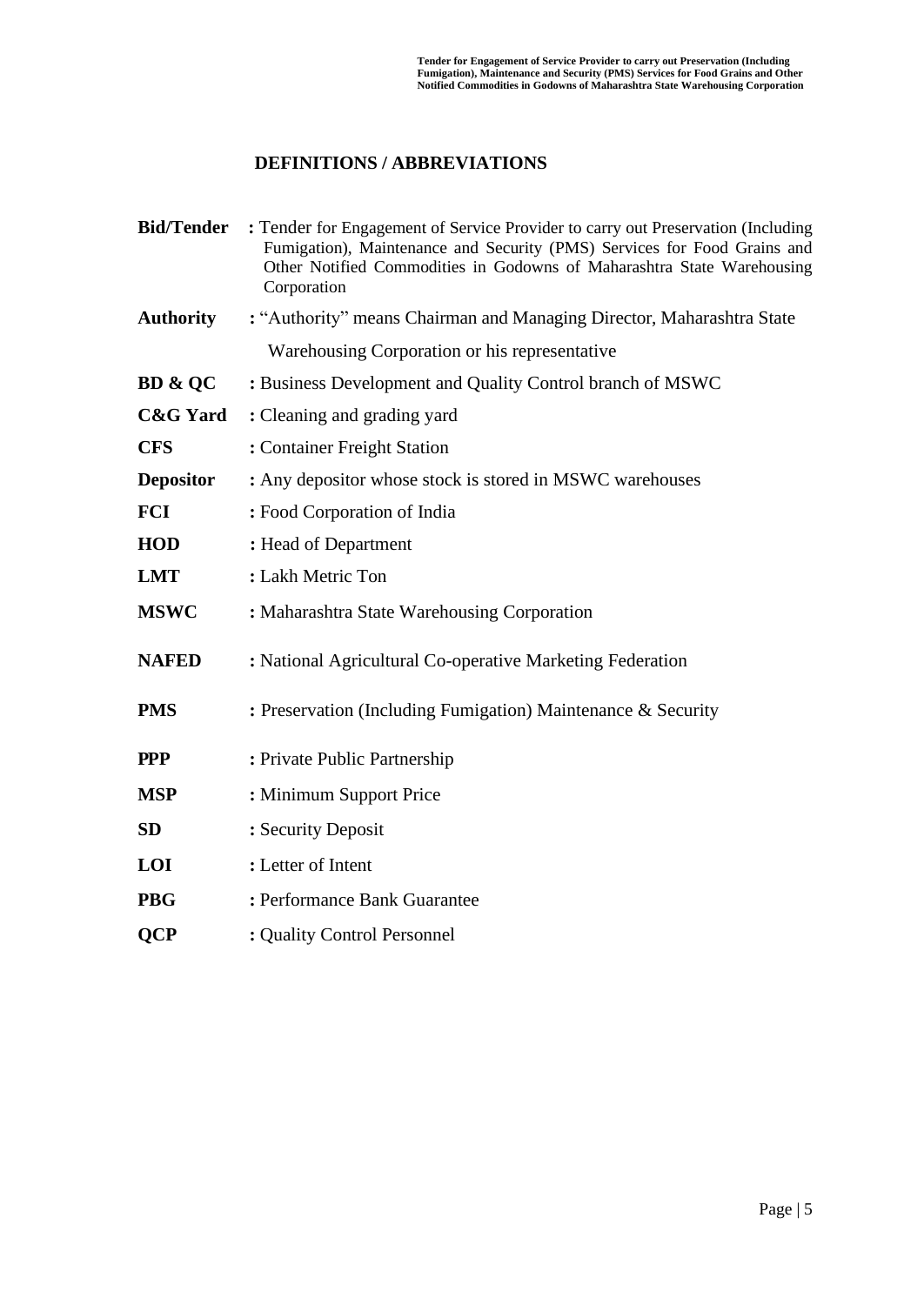### **DEFINITIONS / ABBREVIATIONS**

| <b>Bid/Tender</b>   | : Tender for Engagement of Service Provider to carry out Preservation (Including<br>Fumigation), Maintenance and Security (PMS) Services for Food Grains and<br>Other Notified Commodities in Godowns of Maharashtra State Warehousing<br>Corporation |
|---------------------|-------------------------------------------------------------------------------------------------------------------------------------------------------------------------------------------------------------------------------------------------------|
| <b>Authority</b>    | : "Authority" means Chairman and Managing Director, Maharashtra State                                                                                                                                                                                 |
|                     | Warehousing Corporation or his representative                                                                                                                                                                                                         |
| <b>BD &amp; OC</b>  | : Business Development and Quality Control branch of MSWC                                                                                                                                                                                             |
| <b>C&amp;G</b> Yard | : Cleaning and grading yard                                                                                                                                                                                                                           |
| <b>CFS</b>          | : Container Freight Station                                                                                                                                                                                                                           |
| <b>Depositor</b>    | : Any depositor whose stock is stored in MSWC warehouses                                                                                                                                                                                              |
| <b>FCI</b>          | : Food Corporation of India                                                                                                                                                                                                                           |
| <b>HOD</b>          | : Head of Department                                                                                                                                                                                                                                  |
| <b>LMT</b>          | : Lakh Metric Ton                                                                                                                                                                                                                                     |
| <b>MSWC</b>         | : Maharashtra State Warehousing Corporation                                                                                                                                                                                                           |
| <b>NAFED</b>        | : National Agricultural Co-operative Marketing Federation                                                                                                                                                                                             |
| <b>PMS</b>          | : Preservation (Including Fumigation) Maintenance & Security                                                                                                                                                                                          |
| <b>PPP</b>          | : Private Public Partnership                                                                                                                                                                                                                          |
| <b>MSP</b>          | : Minimum Support Price                                                                                                                                                                                                                               |
| <b>SD</b>           | : Security Deposit                                                                                                                                                                                                                                    |
| <b>LOI</b>          | : Letter of Intent                                                                                                                                                                                                                                    |
| <b>PBG</b>          | : Performance Bank Guarantee                                                                                                                                                                                                                          |
| <b>OCP</b>          | : Quality Control Personnel                                                                                                                                                                                                                           |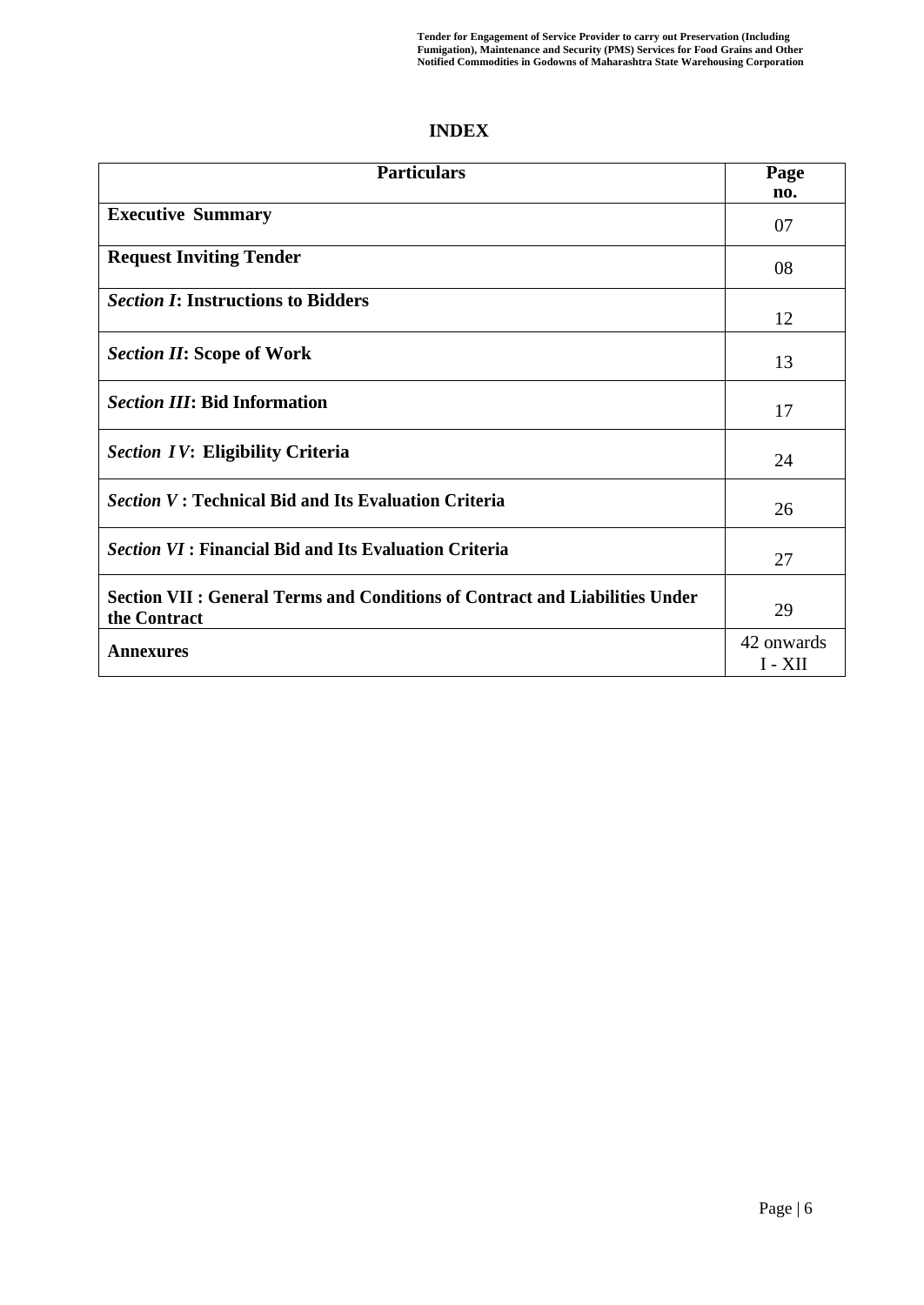## **INDEX**

| <b>Particulars</b>                                                                           | Page<br>no.             |
|----------------------------------------------------------------------------------------------|-------------------------|
| <b>Executive Summary</b>                                                                     | 07                      |
| <b>Request Inviting Tender</b>                                                               | 08                      |
| <b>Section I: Instructions to Bidders</b>                                                    | 12                      |
| <b>Section II: Scope of Work</b>                                                             | 13                      |
| <b>Section III: Bid Information</b>                                                          | 17                      |
| <b>Section IV: Eligibility Criteria</b>                                                      | 24                      |
| <i>Section V</i> : Technical Bid and Its Evaluation Criteria                                 | 26                      |
| <b>Section VI: Financial Bid and Its Evaluation Criteria</b>                                 | 27                      |
| Section VII : General Terms and Conditions of Contract and Liabilities Under<br>the Contract | 29                      |
| Annexures                                                                                    | 42 onwards<br>$I - XII$ |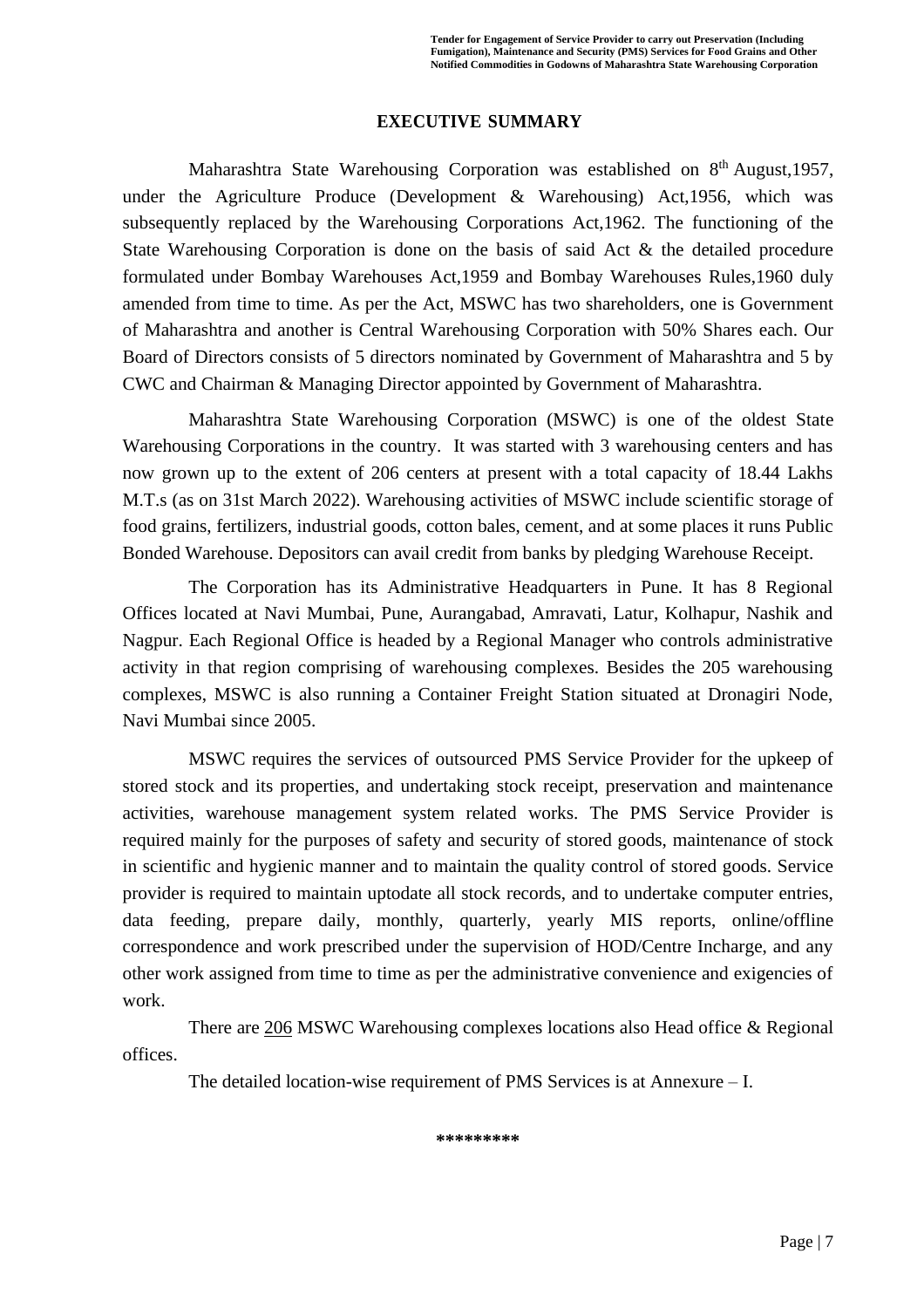#### **EXECUTIVE SUMMARY**

Maharashtra State Warehousing Corporation was established on 8<sup>th</sup> August, 1957, under the Agriculture Produce (Development & Warehousing) Act,1956, which was subsequently replaced by the Warehousing Corporations Act,1962. The functioning of the State Warehousing Corporation is done on the basis of said Act & the detailed procedure formulated under Bombay Warehouses Act,1959 and Bombay Warehouses Rules,1960 duly amended from time to time. As per the Act, MSWC has two shareholders, one is Government of Maharashtra and another is Central Warehousing Corporation with 50% Shares each. Our Board of Directors consists of 5 directors nominated by Government of Maharashtra and 5 by CWC and Chairman & Managing Director appointed by Government of Maharashtra.

Maharashtra State Warehousing Corporation (MSWC) is one of the oldest State Warehousing Corporations in the country. It was started with 3 warehousing centers and has now grown up to the extent of 206 centers at present with a total capacity of 18.44 Lakhs M.T.s (as on 31st March 2022). Warehousing activities of MSWC include scientific storage of food grains, fertilizers, industrial goods, cotton bales, cement, and at some places it runs Public Bonded Warehouse. Depositors can avail credit from banks by pledging Warehouse Receipt.

The Corporation has its Administrative Headquarters in Pune. It has 8 Regional Offices located at Navi Mumbai, Pune, Aurangabad, Amravati, Latur, Kolhapur, Nashik and Nagpur. Each Regional Office is headed by a Regional Manager who controls administrative activity in that region comprising of warehousing complexes. Besides the 205 warehousing complexes, MSWC is also running a Container Freight Station situated at Dronagiri Node, Navi Mumbai since 2005.

MSWC requires the services of outsourced PMS Service Provider for the upkeep of stored stock and its properties, and undertaking stock receipt, preservation and maintenance activities, warehouse management system related works. The PMS Service Provider is required mainly for the purposes of safety and security of stored goods, maintenance of stock in scientific and hygienic manner and to maintain the quality control of stored goods. Service provider is required to maintain uptodate all stock records, and to undertake computer entries, data feeding, prepare daily, monthly, quarterly, yearly MIS reports, online/offline correspondence and work prescribed under the supervision of HOD/Centre Incharge, and any other work assigned from time to time as per the administrative convenience and exigencies of work.

There are 206 MSWC Warehousing complexes locations also Head office & Regional offices.

The detailed location-wise requirement of PMS Services is at Annexure – I.

**\*\*\*\*\*\*\*\*\***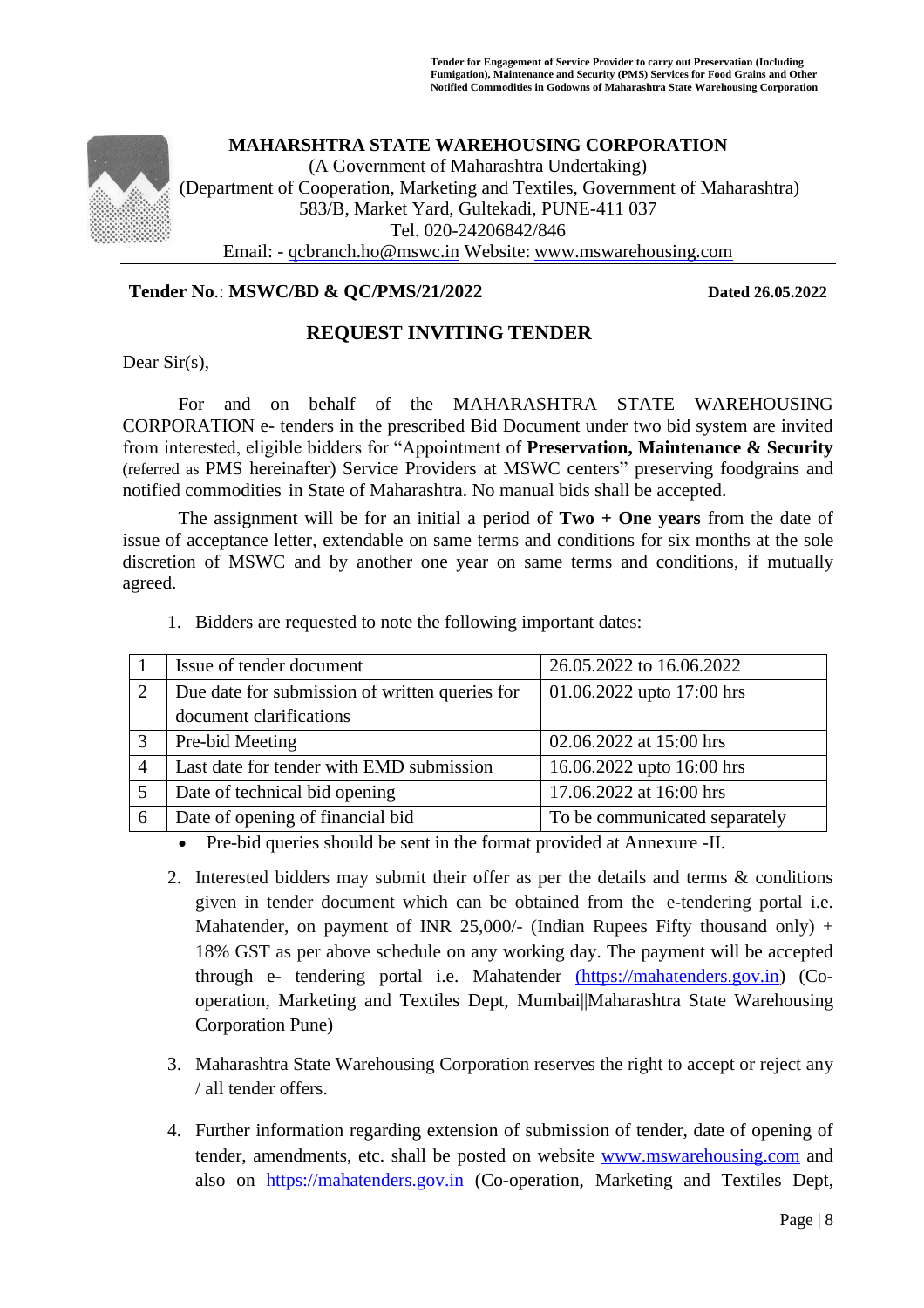

#### **Tender No**.: **MSWC/BD & QC/PMS/21/2022 Dated 26.05.2022**

### **REQUEST INVITING TENDER**

Dear Sir(s),

For and on behalf of the MAHARASHTRA STATE WAREHOUSING CORPORATION e- tenders in the prescribed Bid Document under two bid system are invited from interested, eligible bidders for "Appointment of **Preservation, Maintenance & Security**  (referred as PMS hereinafter) Service Providers at MSWC centers" preserving foodgrains and notified commodities in State of Maharashtra. No manual bids shall be accepted.

The assignment will be for an initial a period of **Two + One years** from the date of issue of acceptance letter, extendable on same terms and conditions for six months at the sole discretion of MSWC and by another one year on same terms and conditions, if mutually agreed.

1. Bidders are requested to note the following important dates:

|                | Issue of tender document                       | 26.05.2022 to 16.06.2022      |  |
|----------------|------------------------------------------------|-------------------------------|--|
|                | Due date for submission of written queries for | 01.06.2022 upto 17:00 hrs     |  |
|                | document clarifications                        |                               |  |
| 3              | Pre-bid Meeting                                | 02.06.2022 at 15:00 hrs       |  |
| $\overline{4}$ | Last date for tender with EMD submission       | 16.06.2022 upto 16:00 hrs     |  |
|                | Date of technical bid opening                  | 17.06.2022 at 16:00 hrs       |  |
| 6              | Date of opening of financial bid               | To be communicated separately |  |

• Pre-bid queries should be sent in the format provided at Annexure -II.

- 2. Interested bidders may submit their offer as per the details and terms & conditions given in tender document which can be obtained from the e-tendering portal i.e. Mahatender, on payment of INR 25,000/- (Indian Rupees Fifty thousand only) + 18% GST as per above schedule on any working day. The payment will be accepted through e- tendering portal i.e. Mahatender [\(https://mahatenders.gov.in\)](https://mahatenders.gov.in/) (Cooperation, Marketing and Textiles Dept, Mumbai||Maharashtra State Warehousing Corporation Pune)
- 3. Maharashtra State Warehousing Corporation reserves the right to accept or reject any / all tender offers.
- 4. Further information regarding extension of submission of tender, date of opening of tender, amendments, etc. shall be posted on website [www.mswarehousing.com](http://www.mswarehousing.com/) and also on [https://mahatenders.gov.in](https://mahatenders.gov.in/) (Co-operation, Marketing and Textiles Dept,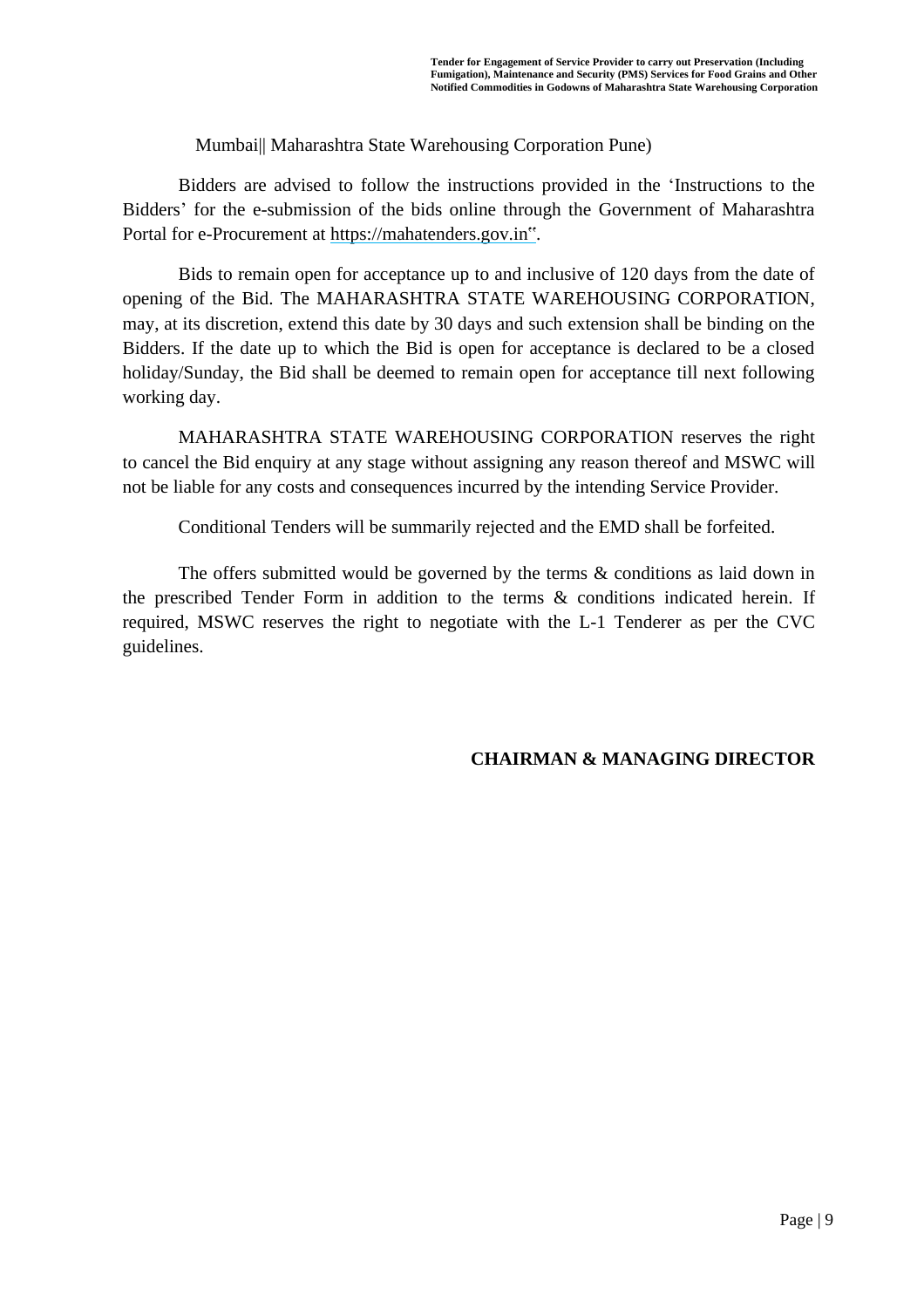Mumbai|| Maharashtra State Warehousing Corporation Pune)

Bidders are advised to follow the instructions provided in the 'Instructions to the Bidders' for the e-submission of the bids online through the Government of Maharashtra Portal for e-Procurement at [https://mahatenders.gov.in"](https://eprocure.gov.in/eprocure/app).

Bids to remain open for acceptance up to and inclusive of 120 days from the date of opening of the Bid. The MAHARASHTRA STATE WAREHOUSING CORPORATION, may, at its discretion, extend this date by 30 days and such extension shall be binding on the Bidders. If the date up to which the Bid is open for acceptance is declared to be a closed holiday/Sunday, the Bid shall be deemed to remain open for acceptance till next following working day.

MAHARASHTRA STATE WAREHOUSING CORPORATION reserves the right to cancel the Bid enquiry at any stage without assigning any reason thereof and MSWC will not be liable for any costs and consequences incurred by the intending Service Provider.

Conditional Tenders will be summarily rejected and the EMD shall be forfeited.

The offers submitted would be governed by the terms & conditions as laid down in the prescribed Tender Form in addition to the terms & conditions indicated herein. If required, MSWC reserves the right to negotiate with the L-1 Tenderer as per the CVC guidelines.

#### **CHAIRMAN & MANAGING DIRECTOR**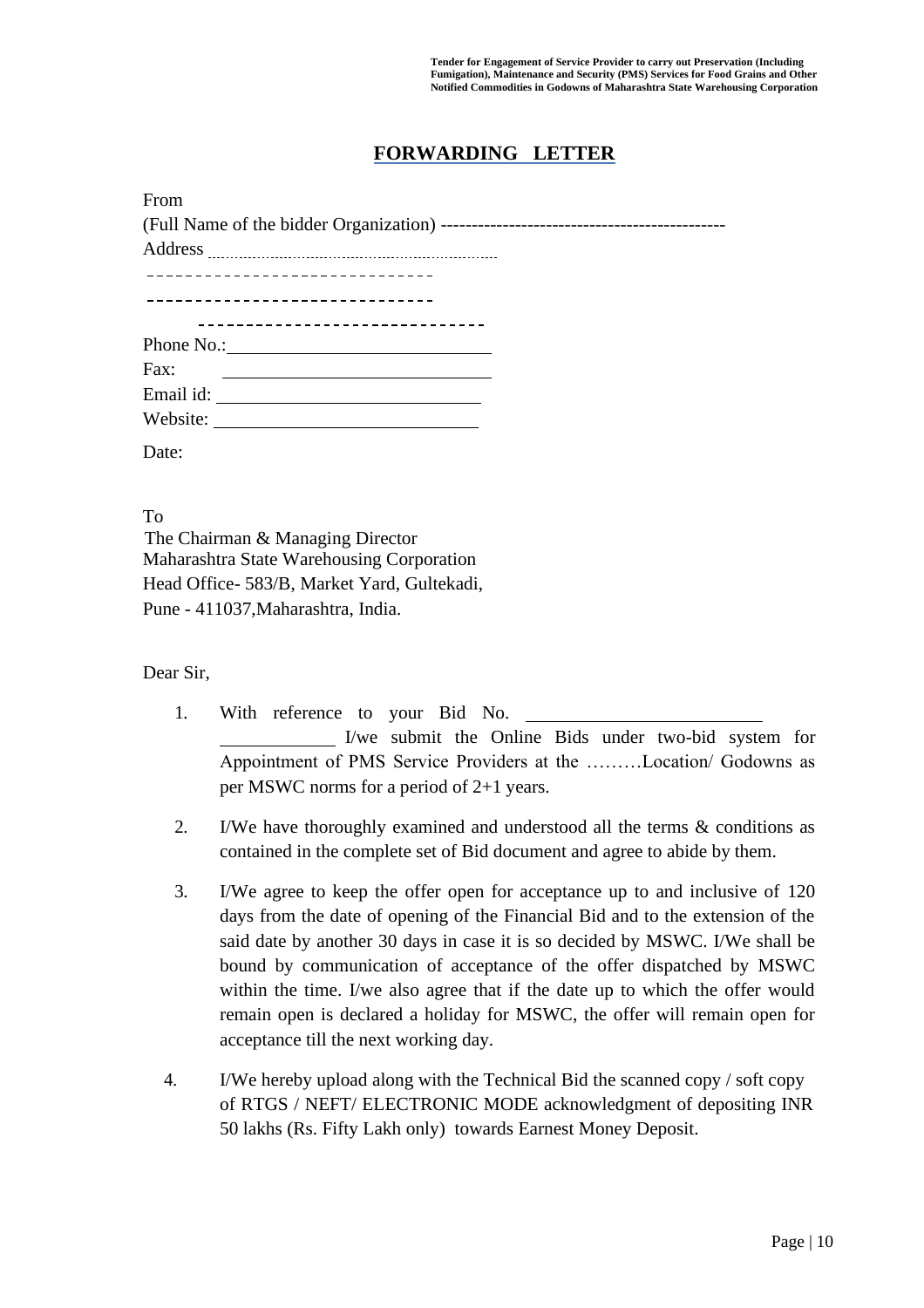## **FORWARDING LETTER**

| From                             |  |
|----------------------------------|--|
|                                  |  |
|                                  |  |
| ________________________________ |  |
| -------------------------------- |  |
| _____________________            |  |
| Phone No.: No.:                  |  |
| Fax:                             |  |
|                                  |  |
|                                  |  |
| Date:                            |  |

To

The Chairman & Managing Director Maharashtra State Warehousing Corporation Head Office- 583/B, Market Yard, Gultekadi, Pune - 411037,Maharashtra, India.

Dear Sir,

- 1. With reference to your Bid No. I/we submit the Online Bids under two-bid system for Appointment of PMS Service Providers at the ………Location/ Godowns as per MSWC norms for a period of 2+1 years.
- 2. I/We have thoroughly examined and understood all the terms & conditions as contained in the complete set of Bid document and agree to abide by them.
- 3. I/We agree to keep the offer open for acceptance up to and inclusive of 120 days from the date of opening of the Financial Bid and to the extension of the said date by another 30 days in case it is so decided by MSWC. I/We shall be bound by communication of acceptance of the offer dispatched by MSWC within the time. I/we also agree that if the date up to which the offer would remain open is declared a holiday for MSWC, the offer will remain open for acceptance till the next working day.
- 4. I/We hereby upload along with the Technical Bid the scanned copy / soft copy of RTGS / NEFT/ ELECTRONIC MODE acknowledgment of depositing INR 50 lakhs (Rs. Fifty Lakh only) towards Earnest Money Deposit.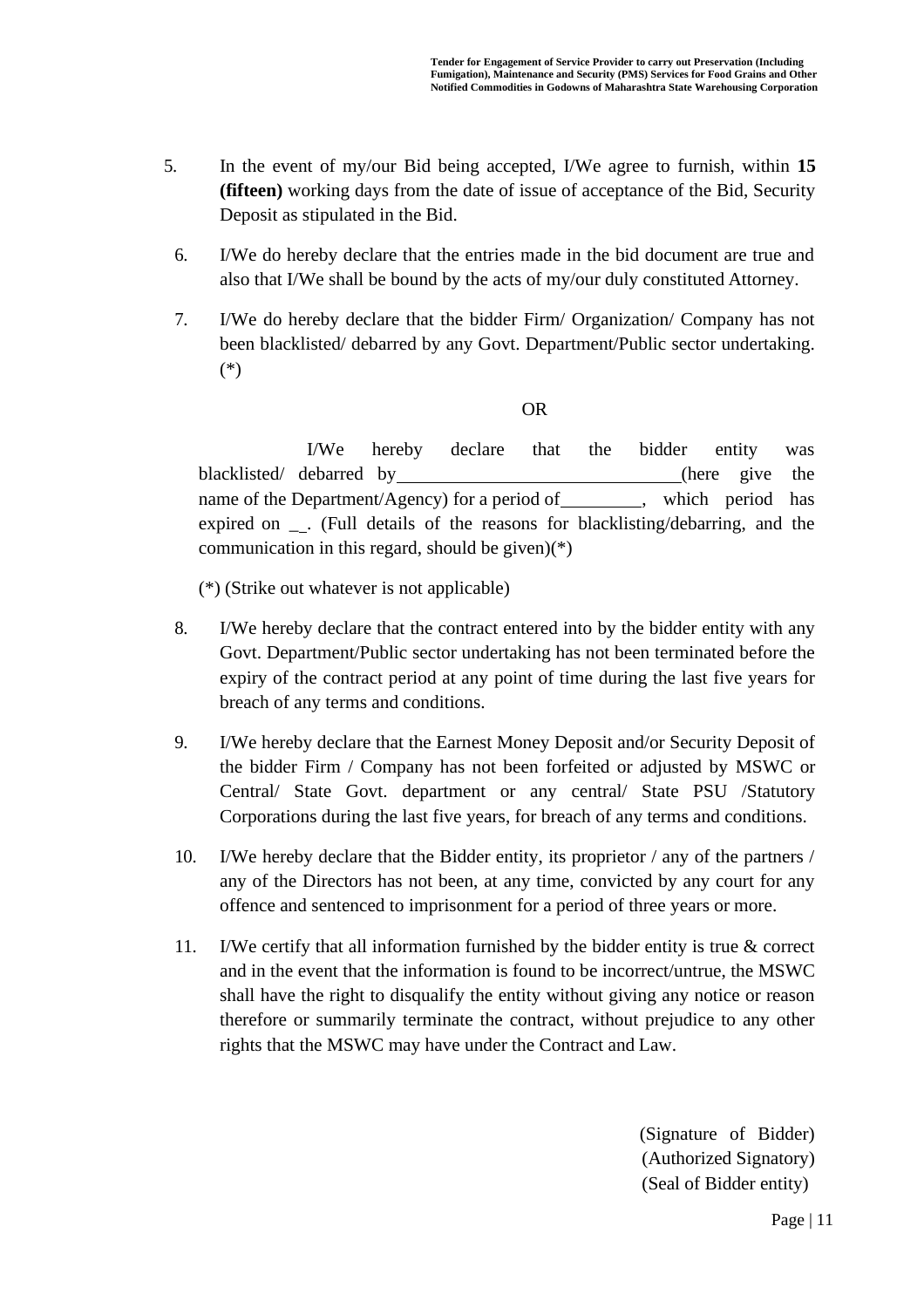- 5. In the event of my/our Bid being accepted, I/We agree to furnish, within **15 (fifteen)** working days from the date of issue of acceptance of the Bid, Security Deposit as stipulated in the Bid.
- 6. I/We do hereby declare that the entries made in the bid document are true and also that I/We shall be bound by the acts of my/our duly constituted Attorney.
- 7. I/We do hereby declare that the bidder Firm/ Organization/ Company has not been blacklisted/ debarred by any Govt. Department/Public sector undertaking. (\*)

OR

I/We hereby declare that the bidder entity was blacklisted/ debarred by (here give the name of the Department/Agency) for a period of , which period has expired on \_ . (Full details of the reasons for blacklisting/debarring, and the communication in this regard, should be given) $(*)$ 

(\*) (Strike out whatever is not applicable)

- 8. I/We hereby declare that the contract entered into by the bidder entity with any Govt. Department/Public sector undertaking has not been terminated before the expiry of the contract period at any point of time during the last five years for breach of any terms and conditions.
- 9. I/We hereby declare that the Earnest Money Deposit and/or Security Deposit of the bidder Firm / Company has not been forfeited or adjusted by MSWC or Central/ State Govt. department or any central/ State PSU /Statutory Corporations during the last five years, for breach of any terms and conditions.
- 10. I/We hereby declare that the Bidder entity, its proprietor / any of the partners / any of the Directors has not been, at any time, convicted by any court for any offence and sentenced to imprisonment for a period of three years or more.
- 11. I/We certify that all information furnished by the bidder entity is true & correct and in the event that the information is found to be incorrect/untrue, the MSWC shall have the right to disqualify the entity without giving any notice or reason therefore or summarily terminate the contract, without prejudice to any other rights that the MSWC may have under the Contract and Law.

(Signature of Bidder) (Authorized Signatory) (Seal of Bidder entity)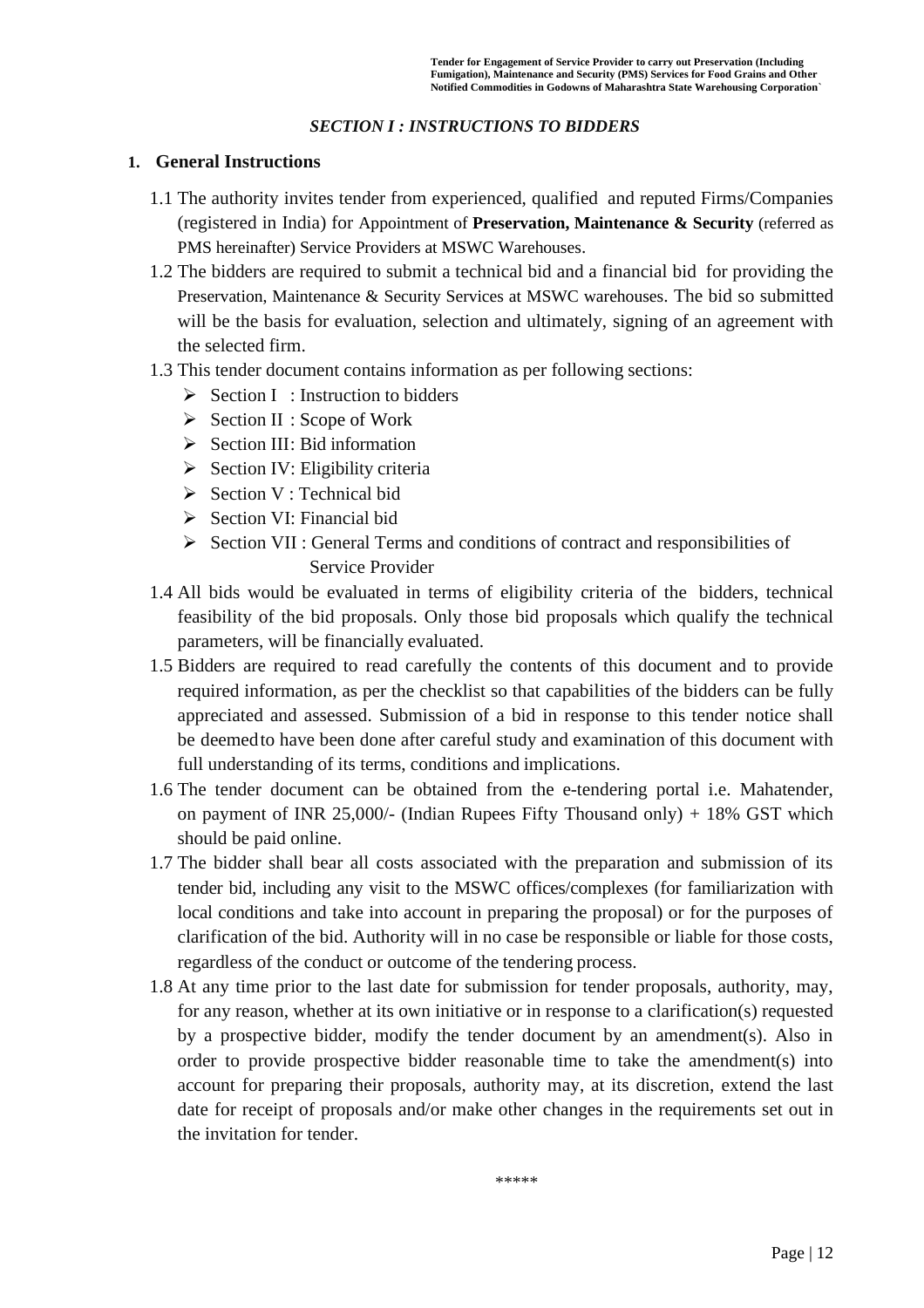#### *SECTION I : INSTRUCTIONS TO BIDDERS*

#### **1. General Instructions**

- 1.1 The authority invites tender from experienced, qualified and reputed Firms/Companies (registered in India) for Appointment of **Preservation, Maintenance & Security** (referred as PMS hereinafter) Service Providers at MSWC Warehouses.
- 1.2 The bidders are required to submit a technical bid and a financial bid for providing the Preservation, Maintenance & Security Services at MSWC warehouses. The bid so submitted will be the basis for evaluation, selection and ultimately, signing of an agreement with the selected firm.
- 1.3 This tender document contains information as per following sections:
	- ➢ Section I : Instruction to bidders
	- ➢ Section II : Scope of Work
	- ➢ Section III: Bid information
	- $\triangleright$  Section IV: Eligibility criteria
	- ➢ Section V : Technical bid
	- ➢ Section VI: Financial bid
	- ➢ Section VII : General Terms and conditions of contract and responsibilities of Service Provider
- 1.4 All bids would be evaluated in terms of eligibility criteria of the bidders, technical feasibility of the bid proposals. Only those bid proposals which qualify the technical parameters, will be financially evaluated.
- 1.5 Bidders are required to read carefully the contents of this document and to provide required information, as per the checklist so that capabilities of the bidders can be fully appreciated and assessed. Submission of a bid in response to this tender notice shall be deemed to have been done after careful study and examination of this document with full understanding of its terms, conditions and implications.
- 1.6 The tender document can be obtained from the e-tendering portal i.e. Mahatender, on payment of INR 25,000/- (Indian Rupees Fifty Thousand only)  $+ 18\%$  GST which should be paid online.
- 1.7 The bidder shall bear all costs associated with the preparation and submission of its tender bid, including any visit to the MSWC offices/complexes (for familiarization with local conditions and take into account in preparing the proposal) or for the purposes of clarification of the bid. Authority will in no case be responsible or liable for those costs, regardless of the conduct or outcome of the tendering process.
- 1.8 At any time prior to the last date for submission for tender proposals, authority, may, for any reason, whether at its own initiative or in response to a clarification(s) requested by a prospective bidder, modify the tender document by an amendment(s). Also in order to provide prospective bidder reasonable time to take the amendment(s) into account for preparing their proposals, authority may, at its discretion, extend the last date for receipt of proposals and/or make other changes in the requirements set out in the invitation for tender.

\*\*\*\*\*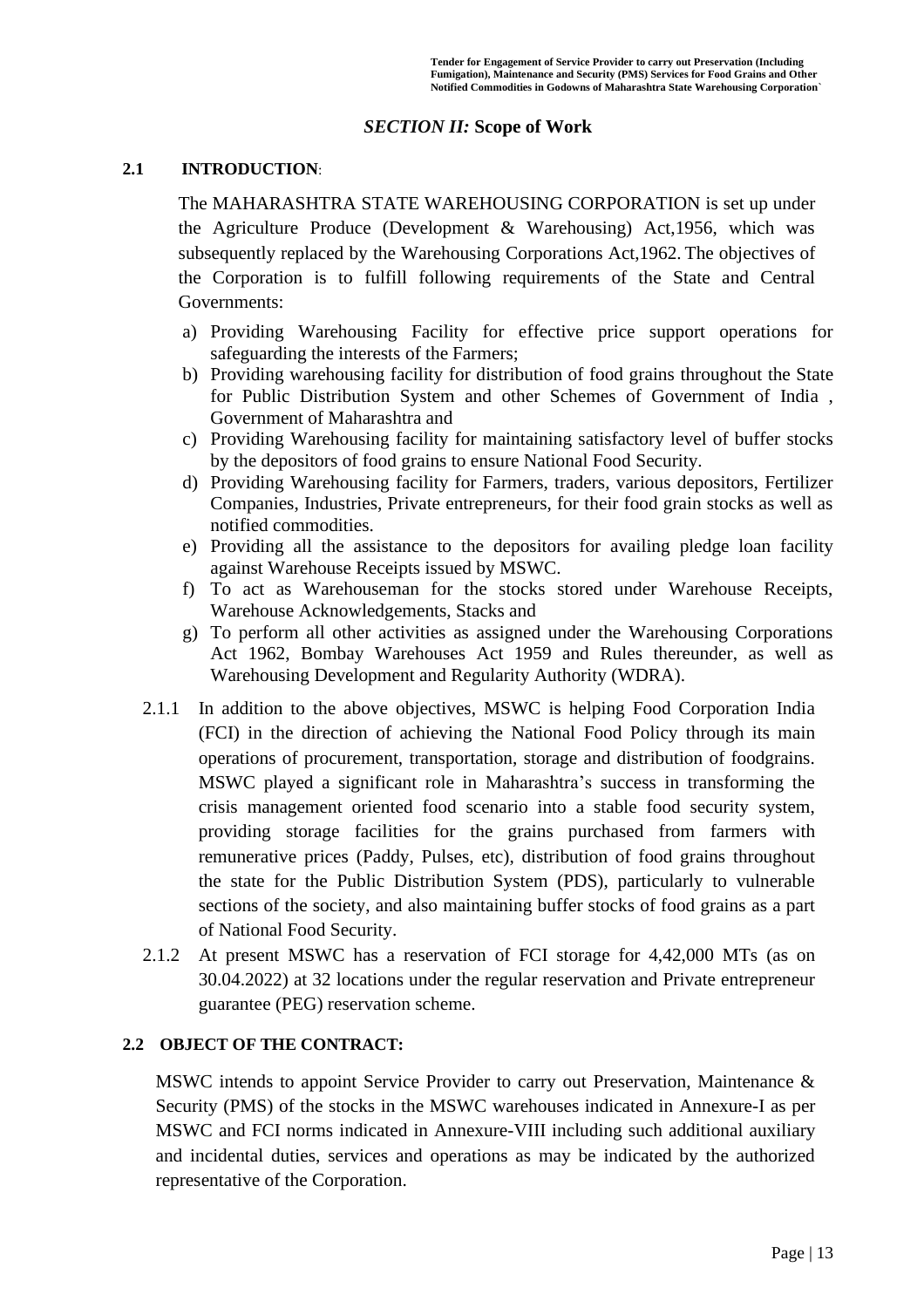### *SECTION II:* **Scope of Work**

#### **2.1 INTRODUCTION**:

The MAHARASHTRA STATE WAREHOUSING CORPORATION is set up under the Agriculture Produce (Development & Warehousing) Act,1956, which was subsequently replaced by the Warehousing Corporations Act,1962. The objectives of the Corporation is to fulfill following requirements of the State and Central Governments:

- a) Providing Warehousing Facility for effective price support operations for safeguarding the interests of the Farmers;
- b) Providing warehousing facility for distribution of food grains throughout the State for Public Distribution System and other Schemes of Government of India , Government of Maharashtra and
- c) Providing Warehousing facility for maintaining satisfactory level of buffer stocks by the depositors of food grains to ensure National Food Security.
- d) Providing Warehousing facility for Farmers, traders, various depositors, Fertilizer Companies, Industries, Private entrepreneurs, for their food grain stocks as well as notified commodities.
- e) Providing all the assistance to the depositors for availing pledge loan facility against Warehouse Receipts issued by MSWC.
- f) To act as Warehouseman for the stocks stored under Warehouse Receipts, Warehouse Acknowledgements, Stacks and
- g) To perform all other activities as assigned under the Warehousing Corporations Act 1962, Bombay Warehouses Act 1959 and Rules thereunder, as well as Warehousing Development and Regularity Authority (WDRA).
- 2.1.1 In addition to the above objectives, MSWC is helping Food Corporation India (FCI) in the direction of achieving the National Food Policy through its main operations of procurement, transportation, storage and distribution of foodgrains. MSWC played a significant role in Maharashtra's success in transforming the crisis management oriented food scenario into a stable food security system, providing storage facilities for the grains purchased from farmers with remunerative prices (Paddy, Pulses, etc), distribution of food grains throughout the state for the Public Distribution System (PDS), particularly to vulnerable sections of the society, and also maintaining buffer stocks of food grains as a part of National Food Security.
- 2.1.2 At present MSWC has a reservation of FCI storage for 4,42,000 MTs (as on 30.04.2022) at 32 locations under the regular reservation and Private entrepreneur guarantee (PEG) reservation scheme.

### **2.2 OBJECT OF THE CONTRACT:**

MSWC intends to appoint Service Provider to carry out Preservation, Maintenance & Security (PMS) of the stocks in the MSWC warehouses indicated in Annexure-I as per MSWC and FCI norms indicated in Annexure-VIII including such additional auxiliary and incidental duties, services and operations as may be indicated by the authorized representative of the Corporation.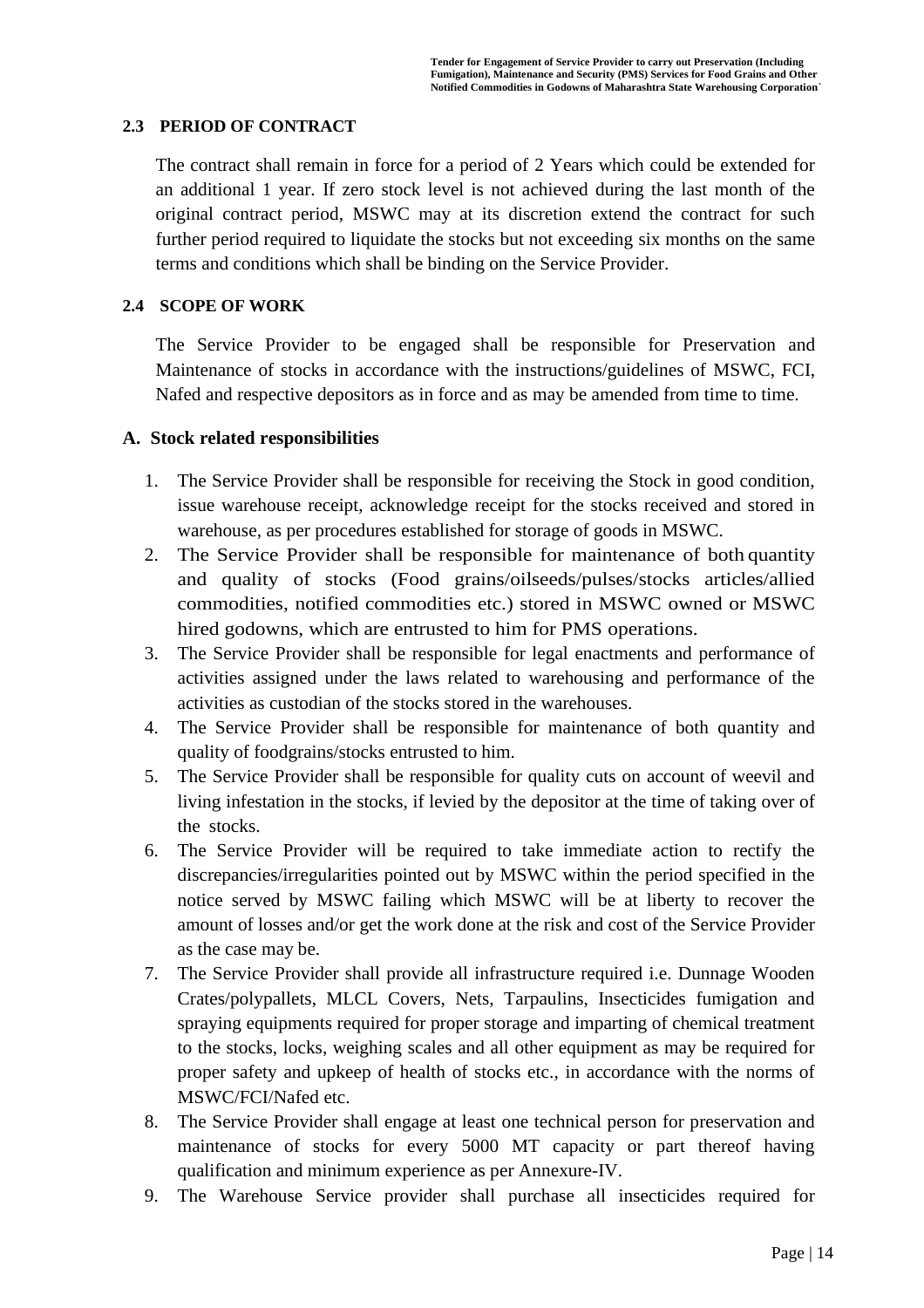#### **2.3 PERIOD OF CONTRACT**

The contract shall remain in force for a period of 2 Years which could be extended for an additional 1 year. If zero stock level is not achieved during the last month of the original contract period, MSWC may at its discretion extend the contract for such further period required to liquidate the stocks but not exceeding six months on the same terms and conditions which shall be binding on the Service Provider.

#### **2.4 SCOPE OF WORK**

The Service Provider to be engaged shall be responsible for Preservation and Maintenance of stocks in accordance with the instructions/guidelines of MSWC, FCI, Nafed and respective depositors as in force and as may be amended from time to time.

#### **A. Stock related responsibilities**

- 1. The Service Provider shall be responsible for receiving the Stock in good condition, issue warehouse receipt, acknowledge receipt for the stocks received and stored in warehouse, as per procedures established for storage of goods in MSWC.
- 2. The Service Provider shall be responsible for maintenance of both quantity and quality of stocks (Food grains/oilseeds/pulses/stocks articles/allied commodities, notified commodities etc.) stored in MSWC owned or MSWC hired godowns, which are entrusted to him for PMS operations.
- 3. The Service Provider shall be responsible for legal enactments and performance of activities assigned under the laws related to warehousing and performance of the activities as custodian of the stocks stored in the warehouses.
- 4. The Service Provider shall be responsible for maintenance of both quantity and quality of foodgrains/stocks entrusted to him.
- 5. The Service Provider shall be responsible for quality cuts on account of weevil and living infestation in the stocks, if levied by the depositor at the time of taking over of the stocks.
- 6. The Service Provider will be required to take immediate action to rectify the discrepancies/irregularities pointed out by MSWC within the period specified in the notice served by MSWC failing which MSWC will be at liberty to recover the amount of losses and/or get the work done at the risk and cost of the Service Provider as the case may be.
- 7. The Service Provider shall provide all infrastructure required i.e. Dunnage Wooden Crates/polypallets, MLCL Covers, Nets, Tarpaulins, Insecticides fumigation and spraying equipments required for proper storage and imparting of chemical treatment to the stocks, locks, weighing scales and all other equipment as may be required for proper safety and upkeep of health of stocks etc., in accordance with the norms of MSWC/FCI/Nafed etc.
- 8. The Service Provider shall engage at least one technical person for preservation and maintenance of stocks for every 5000 MT capacity or part thereof having qualification and minimum experience as per Annexure-IV.
- 9. The Warehouse Service provider shall purchase all insecticides required for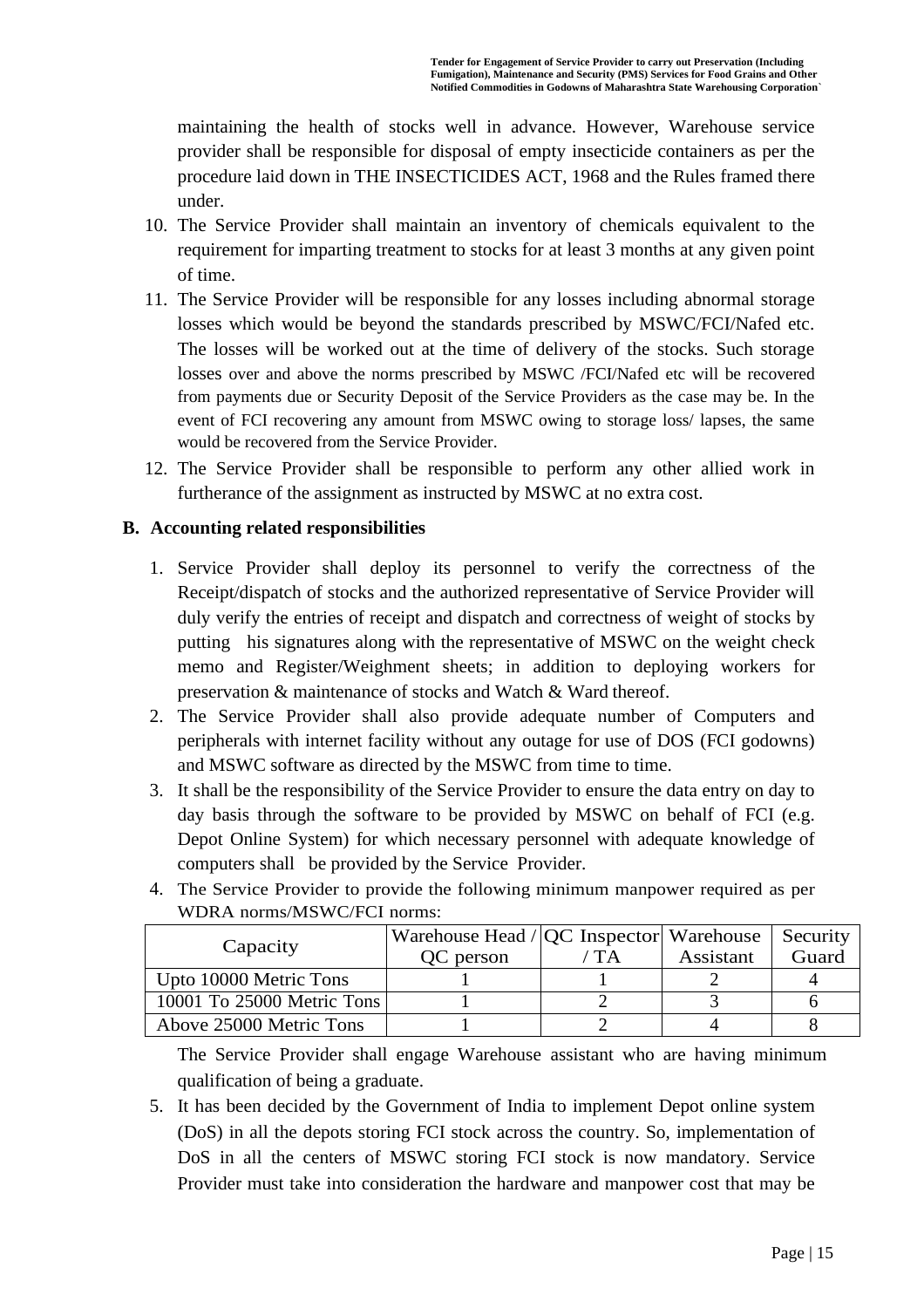maintaining the health of stocks well in advance. However, Warehouse service provider shall be responsible for disposal of empty insecticide containers as per the procedure laid down in THE INSECTICIDES ACT, 1968 and the Rules framed there under.

- 10. The Service Provider shall maintain an inventory of chemicals equivalent to the requirement for imparting treatment to stocks for at least 3 months at any given point of time.
- 11. The Service Provider will be responsible for any losses including abnormal storage losses which would be beyond the standards prescribed by MSWC/FCI/Nafed etc. The losses will be worked out at the time of delivery of the stocks. Such storage losses over and above the norms prescribed by MSWC /FCI/Nafed etc will be recovered from payments due or Security Deposit of the Service Providers as the case may be. In the event of FCI recovering any amount from MSWC owing to storage loss/ lapses, the same would be recovered from the Service Provider.
- 12. The Service Provider shall be responsible to perform any other allied work in furtherance of the assignment as instructed by MSWC at no extra cost.

### **B. Accounting related responsibilities**

- 1. Service Provider shall deploy its personnel to verify the correctness of the Receipt/dispatch of stocks and the authorized representative of Service Provider will duly verify the entries of receipt and dispatch and correctness of weight of stocks by putting his signatures along with the representative of MSWC on the weight check memo and Register/Weighment sheets; in addition to deploying workers for preservation & maintenance of stocks and Watch & Ward thereof.
- 2. The Service Provider shall also provide adequate number of Computers and peripherals with internet facility without any outage for use of DOS (FCI godowns) and MSWC software as directed by the MSWC from time to time.
- 3. It shall be the responsibility of the Service Provider to ensure the data entry on day to day basis through the software to be provided by MSWC on behalf of FCI (e.g. Depot Online System) for which necessary personnel with adequate knowledge of computers shall be provided by the Service Provider.

| $\overline{M}$ DIMA HOLIHS/IMD $\overline{M}$ Of HOLIHS. |                                           |       |           |          |  |
|----------------------------------------------------------|-------------------------------------------|-------|-----------|----------|--|
|                                                          | Warehouse Head / QC Inspector   Warehouse |       |           | Security |  |
| Capacity                                                 | QC person                                 | ' T A | Assistant | Guard    |  |
| Upto 10000 Metric Tons                                   |                                           |       |           |          |  |
| 10001 To 25000 Metric Tons                               |                                           |       |           |          |  |
| Above 25000 Metric Tons                                  |                                           |       |           |          |  |

4. The Service Provider to provide the following minimum manpower required as per WDRA norms/MSWC/FCI norms:

The Service Provider shall engage Warehouse assistant who are having minimum qualification of being a graduate.

5. It has been decided by the Government of India to implement Depot online system (DoS) in all the depots storing FCI stock across the country. So, implementation of DoS in all the centers of MSWC storing FCI stock is now mandatory. Service Provider must take into consideration the hardware and manpower cost that may be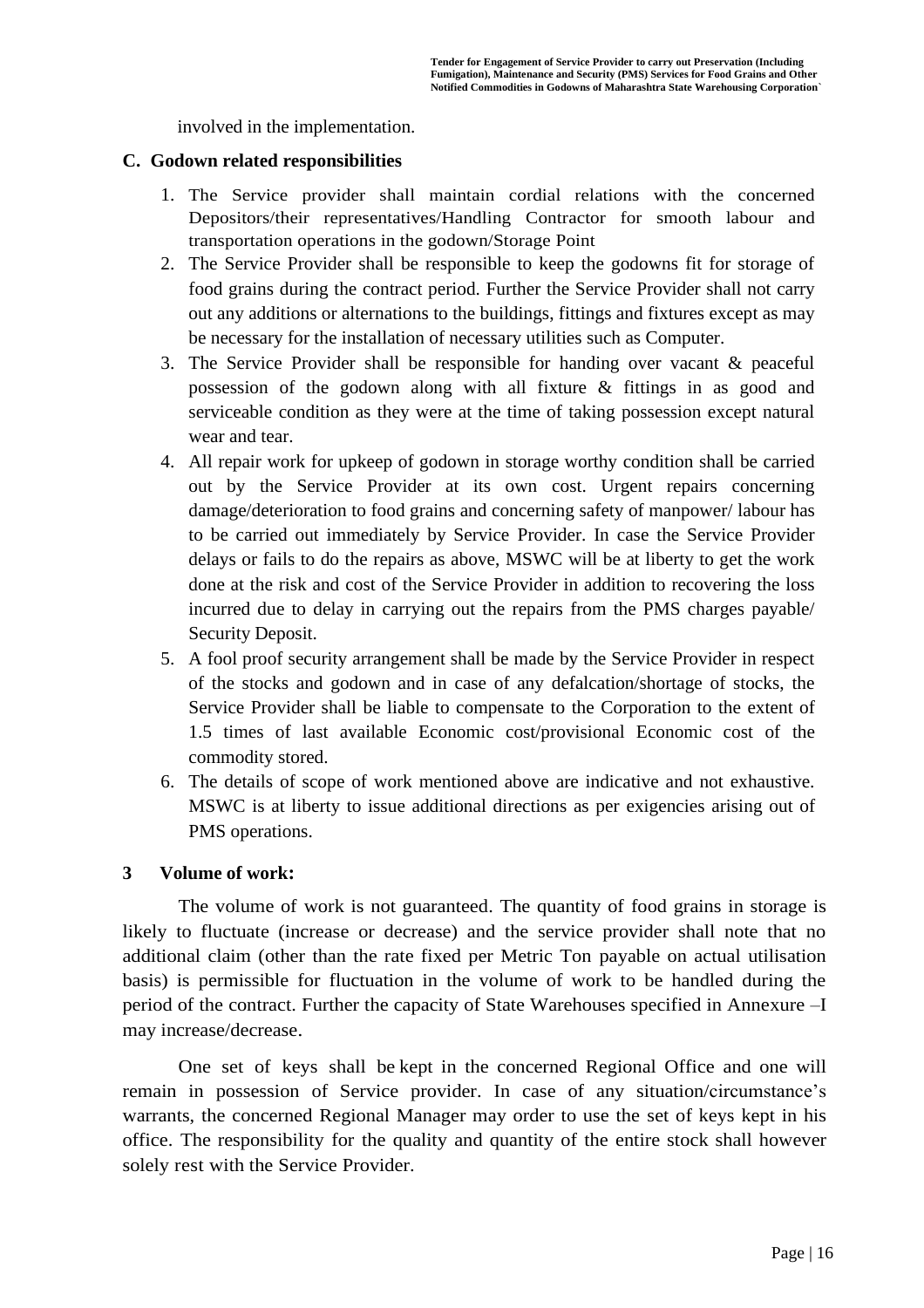involved in the implementation.

#### **C. Godown related responsibilities**

- 1. The Service provider shall maintain cordial relations with the concerned Depositors/their representatives/Handling Contractor for smooth labour and transportation operations in the godown/Storage Point
- 2. The Service Provider shall be responsible to keep the godowns fit for storage of food grains during the contract period. Further the Service Provider shall not carry out any additions or alternations to the buildings, fittings and fixtures except as may be necessary for the installation of necessary utilities such as Computer.
- 3. The Service Provider shall be responsible for handing over vacant & peaceful possession of the godown along with all fixture & fittings in as good and serviceable condition as they were at the time of taking possession except natural wear and tear.
- 4. All repair work for upkeep of godown in storage worthy condition shall be carried out by the Service Provider at its own cost. Urgent repairs concerning damage/deterioration to food grains and concerning safety of manpower/ labour has to be carried out immediately by Service Provider. In case the Service Provider delays or fails to do the repairs as above, MSWC will be at liberty to get the work done at the risk and cost of the Service Provider in addition to recovering the loss incurred due to delay in carrying out the repairs from the PMS charges payable/ Security Deposit.
- 5. A fool proof security arrangement shall be made by the Service Provider in respect of the stocks and godown and in case of any defalcation/shortage of stocks, the Service Provider shall be liable to compensate to the Corporation to the extent of 1.5 times of last available Economic cost/provisional Economic cost of the commodity stored.
- 6. The details of scope of work mentioned above are indicative and not exhaustive. MSWC is at liberty to issue additional directions as per exigencies arising out of PMS operations.

#### **3 Volume of work:**

The volume of work is not guaranteed. The quantity of food grains in storage is likely to fluctuate (increase or decrease) and the service provider shall note that no additional claim (other than the rate fixed per Metric Ton payable on actual utilisation basis) is permissible for fluctuation in the volume of work to be handled during the period of the contract. Further the capacity of State Warehouses specified in Annexure –I may increase/decrease.

 One set of keys shall be kept in the concerned Regional Office and one will remain in possession of Service provider. In case of any situation/circumstance's warrants, the concerned Regional Manager may order to use the set of keys kept in his office. The responsibility for the quality and quantity of the entire stock shall however solely rest with the Service Provider.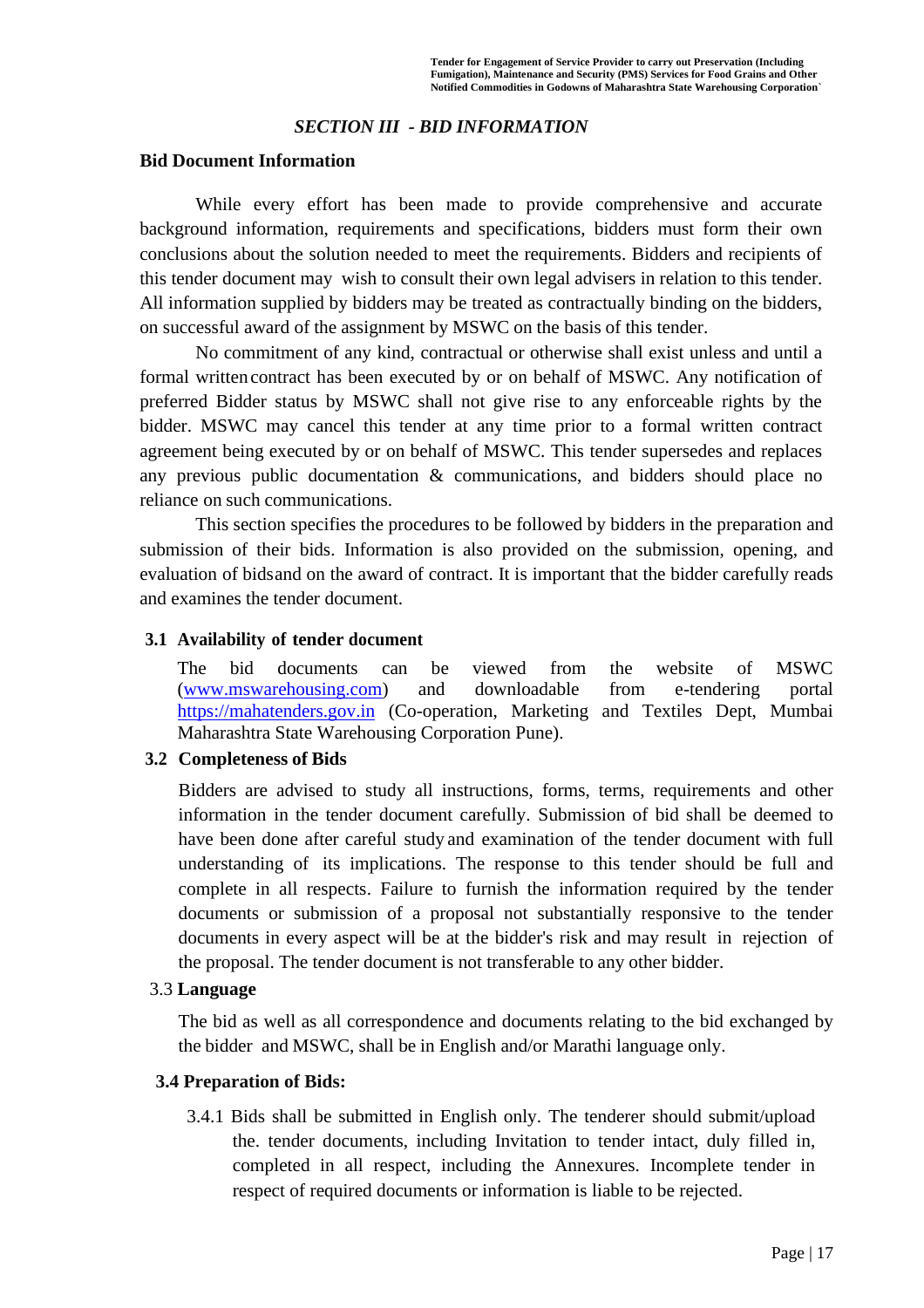### *SECTION III - BID INFORMATION*

#### **Bid Document Information**

While every effort has been made to provide comprehensive and accurate background information, requirements and specifications, bidders must form their own conclusions about the solution needed to meet the requirements. Bidders and recipients of this tender document may wish to consult their own legal advisers in relation to this tender. All information supplied by bidders may be treated as contractually binding on the bidders, on successful award of the assignment by MSWC on the basis of this tender.

No commitment of any kind, contractual or otherwise shall exist unless and until a formal writtencontract has been executed by or on behalf of MSWC. Any notification of preferred Bidder status by MSWC shall not give rise to any enforceable rights by the bidder. MSWC may cancel this tender at any time prior to a formal written contract agreement being executed by or on behalf of MSWC. This tender supersedes and replaces any previous public documentation & communications, and bidders should place no reliance on such communications.

This section specifies the procedures to be followed by bidders in the preparation and submission of their bids. Information is also provided on the submission, opening, and evaluation of bidsand on the award of contract. It is important that the bidder carefully reads and examines the tender document.

#### **3.1 Availability of tender document**

The bid documents can be viewed from the website of MSWC [\(www.mswarehousing.com\)](http://www.mswarehousing.com/) and downloadable from e-tendering portal [https://mahatenders.gov.in](https://mahatenders.gov.in/) (Co-operation, Marketing and Textiles Dept, Mumbai Maharashtra State Warehousing Corporation Pune).

#### **3.2 Completeness of Bids**

Bidders are advised to study all instructions, forms, terms, requirements and other information in the tender document carefully. Submission of bid shall be deemed to have been done after careful study and examination of the tender document with full understanding of its implications. The response to this tender should be full and complete in all respects. Failure to furnish the information required by the tender documents or submission of a proposal not substantially responsive to the tender documents in every aspect will be at the bidder's risk and may result in rejection of the proposal. The tender document is not transferable to any other bidder.

#### 3.3 **Language**

The bid as well as all correspondence and documents relating to the bid exchanged by the bidder and MSWC, shall be in English and/or Marathi language only.

#### **3.4 Preparation of Bids:**

3.4.1 Bids shall be submitted in English only. The tenderer should submit/upload the. tender documents, including Invitation to tender intact, duly filled in, completed in all respect, including the Annexures. Incomplete tender in respect of required documents or information is liable to be rejected.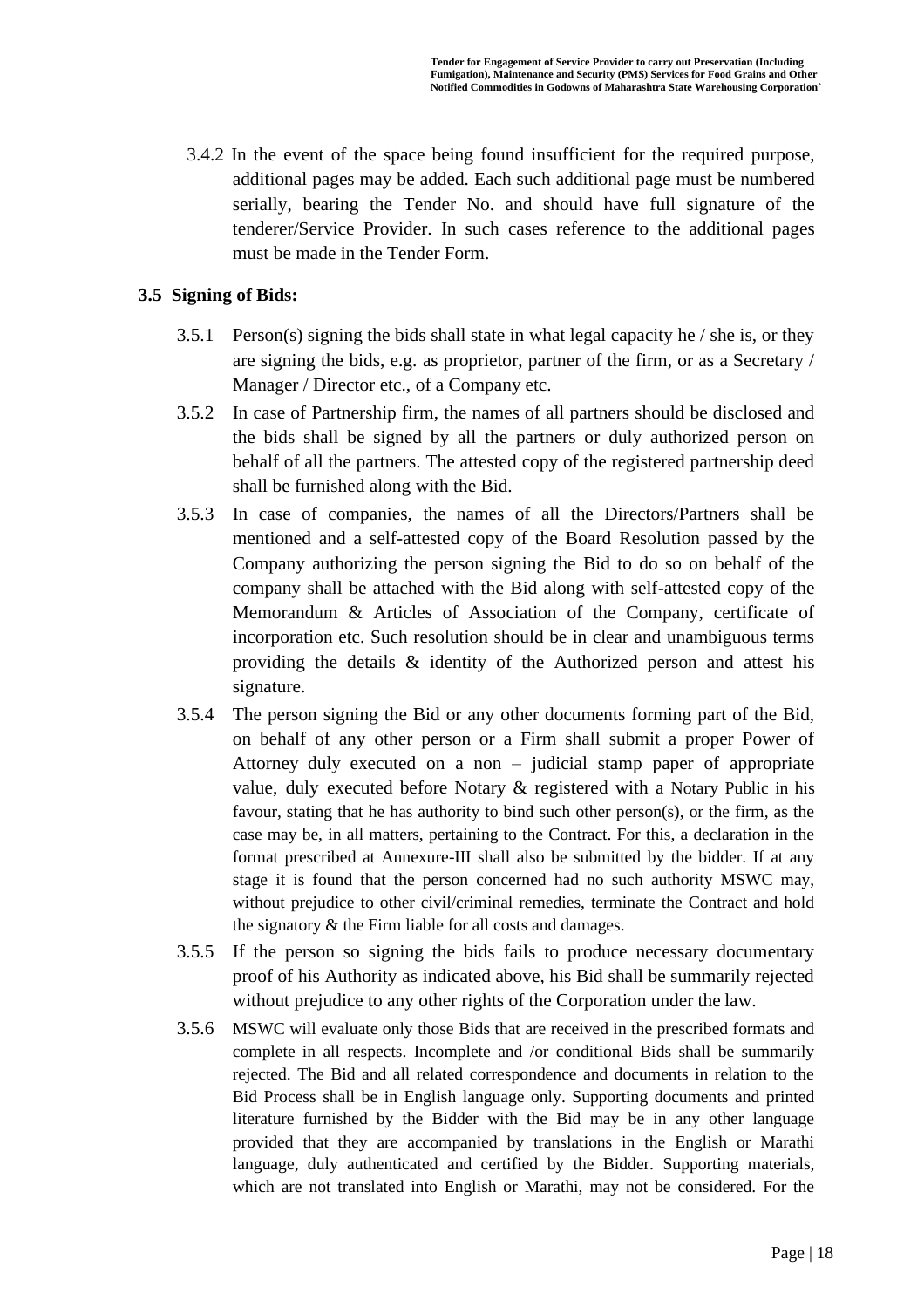3.4.2 In the event of the space being found insufficient for the required purpose, additional pages may be added. Each such additional page must be numbered serially, bearing the Tender No. and should have full signature of the tenderer/Service Provider. In such cases reference to the additional pages must be made in the Tender Form.

### **3.5 Signing of Bids:**

- 3.5.1 Person(s) signing the bids shall state in what legal capacity he / she is, or they are signing the bids, e.g. as proprietor, partner of the firm, or as a Secretary / Manager / Director etc., of a Company etc.
- 3.5.2 In case of Partnership firm, the names of all partners should be disclosed and the bids shall be signed by all the partners or duly authorized person on behalf of all the partners. The attested copy of the registered partnership deed shall be furnished along with the Bid.
- 3.5.3 In case of companies, the names of all the Directors/Partners shall be mentioned and a self-attested copy of the Board Resolution passed by the Company authorizing the person signing the Bid to do so on behalf of the company shall be attached with the Bid along with self-attested copy of the Memorandum & Articles of Association of the Company, certificate of incorporation etc. Such resolution should be in clear and unambiguous terms providing the details & identity of the Authorized person and attest his signature.
- 3.5.4 The person signing the Bid or any other documents forming part of the Bid, on behalf of any other person or a Firm shall submit a proper Power of Attorney duly executed on a non – judicial stamp paper of appropriate value, duly executed before Notary & registered with a Notary Public in his favour, stating that he has authority to bind such other person(s), or the firm, as the case may be, in all matters, pertaining to the Contract. For this, a declaration in the format prescribed at Annexure-III shall also be submitted by the bidder. If at any stage it is found that the person concerned had no such authority MSWC may, without prejudice to other civil/criminal remedies, terminate the Contract and hold the signatory & the Firm liable for all costs and damages.
- 3.5.5 If the person so signing the bids fails to produce necessary documentary proof of his Authority as indicated above, his Bid shall be summarily rejected without prejudice to any other rights of the Corporation under the law.
- 3.5.6 MSWC will evaluate only those Bids that are received in the prescribed formats and complete in all respects. Incomplete and /or conditional Bids shall be summarily rejected. The Bid and all related correspondence and documents in relation to the Bid Process shall be in English language only. Supporting documents and printed literature furnished by the Bidder with the Bid may be in any other language provided that they are accompanied by translations in the English or Marathi language, duly authenticated and certified by the Bidder. Supporting materials, which are not translated into English or Marathi, may not be considered. For the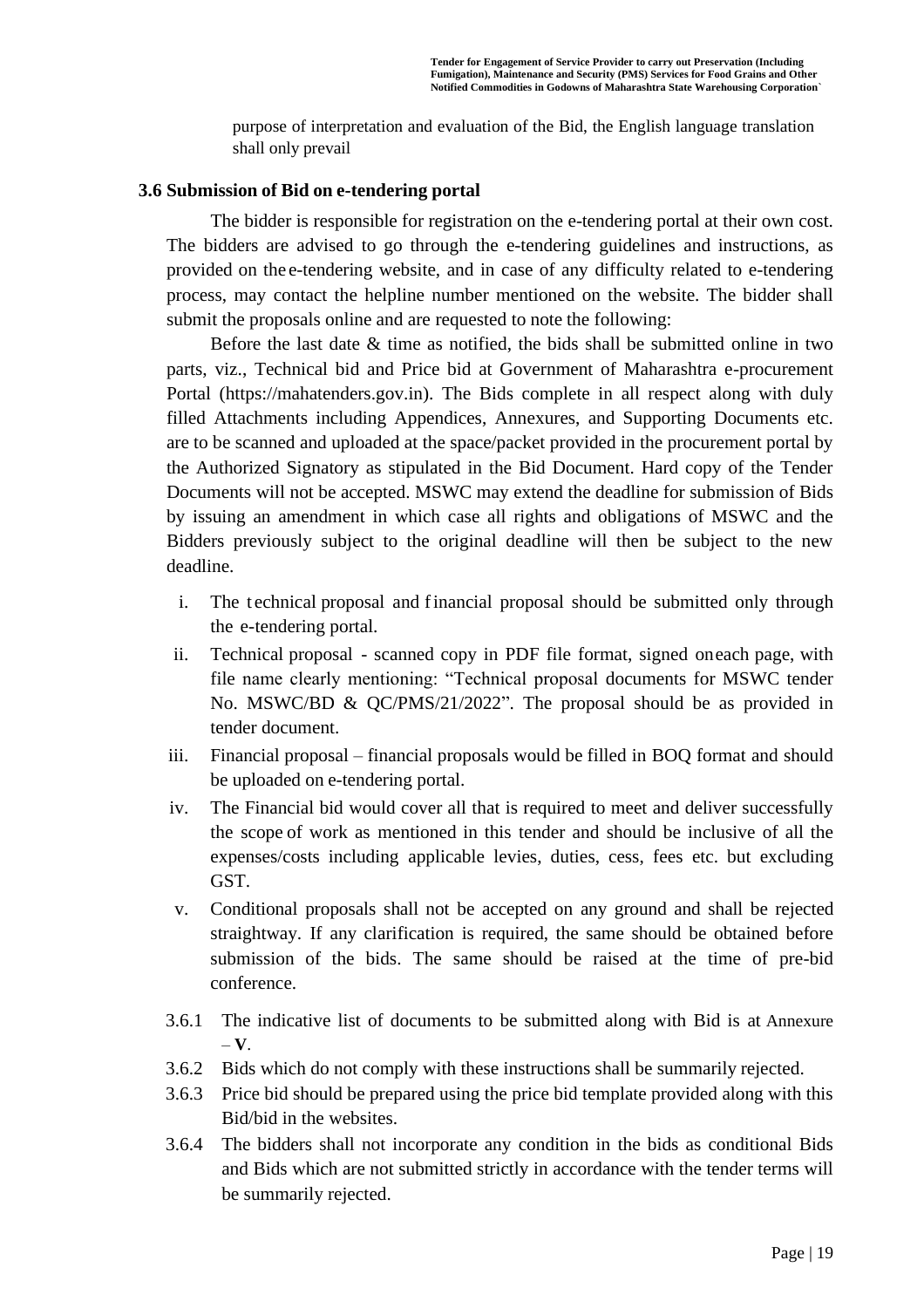purpose of interpretation and evaluation of the Bid, the English language translation shall only prevail

#### **3.6 Submission of Bid on e-tendering portal**

The bidder is responsible for registration on the e-tendering portal at their own cost. The bidders are advised to go through the e-tendering guidelines and instructions, as provided on the e-tendering website, and in case of any difficulty related to e-tendering process, may contact the helpline number mentioned on the website. The bidder shall submit the proposals online and are requested to note the following:

Before the last date  $\&$  time as notified, the bids shall be submitted online in two parts, viz., Technical bid and Price bid at Government of Maharashtra e-procurement Portal (https://mahatenders.gov.in). The Bids complete in all respect along with duly filled Attachments including Appendices, Annexures, and Supporting Documents etc. are to be scanned and uploaded at the space/packet provided in the procurement portal by the Authorized Signatory as stipulated in the Bid Document. Hard copy of the Tender Documents will not be accepted. MSWC may extend the deadline for submission of Bids by issuing an amendment in which case all rights and obligations of MSWC and the Bidders previously subject to the original deadline will then be subject to the new deadline.

- i. The technical proposal and financial proposal should be submitted only through the e-tendering portal.
- ii. Technical proposal scanned copy in PDF file format, signed oneach page, with file name clearly mentioning: "Technical proposal documents for MSWC tender No. MSWC/BD & QC/PMS/21/2022". The proposal should be as provided in tender document.
- iii. Financial proposal financial proposals would be filled in BOQ format and should be uploaded on e-tendering portal.
- iv. The Financial bid would cover all that is required to meet and deliver successfully the scope of work as mentioned in this tender and should be inclusive of all the expenses/costs including applicable levies, duties, cess, fees etc. but excluding GST.
- v. Conditional proposals shall not be accepted on any ground and shall be rejected straightway. If any clarification is required, the same should be obtained before submission of the bids. The same should be raised at the time of pre-bid conference.
- 3.6.1 The indicative list of documents to be submitted along with Bid is at Annexure – **V**.
- 3.6.2 Bids which do not comply with these instructions shall be summarily rejected.
- 3.6.3 Price bid should be prepared using the price bid template provided along with this Bid/bid in the websites.
- 3.6.4 The bidders shall not incorporate any condition in the bids as conditional Bids and Bids which are not submitted strictly in accordance with the tender terms will be summarily rejected.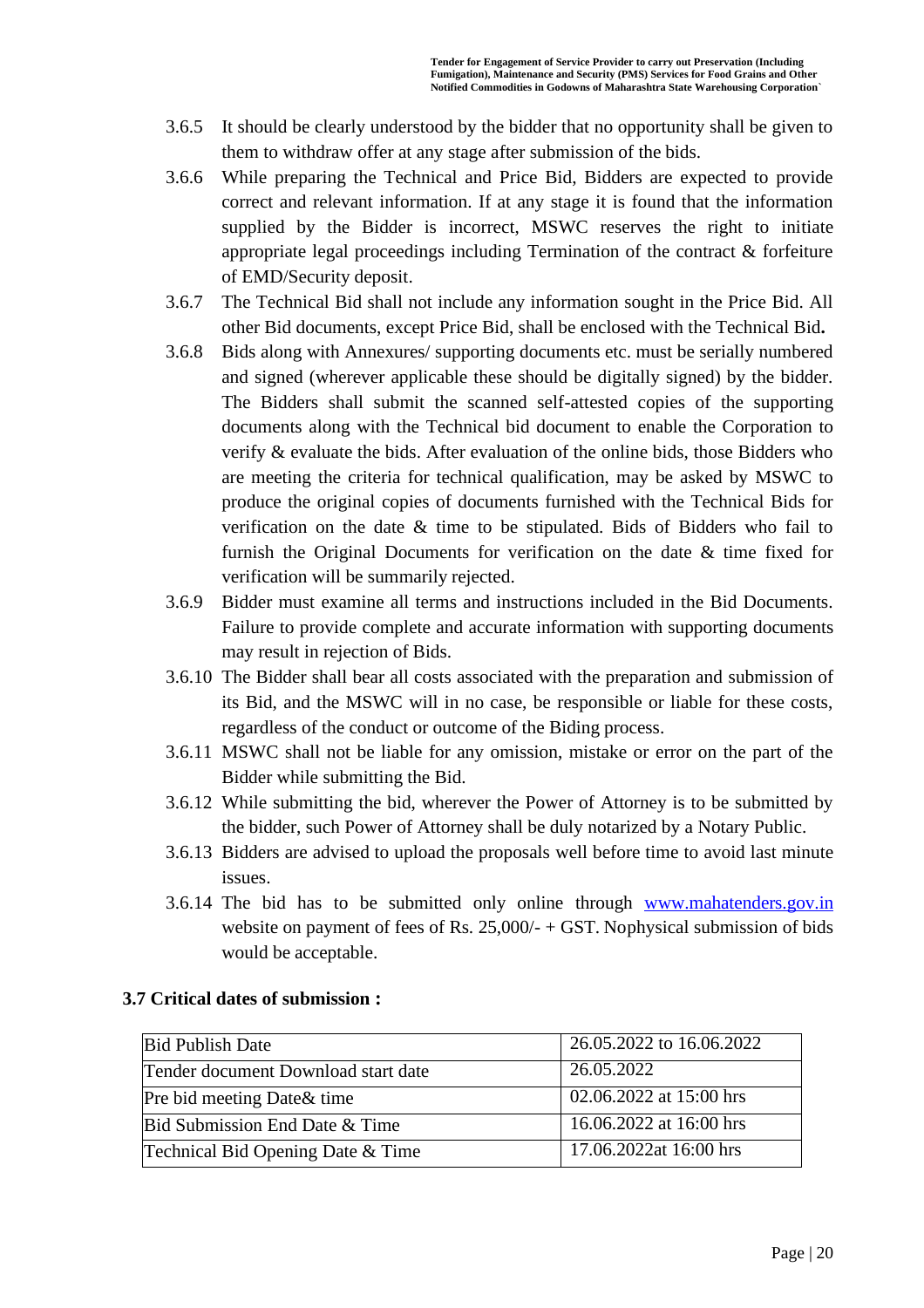- 3.6.5 It should be clearly understood by the bidder that no opportunity shall be given to them to withdraw offer at any stage after submission of the bids.
- 3.6.6 While preparing the Technical and Price Bid, Bidders are expected to provide correct and relevant information. If at any stage it is found that the information supplied by the Bidder is incorrect, MSWC reserves the right to initiate appropriate legal proceedings including Termination of the contract & forfeiture of EMD/Security deposit.
- 3.6.7 The Technical Bid shall not include any information sought in the Price Bid. All other Bid documents, except Price Bid, shall be enclosed with the Technical Bid**.**
- 3.6.8 Bids along with Annexures/ supporting documents etc. must be serially numbered and signed (wherever applicable these should be digitally signed) by the bidder. The Bidders shall submit the scanned self-attested copies of the supporting documents along with the Technical bid document to enable the Corporation to verify & evaluate the bids. After evaluation of the online bids, those Bidders who are meeting the criteria for technical qualification, may be asked by MSWC to produce the original copies of documents furnished with the Technical Bids for verification on the date & time to be stipulated. Bids of Bidders who fail to furnish the Original Documents for verification on the date & time fixed for verification will be summarily rejected.
- 3.6.9 Bidder must examine all terms and instructions included in the Bid Documents. Failure to provide complete and accurate information with supporting documents may result in rejection of Bids.
- 3.6.10 The Bidder shall bear all costs associated with the preparation and submission of its Bid, and the MSWC will in no case, be responsible or liable for these costs, regardless of the conduct or outcome of the Biding process.
- 3.6.11 MSWC shall not be liable for any omission, mistake or error on the part of the Bidder while submitting the Bid.
- 3.6.12 While submitting the bid, wherever the Power of Attorney is to be submitted by the bidder, such Power of Attorney shall be duly notarized by a Notary Public.
- 3.6.13 Bidders are advised to upload the proposals well before time to avoid last minute issues.
- 3.6.14 The bid has to be submitted only online through www.mahatenders.gov.in website on payment of fees of Rs. 25,000/- + GST. Nophysical submission of bids would be acceptable.

| <b>Bid Publish Date</b>             | 26.05.2022 to 16.06.2022 |
|-------------------------------------|--------------------------|
| Tender document Download start date | 26.05.2022               |
| Pre bid meeting Date & time         | 02.06.2022 at 15:00 hrs  |
| Bid Submission End Date & Time      | 16.06.2022 at 16:00 hrs  |
| Technical Bid Opening Date & Time   | 17.06.2022at 16:00 hrs   |

#### **3.7 Critical dates of submission :**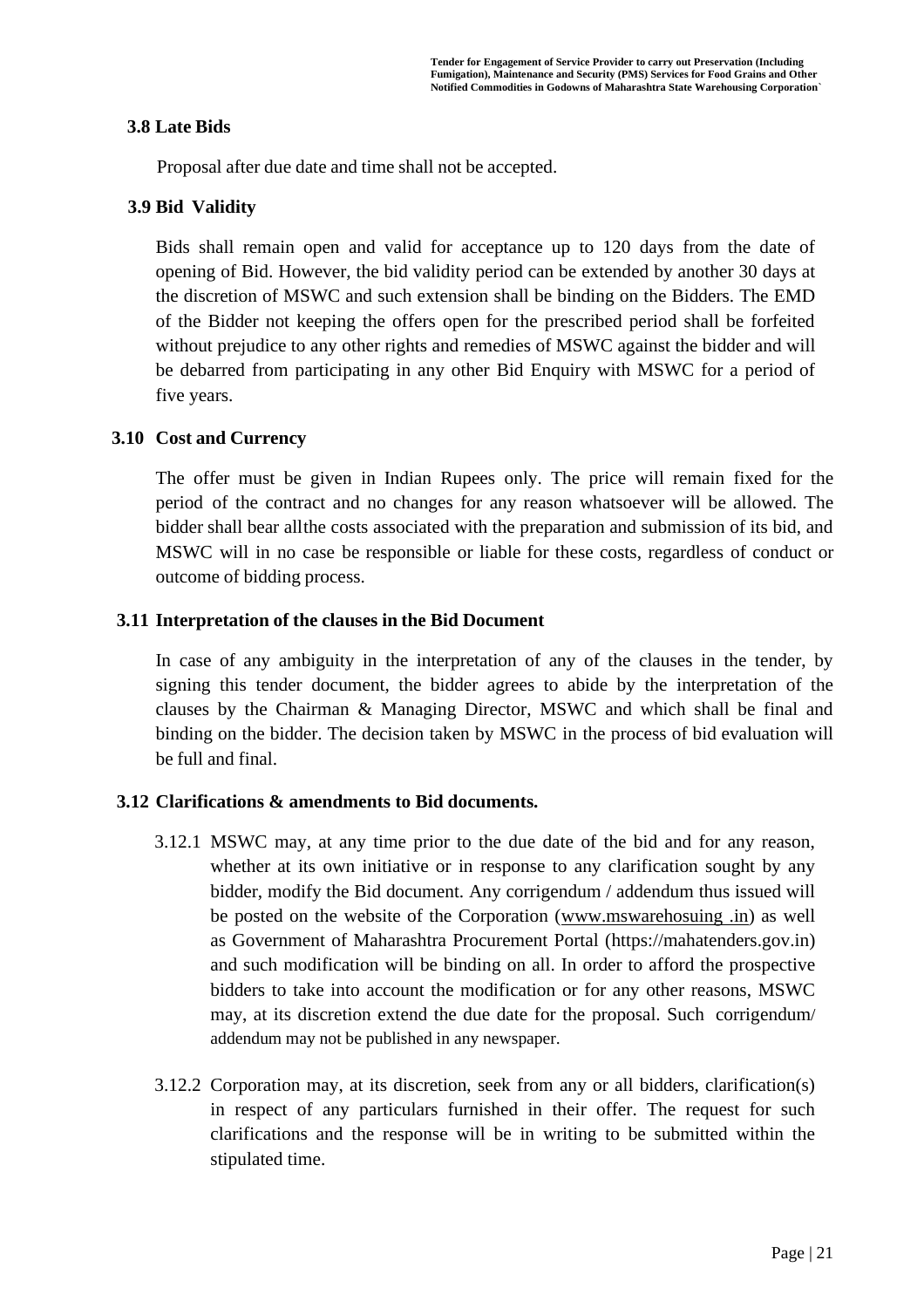#### **3.8 Late Bids**

Proposal after due date and time shall not be accepted.

### **3.9 Bid Validity**

Bids shall remain open and valid for acceptance up to 120 days from the date of opening of Bid. However, the bid validity period can be extended by another 30 days at the discretion of MSWC and such extension shall be binding on the Bidders. The EMD of the Bidder not keeping the offers open for the prescribed period shall be forfeited without prejudice to any other rights and remedies of MSWC against the bidder and will be debarred from participating in any other Bid Enquiry with MSWC for a period of five years.

### **3.10 Cost and Currency**

The offer must be given in Indian Rupees only. The price will remain fixed for the period of the contract and no changes for any reason whatsoever will be allowed. The bidder shall bear allthe costs associated with the preparation and submission of its bid, and MSWC will in no case be responsible or liable for these costs, regardless of conduct or outcome of bidding process.

### **3.11 Interpretation of the clauses in the Bid Document**

In case of any ambiguity in the interpretation of any of the clauses in the tender, by signing this tender document, the bidder agrees to abide by the interpretation of the clauses by the Chairman & Managing Director, MSWC and which shall be final and binding on the bidder. The decision taken by MSWC in the process of bid evaluation will be full and final.

### **3.12 Clarifications & amendments to Bid documents.**

- 3.12.1 MSWC may, at any time prior to the due date of the bid and for any reason, whether at its own initiative or in response to any clarification sought by any bidder, modify the Bid document. Any corrigendum / addendum thus issued will be posted on the website of the Corporation (www.mswarehosuing .in) as well as Government of Maharashtra Procurement Portal [\(https://mahatenders.gov.in\)](https://eprocure.gov.in/eprocure/app) and such modification will be binding on all. In order to afford the prospective bidders to take into account the modification or for any other reasons, MSWC may, at its discretion extend the due date for the proposal. Such corrigendum/ addendum may not be published in any newspaper.
- 3.12.2 Corporation may, at its discretion, seek from any or all bidders, clarification(s) in respect of any particulars furnished in their offer. The request for such clarifications and the response will be in writing to be submitted within the stipulated time.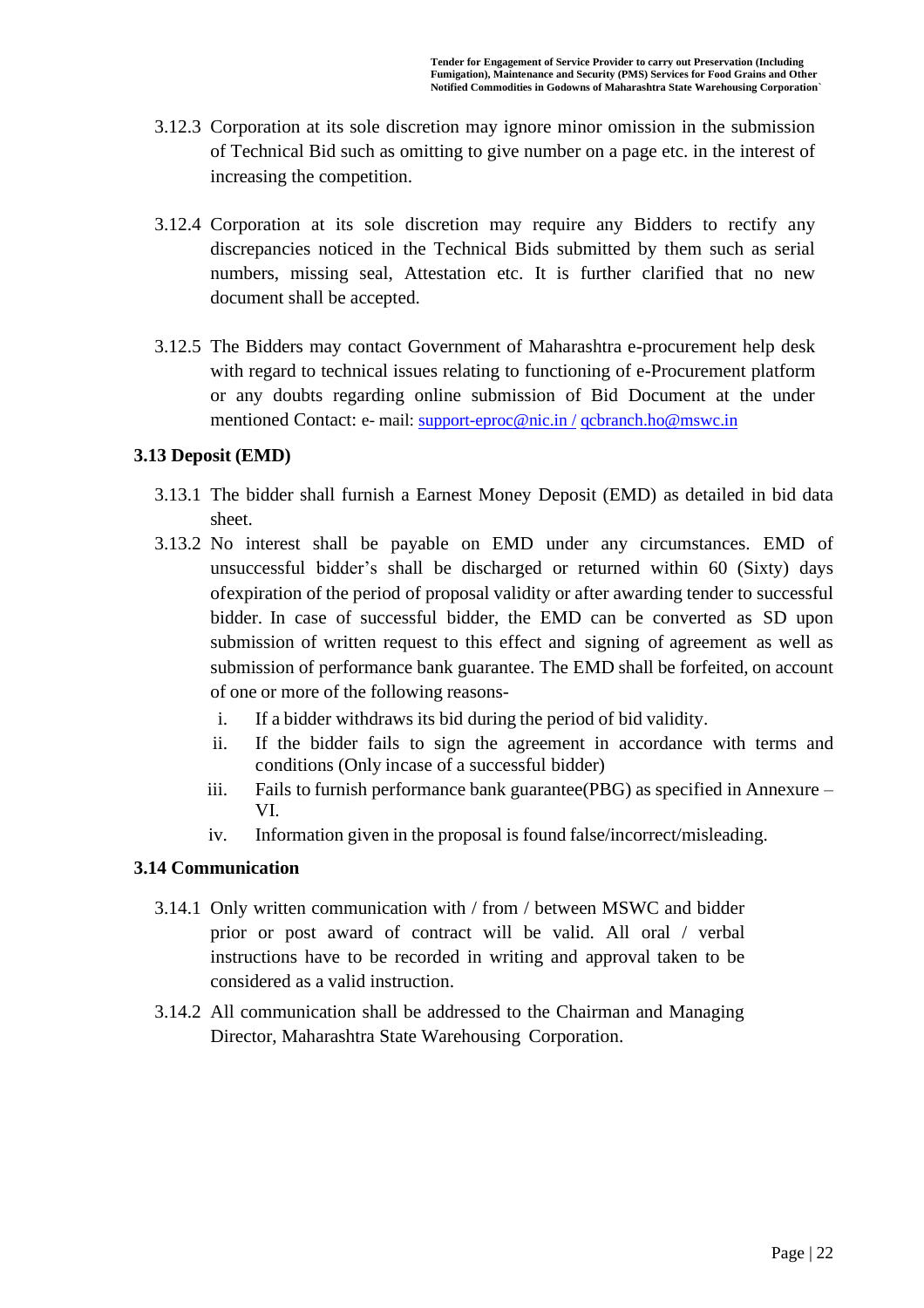- 3.12.3 Corporation at its sole discretion may ignore minor omission in the submission of Technical Bid such as omitting to give number on a page etc. in the interest of increasing the competition.
- 3.12.4 Corporation at its sole discretion may require any Bidders to rectify any discrepancies noticed in the Technical Bids submitted by them such as serial numbers, missing seal, Attestation etc. It is further clarified that no new document shall be accepted.
- 3.12.5 The Bidders may contact Government of Maharashtra e-procurement help desk with regard to technical issues relating to functioning of e-Procurement platform or any doubts regarding online submission of Bid Document at the under mentioned Contact: e- mail: [support-eproc@nic.in /](mailto:support-eproc@nic.in%20/) [qcbranch.ho@mswc.in](mailto:qcbranch.ho@mswc.in)

### **3.13 Deposit (EMD)**

- 3.13.1 The bidder shall furnish a Earnest Money Deposit (EMD) as detailed in bid data sheet.
- 3.13.2 No interest shall be payable on EMD under any circumstances. EMD of unsuccessful bidder's shall be discharged or returned within 60 (Sixty) days ofexpiration of the period of proposal validity or after awarding tender to successful bidder. In case of successful bidder, the EMD can be converted as SD upon submission of written request to this effect and signing of agreement as well as submission of performance bank guarantee. The EMD shall be forfeited, on account of one or more of the following reasons
	- i. If a bidder withdraws its bid during the period of bid validity.
	- ii. If the bidder fails to sign the agreement in accordance with terms and conditions (Only incase of a successful bidder)
	- iii. Fails to furnish performance bank guarantee(PBG) as specified in Annexure VI.
	- iv. Information given in the proposal is found false/incorrect/misleading.

### **3.14 Communication**

- 3.14.1 Only written communication with / from / between MSWC and bidder prior or post award of contract will be valid. All oral / verbal instructions have to be recorded in writing and approval taken to be considered as a valid instruction.
- 3.14.2 All communication shall be addressed to the Chairman and Managing Director, Maharashtra State Warehousing Corporation.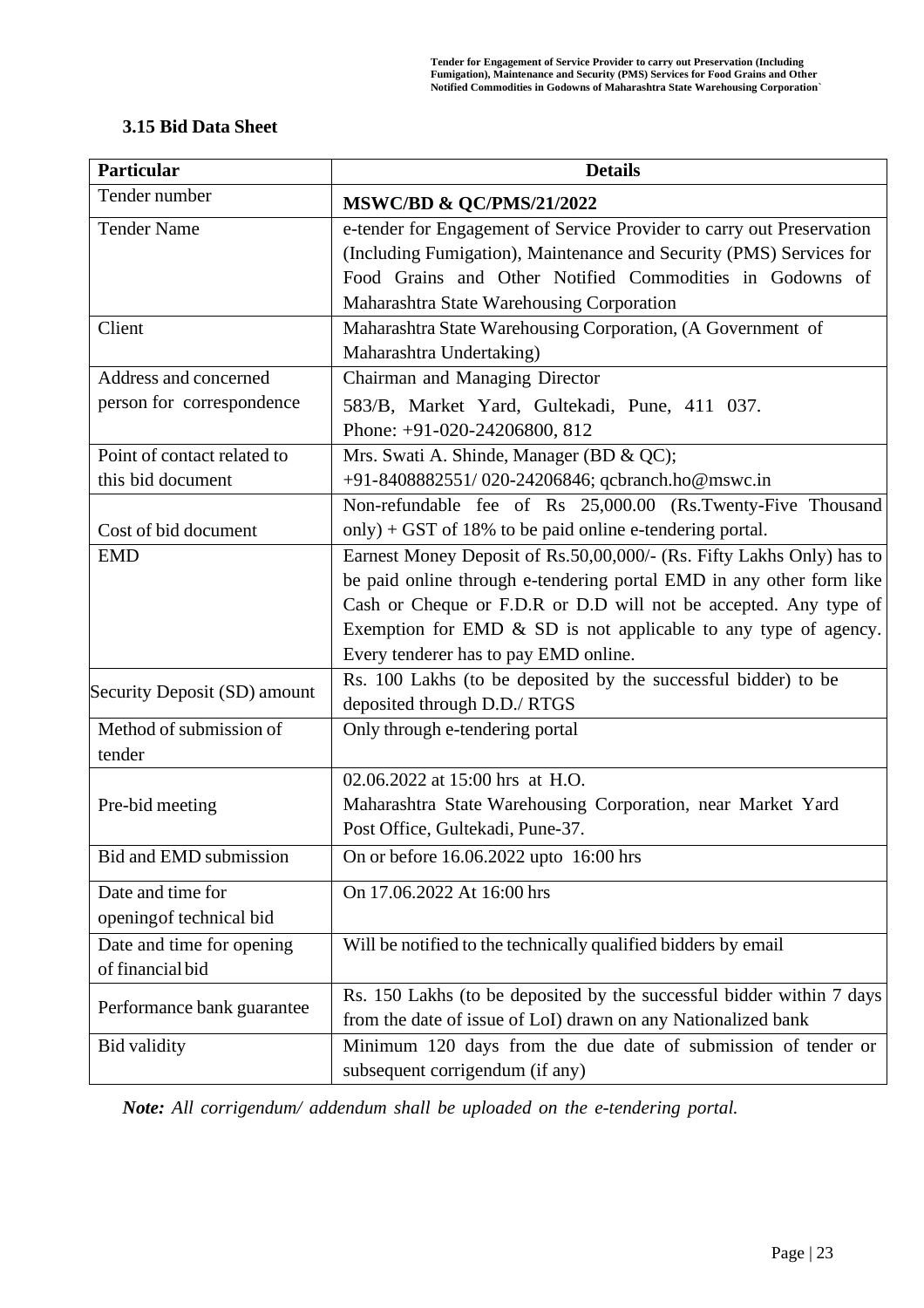### **3.15 Bid Data Sheet**

| <b>Particular</b>            | <b>Details</b>                                                        |  |  |
|------------------------------|-----------------------------------------------------------------------|--|--|
| Tender number                | <b>MSWC/BD &amp; QC/PMS/21/2022</b>                                   |  |  |
| <b>Tender Name</b>           | e-tender for Engagement of Service Provider to carry out Preservation |  |  |
|                              | (Including Fumigation), Maintenance and Security (PMS) Services for   |  |  |
|                              | Food Grains and Other Notified Commodities in Godowns of              |  |  |
|                              | Maharashtra State Warehousing Corporation                             |  |  |
| Client                       | Maharashtra State Warehousing Corporation, (A Government of           |  |  |
|                              | Maharashtra Undertaking)                                              |  |  |
| Address and concerned        | Chairman and Managing Director                                        |  |  |
| person for correspondence    | 583/B, Market Yard, Gultekadi, Pune, 411 037.                         |  |  |
|                              | Phone: +91-020-24206800, 812                                          |  |  |
| Point of contact related to  | Mrs. Swati A. Shinde, Manager (BD & QC);                              |  |  |
| this bid document            | +91-8408882551/020-24206846; qcbranch.ho@mswc.in                      |  |  |
|                              | Non-refundable fee of Rs 25,000.00 (Rs.Twenty-Five Thousand           |  |  |
| Cost of bid document         | only) + GST of 18% to be paid online e-tendering portal.              |  |  |
| <b>EMD</b>                   | Earnest Money Deposit of Rs.50,00,000/- (Rs. Fifty Lakhs Only) has to |  |  |
|                              | be paid online through e-tendering portal EMD in any other form like  |  |  |
|                              | Cash or Cheque or F.D.R or D.D will not be accepted. Any type of      |  |  |
|                              | Exemption for EMD $\&$ SD is not applicable to any type of agency.    |  |  |
|                              | Every tenderer has to pay EMD online.                                 |  |  |
| Security Deposit (SD) amount | Rs. 100 Lakhs (to be deposited by the successful bidder) to be        |  |  |
|                              | deposited through D.D./ RTGS                                          |  |  |
| Method of submission of      | Only through e-tendering portal                                       |  |  |
| tender                       |                                                                       |  |  |
|                              | 02.06.2022 at 15:00 hrs at H.O.                                       |  |  |
| Pre-bid meeting              | Maharashtra State Warehousing Corporation, near Market Yard           |  |  |
|                              | Post Office, Gultekadi, Pune-37.                                      |  |  |
| Bid and EMD submission       | On or before 16.06.2022 upto 16:00 hrs                                |  |  |
| Date and time for            | On 17.06.2022 At 16:00 hrs                                            |  |  |
| opening of technical bid     |                                                                       |  |  |
| Date and time for opening    | Will be notified to the technically qualified bidders by email        |  |  |
| of financial bid             |                                                                       |  |  |
|                              | Rs. 150 Lakhs (to be deposited by the successful bidder within 7 days |  |  |
| Performance bank guarantee   | from the date of issue of LoI) drawn on any Nationalized bank         |  |  |
| <b>Bid validity</b>          | Minimum 120 days from the due date of submission of tender or         |  |  |
|                              | subsequent corrigendum (if any)                                       |  |  |

*Note: All corrigendum/ addendum shall be uploaded on the e-tendering portal.*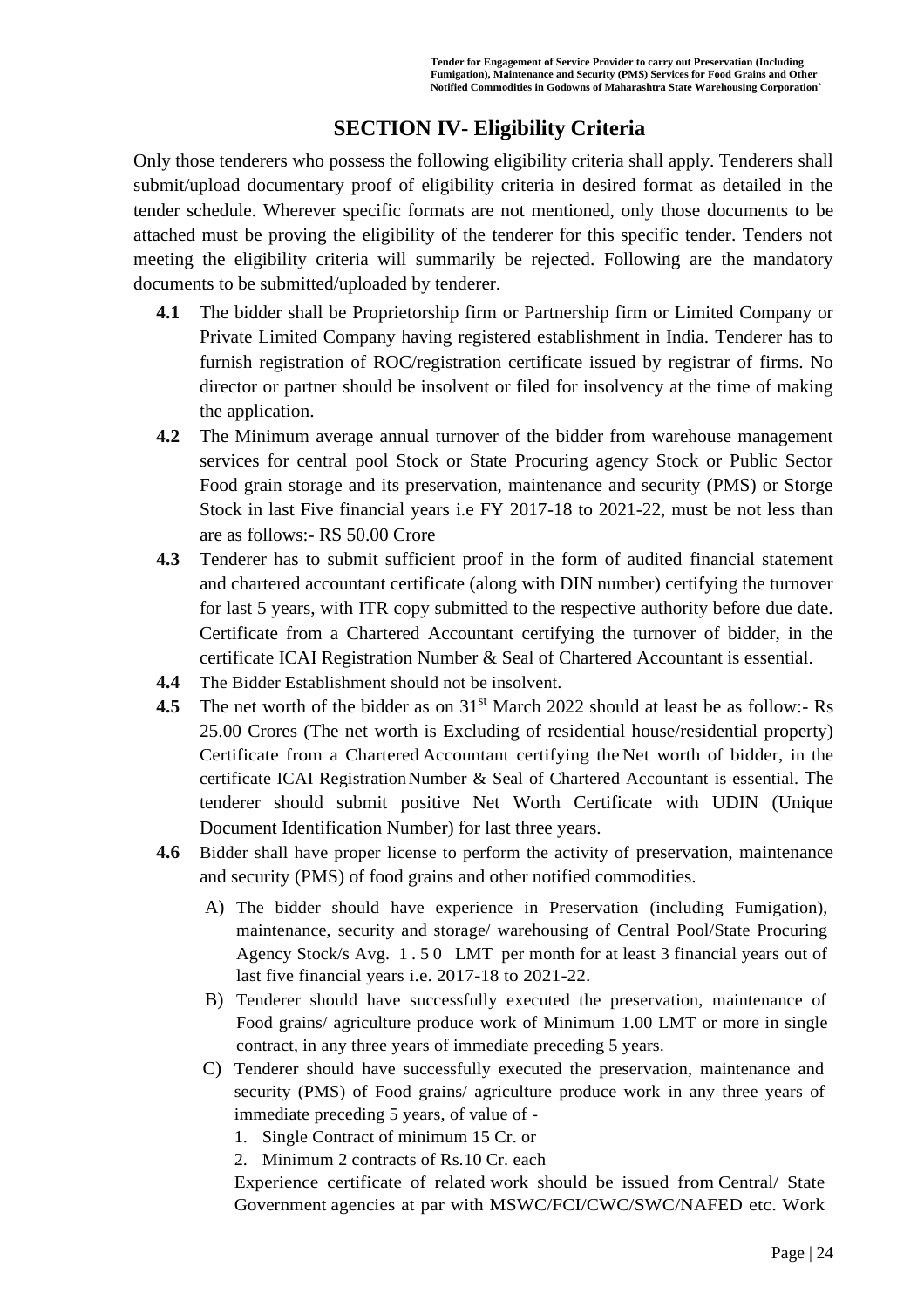## **SECTION IV- Eligibility Criteria**

Only those tenderers who possess the following eligibility criteria shall apply. Tenderers shall submit/upload documentary proof of eligibility criteria in desired format as detailed in the tender schedule. Wherever specific formats are not mentioned, only those documents to be attached must be proving the eligibility of the tenderer for this specific tender. Tenders not meeting the eligibility criteria will summarily be rejected. Following are the mandatory documents to be submitted/uploaded by tenderer.

- **4.1** The bidder shall be Proprietorship firm or Partnership firm or Limited Company or Private Limited Company having registered establishment in India. Tenderer has to furnish registration of ROC/registration certificate issued by registrar of firms. No director or partner should be insolvent or filed for insolvency at the time of making the application.
- **4.2** The Minimum average annual turnover of the bidder from warehouse management services for central pool Stock or State Procuring agency Stock or Public Sector Food grain storage and its preservation, maintenance and security (PMS) or Storge Stock in last Five financial years i.e FY 2017-18 to 2021-22, must be not less than are as follows:- RS 50.00 Crore
- **4.3** Tenderer has to submit sufficient proof in the form of audited financial statement and chartered accountant certificate (along with DIN number) certifying the turnover for last 5 years, with ITR copy submitted to the respective authority before due date. Certificate from a Chartered Accountant certifying the turnover of bidder, in the certificate ICAI Registration Number & Seal of Chartered Accountant is essential.
- **4.4** The Bidder Establishment should not be insolvent.
- **4.5** The net worth of the bidder as on 31<sup>st</sup> March 2022 should at least be as follow:- Rs 25.00 Crores (The net worth is Excluding of residential house/residential property) Certificate from a Chartered Accountant certifying the Net worth of bidder, in the certificate ICAI RegistrationNumber & Seal of Chartered Accountant is essential. The tenderer should submit positive Net Worth Certificate with UDIN (Unique Document Identification Number) for last three years.
- **4.6** Bidder shall have proper license to perform the activity of preservation, maintenance and security (PMS) of food grains and other notified commodities.
	- A) The bidder should have experience in Preservation (including Fumigation), maintenance, security and storage/ warehousing of Central Pool/State Procuring Agency Stock/s Avg. 1 . 5 0 LMT per month for at least 3 financial years out of last five financial years i.e. 2017-18 to 2021-22.
	- B) Tenderer should have successfully executed the preservation, maintenance of Food grains/ agriculture produce work of Minimum 1.00 LMT or more in single contract, in any three years of immediate preceding 5 years.
	- C) Tenderer should have successfully executed the preservation, maintenance and security (PMS) of Food grains/ agriculture produce work in any three years of immediate preceding 5 years, of value of -
		- 1. Single Contract of minimum 15 Cr. or
		- 2. Minimum 2 contracts of Rs.10 Cr. each

Experience certificate of related work should be issued from Central/ State Government agencies at par with MSWC/FCI/CWC/SWC/NAFED etc. Work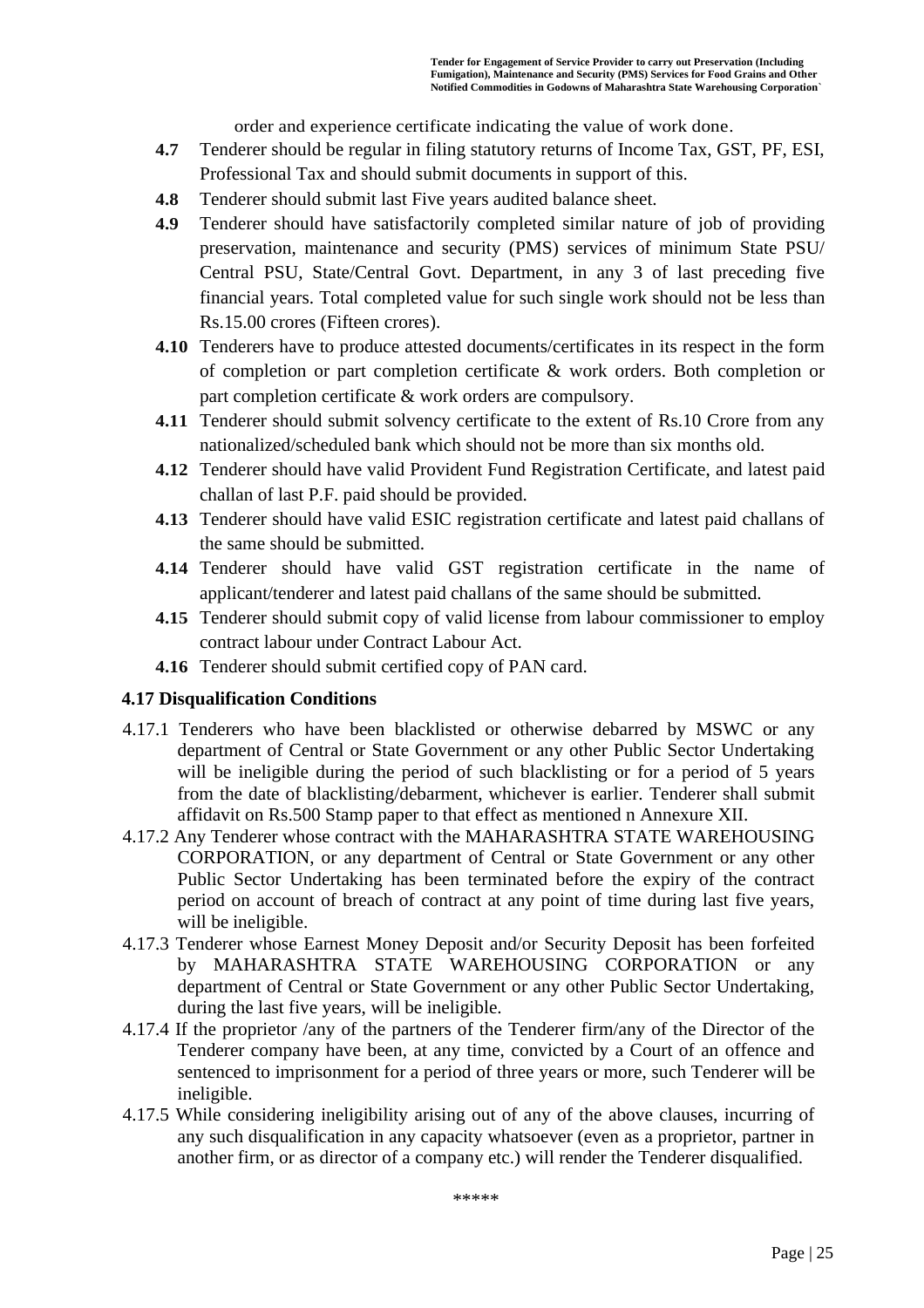order and experience certificate indicating the value of work done.

- **4.7** Tenderer should be regular in filing statutory returns of Income Tax, GST, PF, ESI, Professional Tax and should submit documents in support of this.
- **4.8** Tenderer should submit last Five years audited balance sheet.
- **4.9** Tenderer should have satisfactorily completed similar nature of job of providing preservation, maintenance and security (PMS) services of minimum State PSU/ Central PSU, State/Central Govt. Department, in any 3 of last preceding five financial years. Total completed value for such single work should not be less than Rs.15.00 crores (Fifteen crores).
- **4.10** Tenderers have to produce attested documents/certificates in its respect in the form of completion or part completion certificate & work orders. Both completion or part completion certificate & work orders are compulsory.
- **4.11** Tenderer should submit solvency certificate to the extent of Rs.10 Crore from any nationalized/scheduled bank which should not be more than six months old.
- **4.12** Tenderer should have valid Provident Fund Registration Certificate, and latest paid challan of last P.F. paid should be provided.
- **4.13** Tenderer should have valid ESIC registration certificate and latest paid challans of the same should be submitted.
- **4.14** Tenderer should have valid GST registration certificate in the name of applicant/tenderer and latest paid challans of the same should be submitted.
- **4.15** Tenderer should submit copy of valid license from labour commissioner to employ contract labour under Contract Labour Act.
- **4.16** Tenderer should submit certified copy of PAN card.

#### **4.17 Disqualification Conditions**

- 4.17.1 Tenderers who have been blacklisted or otherwise debarred by MSWC or any department of Central or State Government or any other Public Sector Undertaking will be ineligible during the period of such blacklisting or for a period of 5 years from the date of blacklisting/debarment, whichever is earlier. Tenderer shall submit affidavit on Rs.500 Stamp paper to that effect as mentioned n Annexure XII.
- 4.17.2 Any Tenderer whose contract with the MAHARASHTRA STATE WAREHOUSING CORPORATION, or any department of Central or State Government or any other Public Sector Undertaking has been terminated before the expiry of the contract period on account of breach of contract at any point of time during last five years, will be ineligible.
- 4.17.3 Tenderer whose Earnest Money Deposit and/or Security Deposit has been forfeited by MAHARASHTRA STATE WAREHOUSING CORPORATION or any department of Central or State Government or any other Public Sector Undertaking, during the last five years, will be ineligible.
- 4.17.4 If the proprietor /any of the partners of the Tenderer firm/any of the Director of the Tenderer company have been, at any time, convicted by a Court of an offence and sentenced to imprisonment for a period of three years or more, such Tenderer will be ineligible.
- 4.17.5 While considering ineligibility arising out of any of the above clauses, incurring of any such disqualification in any capacity whatsoever (even as a proprietor, partner in another firm, or as director of a company etc.) will render the Tenderer disqualified.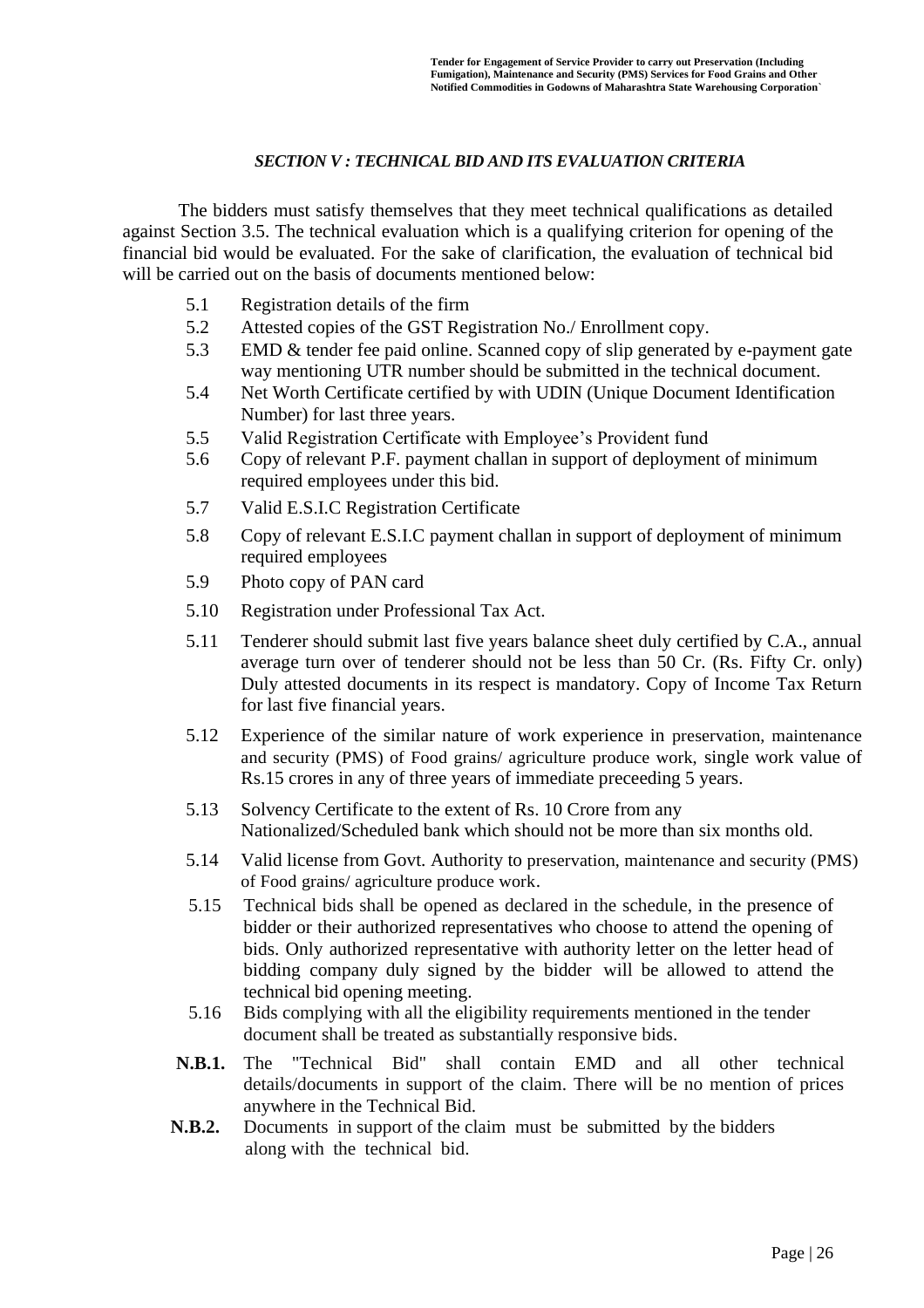#### *SECTION V : TECHNICAL BID AND ITS EVALUATION CRITERIA*

The bidders must satisfy themselves that they meet technical qualifications as detailed against Section 3.5. The technical evaluation which is a qualifying criterion for opening of the financial bid would be evaluated. For the sake of clarification, the evaluation of technical bid will be carried out on the basis of documents mentioned below:

- 5.1 Registration details of the firm
- 5.2 Attested copies of the GST Registration No./ Enrollment copy.
- 5.3 EMD & tender fee paid online. Scanned copy of slip generated by e-payment gate way mentioning UTR number should be submitted in the technical document.
- 5.4 Net Worth Certificate certified by with UDIN (Unique Document Identification Number) for last three years.
- 5.5 Valid Registration Certificate with Employee's Provident fund
- 5.6 Copy of relevant P.F. payment challan in support of deployment of minimum required employees under this bid.
- 5.7 Valid E.S.I.C Registration Certificate
- 5.8 Copy of relevant E.S.I.C payment challan in support of deployment of minimum required employees
- 5.9 Photo copy of PAN card
- 5.10 Registration under Professional Tax Act.
- 5.11 Tenderer should submit last five years balance sheet duly certified by C.A., annual average turn over of tenderer should not be less than 50 Cr. (Rs. Fifty Cr. only) Duly attested documents in its respect is mandatory. Copy of Income Tax Return for last five financial years.
- 5.12 Experience of the similar nature of work experience in preservation, maintenance and security (PMS) of Food grains/ agriculture produce work, single work value of Rs.15 crores in any of three years of immediate preceeding 5 years.
- 5.13 Solvency Certificate to the extent of Rs. 10 Crore from any Nationalized/Scheduled bank which should not be more than six months old.
- 5.14 Valid license from Govt. Authority to preservation, maintenance and security (PMS) of Food grains/ agriculture produce work.
- 5.15 Technical bids shall be opened as declared in the schedule, in the presence of bidder or their authorized representatives who choose to attend the opening of bids. Only authorized representative with authority letter on the letter head of bidding company duly signed by the bidder will be allowed to attend the technical bid opening meeting.
- 5.16 Bids complying with all the eligibility requirements mentioned in the tender document shall be treated as substantially responsive bids.
- **N.B.1.** The "Technical Bid" shall contain EMD and all other technical details/documents in support of the claim. There will be no mention of prices anywhere in the Technical Bid.
- **N.B.2.** Documents in support of the claim must be submitted by the bidders along with the technical bid.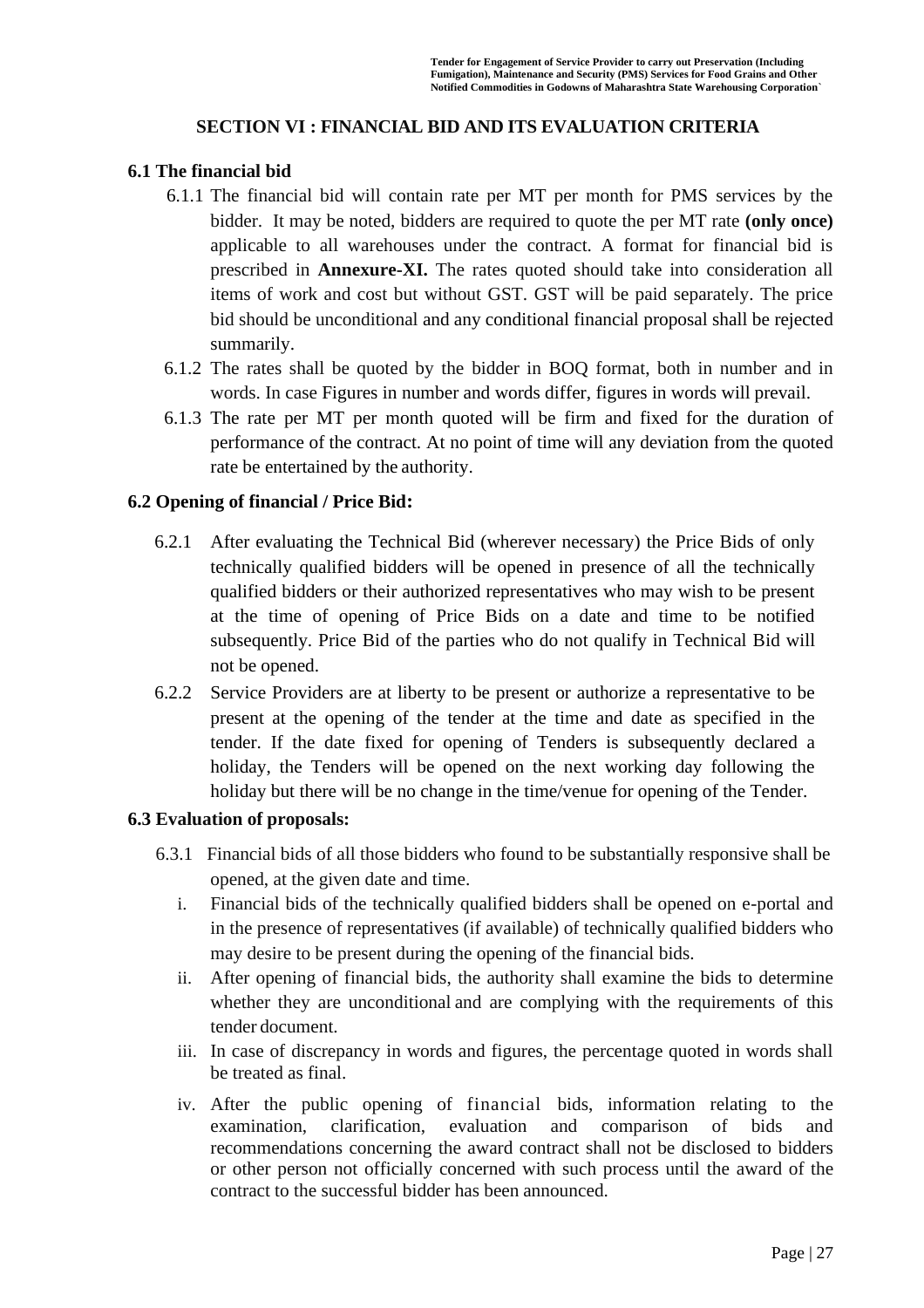### **SECTION VI : FINANCIAL BID AND ITS EVALUATION CRITERIA**

#### **6.1 The financial bid**

- 6.1.1 The financial bid will contain rate per MT per month for PMS services by the bidder. It may be noted, bidders are required to quote the per MT rate **(only once)** applicable to all warehouses under the contract. A format for financial bid is prescribed in **Annexure-XI.** The rates quoted should take into consideration all items of work and cost but without GST. GST will be paid separately. The price bid should be unconditional and any conditional financial proposal shall be rejected summarily.
- 6.1.2 The rates shall be quoted by the bidder in BOQ format, both in number and in words. In case Figures in number and words differ, figures in words will prevail.
- 6.1.3 The rate per MT per month quoted will be firm and fixed for the duration of performance of the contract. At no point of time will any deviation from the quoted rate be entertained by the authority.

#### **6.2 Opening of financial / Price Bid:**

- 6.2.1 After evaluating the Technical Bid (wherever necessary) the Price Bids of only technically qualified bidders will be opened in presence of all the technically qualified bidders or their authorized representatives who may wish to be present at the time of opening of Price Bids on a date and time to be notified subsequently. Price Bid of the parties who do not qualify in Technical Bid will not be opened.
- 6.2.2 Service Providers are at liberty to be present or authorize a representative to be present at the opening of the tender at the time and date as specified in the tender. If the date fixed for opening of Tenders is subsequently declared a holiday, the Tenders will be opened on the next working day following the holiday but there will be no change in the time/venue for opening of the Tender.

#### **6.3 Evaluation of proposals:**

- 6.3.1Financial bids of all those bidders who found to be substantially responsive shall be opened, at the given date and time.
	- i. Financial bids of the technically qualified bidders shall be opened on e-portal and in the presence of representatives (if available) of technically qualified bidders who may desire to be present during the opening of the financial bids.
	- ii. After opening of financial bids, the authority shall examine the bids to determine whether they are unconditional and are complying with the requirements of this tender document.
	- iii. In case of discrepancy in words and figures, the percentage quoted in words shall be treated as final.
	- iv. After the public opening of financial bids, information relating to the examination, clarification, evaluation and comparison of bids and recommendations concerning the award contract shall not be disclosed to bidders or other person not officially concerned with such process until the award of the contract to the successful bidder has been announced.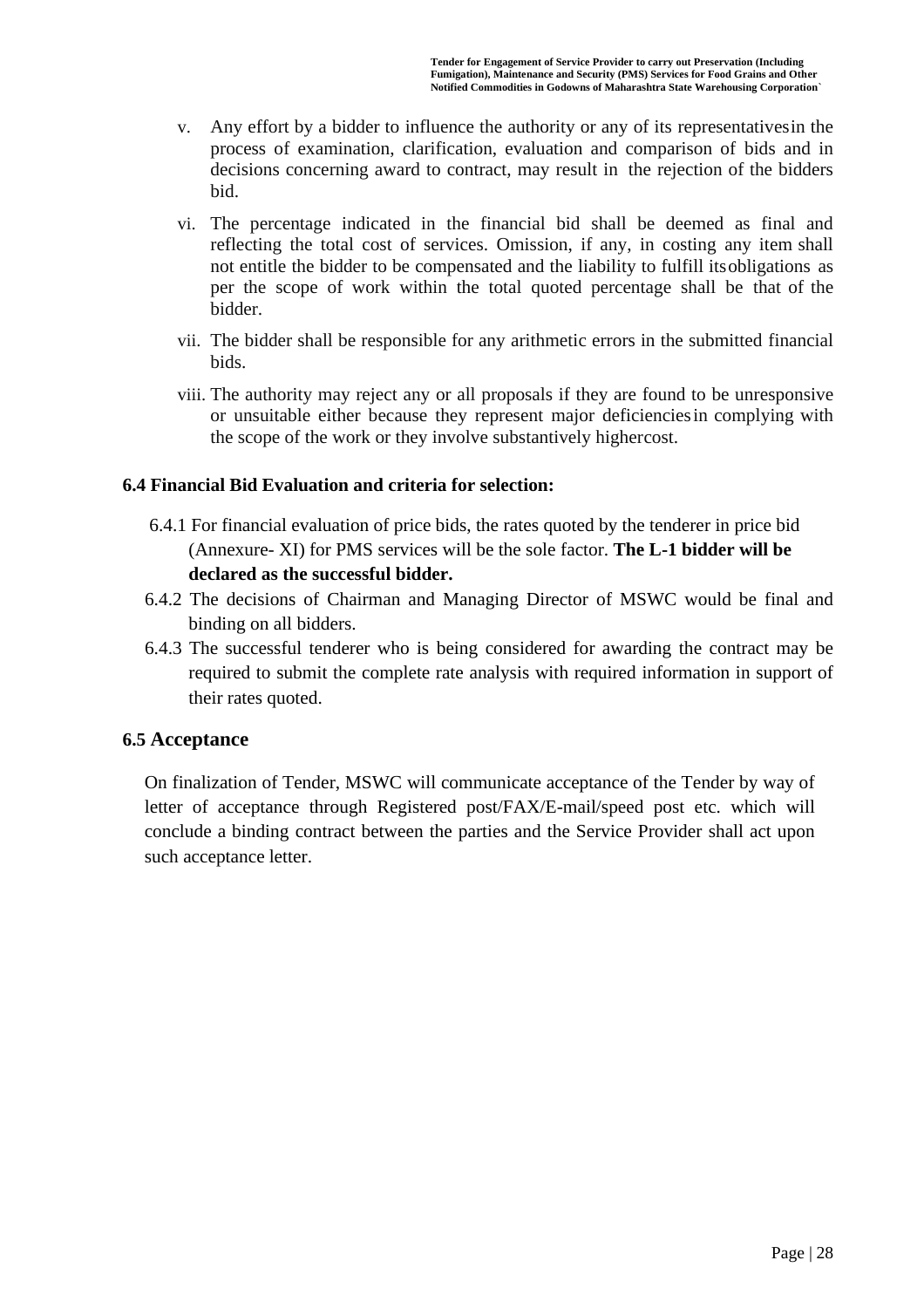- v. Any effort by a bidder to influence the authority or any of its representativesin the process of examination, clarification, evaluation and comparison of bids and in decisions concerning award to contract, may result in the rejection of the bidders bid.
- vi. The percentage indicated in the financial bid shall be deemed as final and reflecting the total cost of services. Omission, if any, in costing any item shall not entitle the bidder to be compensated and the liability to fulfill itsobligations as per the scope of work within the total quoted percentage shall be that of the bidder.
- vii. The bidder shall be responsible for any arithmetic errors in the submitted financial bids.
- viii. The authority may reject any or all proposals if they are found to be unresponsive or unsuitable either because they represent major deficienciesin complying with the scope of the work or they involve substantively highercost.

### **6.4 Financial Bid Evaluation and criteria for selection:**

- 6.4.1 For financial evaluation of price bids, the rates quoted by the tenderer in price bid (Annexure- XI) for PMS services will be the sole factor. **The L-1 bidder will be declared as the successful bidder.**
- 6.4.2 The decisions of Chairman and Managing Director of MSWC would be final and binding on all bidders.
- 6.4.3 The successful tenderer who is being considered for awarding the contract may be required to submit the complete rate analysis with required information in support of their rates quoted.

### **6.5 Acceptance**

On finalization of Tender, MSWC will communicate acceptance of the Tender by way of letter of acceptance through Registered post/FAX/E-mail/speed post etc. which will conclude a binding contract between the parties and the Service Provider shall act upon such acceptance letter.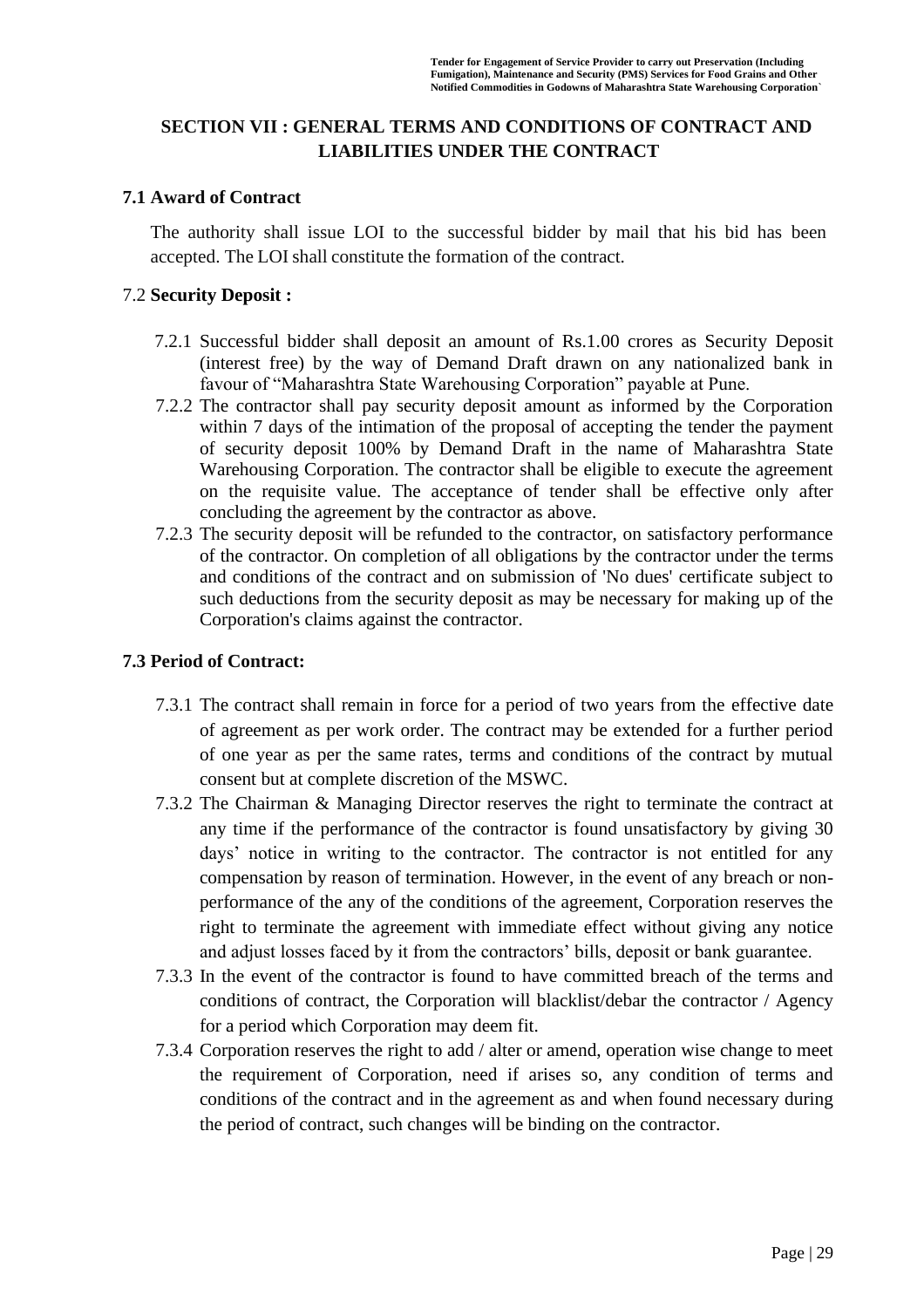### **SECTION VII : GENERAL TERMS AND CONDITIONS OF CONTRACT AND LIABILITIES UNDER THE CONTRACT**

#### **7.1 Award of Contract**

The authority shall issue LOI to the successful bidder by mail that his bid has been accepted. The LOIshall constitute the formation of the contract.

### 7.2 **Security Deposit :**

- 7.2.1 Successful bidder shall deposit an amount of Rs.1.00 crores as Security Deposit (interest free) by the way of Demand Draft drawn on any nationalized bank in favour of "Maharashtra State Warehousing Corporation" payable at Pune.
- 7.2.2 The contractor shall pay security deposit amount as informed by the Corporation within 7 days of the intimation of the proposal of accepting the tender the payment of security deposit 100% by Demand Draft in the name of Maharashtra State Warehousing Corporation. The contractor shall be eligible to execute the agreement on the requisite value. The acceptance of tender shall be effective only after concluding the agreement by the contractor as above.
- 7.2.3 The security deposit will be refunded to the contractor, on satisfactory performance of the contractor. On completion of all obligations by the contractor under the terms and conditions of the contract and on submission of 'No dues' certificate subject to such deductions from the security deposit as may be necessary for making up of the Corporation's claims against the contractor.

#### **7.3 Period of Contract:**

- 7.3.1 The contract shall remain in force for a period of two years from the effective date of agreement as per work order. The contract may be extended for a further period of one year as per the same rates, terms and conditions of the contract by mutual consent but at complete discretion of the MSWC.
- 7.3.2 The Chairman & Managing Director reserves the right to terminate the contract at any time if the performance of the contractor is found unsatisfactory by giving 30 days' notice in writing to the contractor. The contractor is not entitled for any compensation by reason of termination. However, in the event of any breach or nonperformance of the any of the conditions of the agreement, Corporation reserves the right to terminate the agreement with immediate effect without giving any notice and adjust losses faced by it from the contractors' bills, deposit or bank guarantee.
- 7.3.3 In the event of the contractor is found to have committed breach of the terms and conditions of contract, the Corporation will blacklist/debar the contractor / Agency for a period which Corporation may deem fit.
- 7.3.4 Corporation reserves the right to add / alter or amend, operation wise change to meet the requirement of Corporation, need if arises so, any condition of terms and conditions of the contract and in the agreement as and when found necessary during the period of contract, such changes will be binding on the contractor.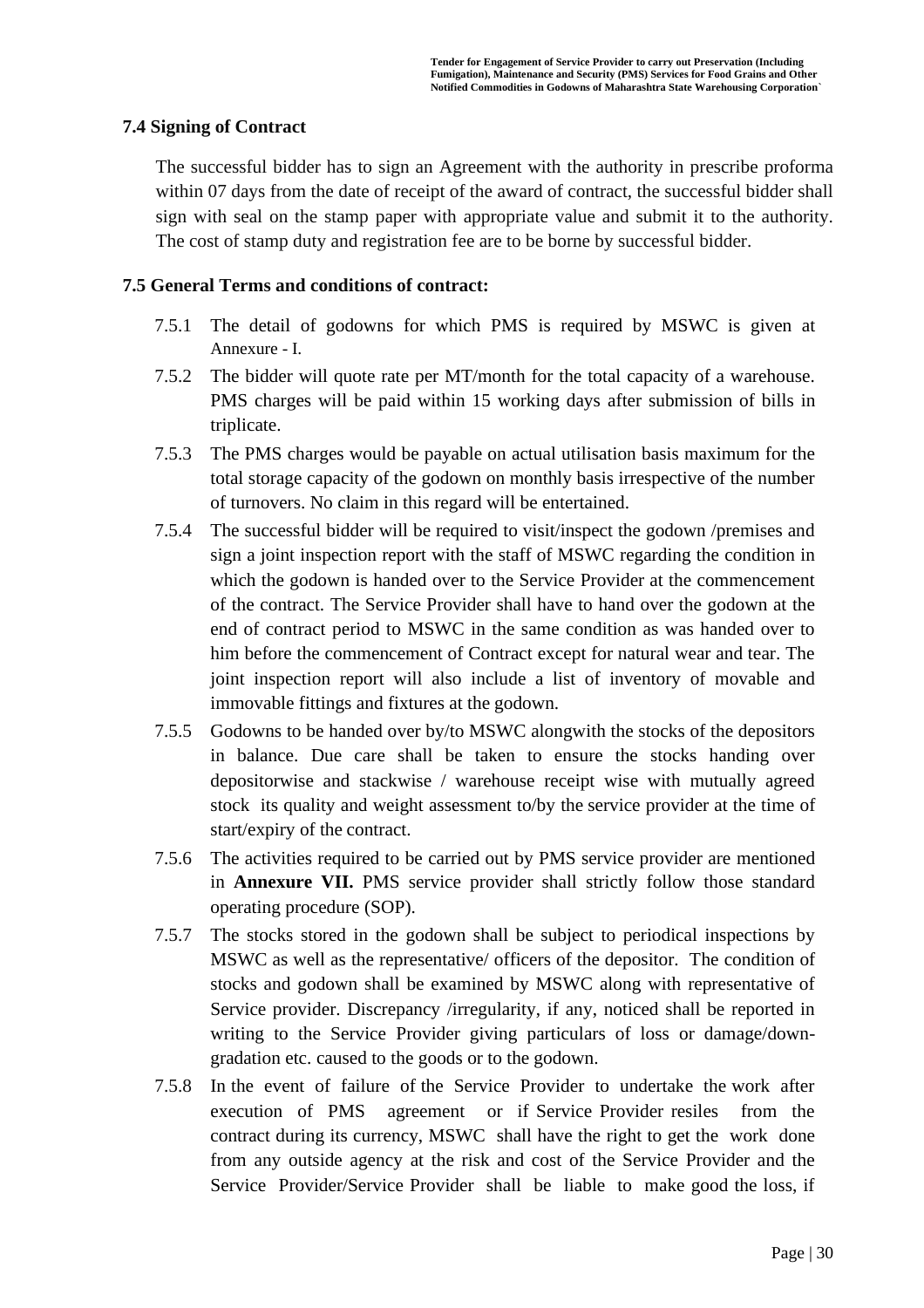### **7.4 Signing of Contract**

The successful bidder has to sign an Agreement with the authority in prescribe proforma within 07 days from the date of receipt of the award of contract, the successful bidder shall sign with seal on the stamp paper with appropriate value and submit it to the authority. The cost of stamp duty and registration fee are to be borne by successful bidder.

### **7.5 General Terms and conditions of contract:**

- 7.5.1 The detail of godowns for which PMS is required by MSWC is given at Annexure - I.
- 7.5.2 The bidder will quote rate per MT/month for the total capacity of a warehouse. PMS charges will be paid within 15 working days after submission of bills in triplicate.
- 7.5.3 The PMS charges would be payable on actual utilisation basis maximum for the total storage capacity of the godown on monthly basis irrespective of the number of turnovers. No claim in this regard will be entertained.
- 7.5.4 The successful bidder will be required to visit/inspect the godown /premises and sign a joint inspection report with the staff of MSWC regarding the condition in which the godown is handed over to the Service Provider at the commencement of the contract. The Service Provider shall have to hand over the godown at the end of contract period to MSWC in the same condition as was handed over to him before the commencement of Contract except for natural wear and tear. The joint inspection report will also include a list of inventory of movable and immovable fittings and fixtures at the godown.
- 7.5.5 Godowns to be handed over by/to MSWC alongwith the stocks of the depositors in balance. Due care shall be taken to ensure the stocks handing over depositorwise and stackwise / warehouse receipt wise with mutually agreed stock its quality and weight assessment to/by the service provider at the time of start/expiry of the contract.
- 7.5.6 The activities required to be carried out by PMS service provider are mentioned in **Annexure VII.** PMS service provider shall strictly follow those standard operating procedure (SOP).
- 7.5.7 The stocks stored in the godown shall be subject to periodical inspections by MSWC as well as the representative/ officers of the depositor. The condition of stocks and godown shall be examined by MSWC along with representative of Service provider. Discrepancy /irregularity, if any, noticed shall be reported in writing to the Service Provider giving particulars of loss or damage/downgradation etc. caused to the goods or to the godown.
- 7.5.8 In the event of failure of the Service Provider to undertake the work after execution of PMS agreement or if Service Provider resiles from the contract during its currency, MSWC shall have the right to get the work done from any outside agency at the risk and cost of the Service Provider and the Service Provider/Service Provider shall be liable to make good the loss, if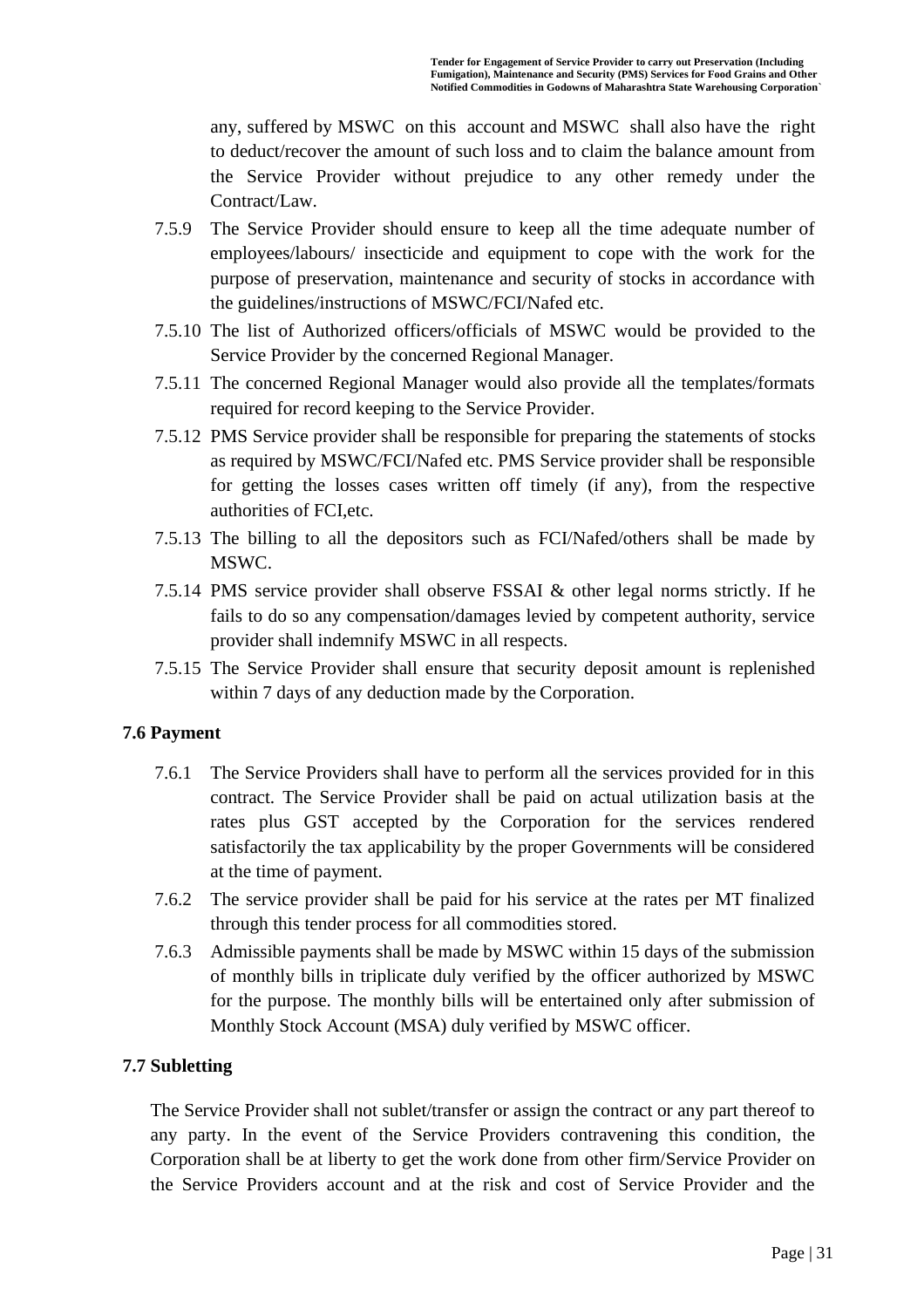any, suffered by MSWC on this account and MSWC shall also have the right to deduct/recover the amount of such loss and to claim the balance amount from the Service Provider without prejudice to any other remedy under the Contract/Law.

- 7.5.9 The Service Provider should ensure to keep all the time adequate number of employees/labours/ insecticide and equipment to cope with the work for the purpose of preservation, maintenance and security of stocks in accordance with the guidelines/instructions of MSWC/FCI/Nafed etc.
- 7.5.10 The list of Authorized officers/officials of MSWC would be provided to the Service Provider by the concerned Regional Manager.
- 7.5.11 The concerned Regional Manager would also provide all the templates/formats required for record keeping to the Service Provider.
- 7.5.12 PMS Service provider shall be responsible for preparing the statements of stocks as required by MSWC/FCI/Nafed etc. PMS Service provider shall be responsible for getting the losses cases written off timely (if any), from the respective authorities of FCI,etc.
- 7.5.13 The billing to all the depositors such as FCI/Nafed/others shall be made by MSWC.
- 7.5.14 PMS service provider shall observe FSSAI & other legal norms strictly. If he fails to do so any compensation/damages levied by competent authority, service provider shall indemnify MSWC in all respects.
- 7.5.15 The Service Provider shall ensure that security deposit amount is replenished within 7 days of any deduction made by the Corporation.

### **7.6 Payment**

- 7.6.1 The Service Providers shall have to perform all the services provided for in this contract. The Service Provider shall be paid on actual utilization basis at the rates plus GST accepted by the Corporation for the services rendered satisfactorily the tax applicability by the proper Governments will be considered at the time of payment.
- 7.6.2 The service provider shall be paid for his service at the rates per MT finalized through this tender process for all commodities stored.
- 7.6.3 Admissible payments shall be made by MSWC within 15 days of the submission of monthly bills in triplicate duly verified by the officer authorized by MSWC for the purpose. The monthly bills will be entertained only after submission of Monthly Stock Account (MSA) duly verified by MSWC officer.

#### **7.7 Subletting**

The Service Provider shall not sublet/transfer or assign the contract or any part thereof to any party. In the event of the Service Providers contravening this condition, the Corporation shall be at liberty to get the work done from other firm/Service Provider on the Service Providers account and at the risk and cost of Service Provider and the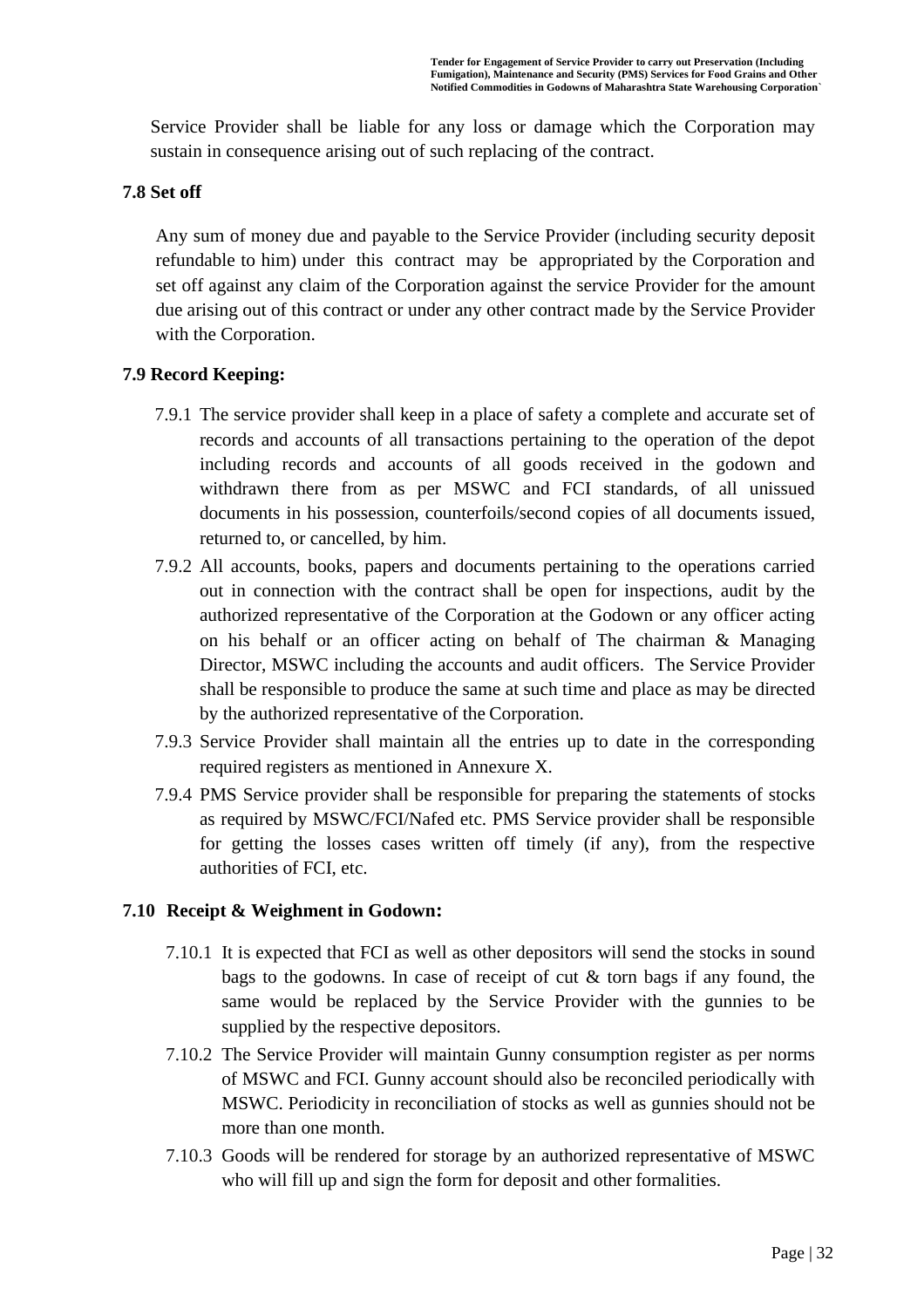Service Provider shall be liable for any loss or damage which the Corporation may sustain in consequence arising out of such replacing of the contract.

### **7.8 Set off**

Any sum of money due and payable to the Service Provider (including security deposit refundable to him) under this contract may be appropriated by the Corporation and set off against any claim of the Corporation against the service Provider for the amount due arising out of this contract or under any other contract made by the Service Provider with the Corporation.

### **7.9 Record Keeping:**

- 7.9.1 The service provider shall keep in a place of safety a complete and accurate set of records and accounts of all transactions pertaining to the operation of the depot including records and accounts of all goods received in the godown and withdrawn there from as per MSWC and FCI standards, of all unissued documents in his possession, counterfoils/second copies of all documents issued, returned to, or cancelled, by him.
- 7.9.2 All accounts, books, papers and documents pertaining to the operations carried out in connection with the contract shall be open for inspections, audit by the authorized representative of the Corporation at the Godown or any officer acting on his behalf or an officer acting on behalf of The chairman & Managing Director, MSWC including the accounts and audit officers. The Service Provider shall be responsible to produce the same at such time and place as may be directed by the authorized representative of the Corporation.
- 7.9.3 Service Provider shall maintain all the entries up to date in the corresponding required registers as mentioned in Annexure X.
- 7.9.4 PMS Service provider shall be responsible for preparing the statements of stocks as required by MSWC/FCI/Nafed etc. PMS Service provider shall be responsible for getting the losses cases written off timely (if any), from the respective authorities of FCI, etc.

### **7.10 Receipt & Weighment in Godown:**

- 7.10.1 It is expected that FCI as well as other depositors will send the stocks in sound bags to the godowns. In case of receipt of cut  $\&$  torn bags if any found, the same would be replaced by the Service Provider with the gunnies to be supplied by the respective depositors.
- 7.10.2 The Service Provider will maintain Gunny consumption register as per norms of MSWC and FCI. Gunny account should also be reconciled periodically with MSWC. Periodicity in reconciliation of stocks as well as gunnies should not be more than one month.
- 7.10.3 Goods will be rendered for storage by an authorized representative of MSWC who will fill up and sign the form for deposit and other formalities.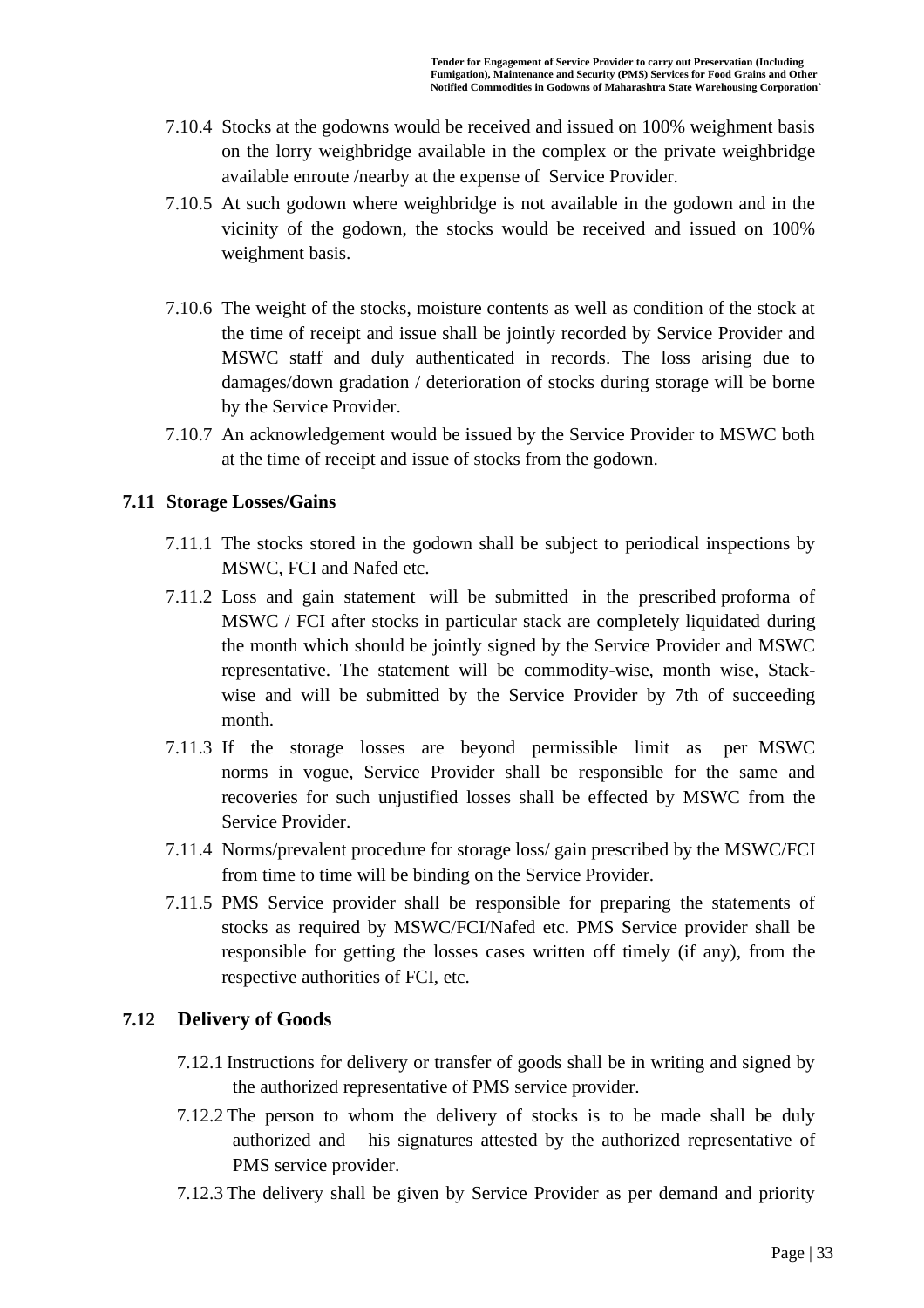- 7.10.4 Stocks at the godowns would be received and issued on 100% weighment basis on the lorry weighbridge available in the complex or the private weighbridge available enroute /nearby at the expense of Service Provider.
- 7.10.5 At such godown where weighbridge is not available in the godown and in the vicinity of the godown, the stocks would be received and issued on 100% weighment basis.
- 7.10.6 The weight of the stocks, moisture contents as well as condition of the stock at the time of receipt and issue shall be jointly recorded by Service Provider and MSWC staff and duly authenticated in records. The loss arising due to damages/down gradation / deterioration of stocks during storage will be borne by the Service Provider.
- 7.10.7 An acknowledgement would be issued by the Service Provider to MSWC both at the time of receipt and issue of stocks from the godown.

### **7.11 Storage Losses/Gains**

- 7.11.1 The stocks stored in the godown shall be subject to periodical inspections by MSWC, FCI and Nafed etc.
- 7.11.2 Loss and gain statement will be submitted in the prescribed proforma of MSWC / FCI after stocks in particular stack are completely liquidated during the month which should be jointly signed by the Service Provider and MSWC representative. The statement will be commodity-wise, month wise, Stackwise and will be submitted by the Service Provider by 7th of succeeding month.
- 7.11.3 If the storage losses are beyond permissible limit as per MSWC norms in vogue, Service Provider shall be responsible for the same and recoveries for such unjustified losses shall be effected by MSWC from the Service Provider.
- 7.11.4 Norms/prevalent procedure for storage loss/ gain prescribed by the MSWC/FCI from time to time will be binding on the Service Provider.
- 7.11.5 PMS Service provider shall be responsible for preparing the statements of stocks as required by MSWC/FCI/Nafed etc. PMS Service provider shall be responsible for getting the losses cases written off timely (if any), from the respective authorities of FCI, etc.

### **7.12 Delivery of Goods**

- 7.12.1 Instructions for delivery or transfer of goods shall be in writing and signed by the authorized representative of PMS service provider.
- 7.12.2 The person to whom the delivery of stocks is to be made shall be duly authorized and his signatures attested by the authorized representative of PMS service provider.
- 7.12.3 The delivery shall be given by Service Provider as per demand and priority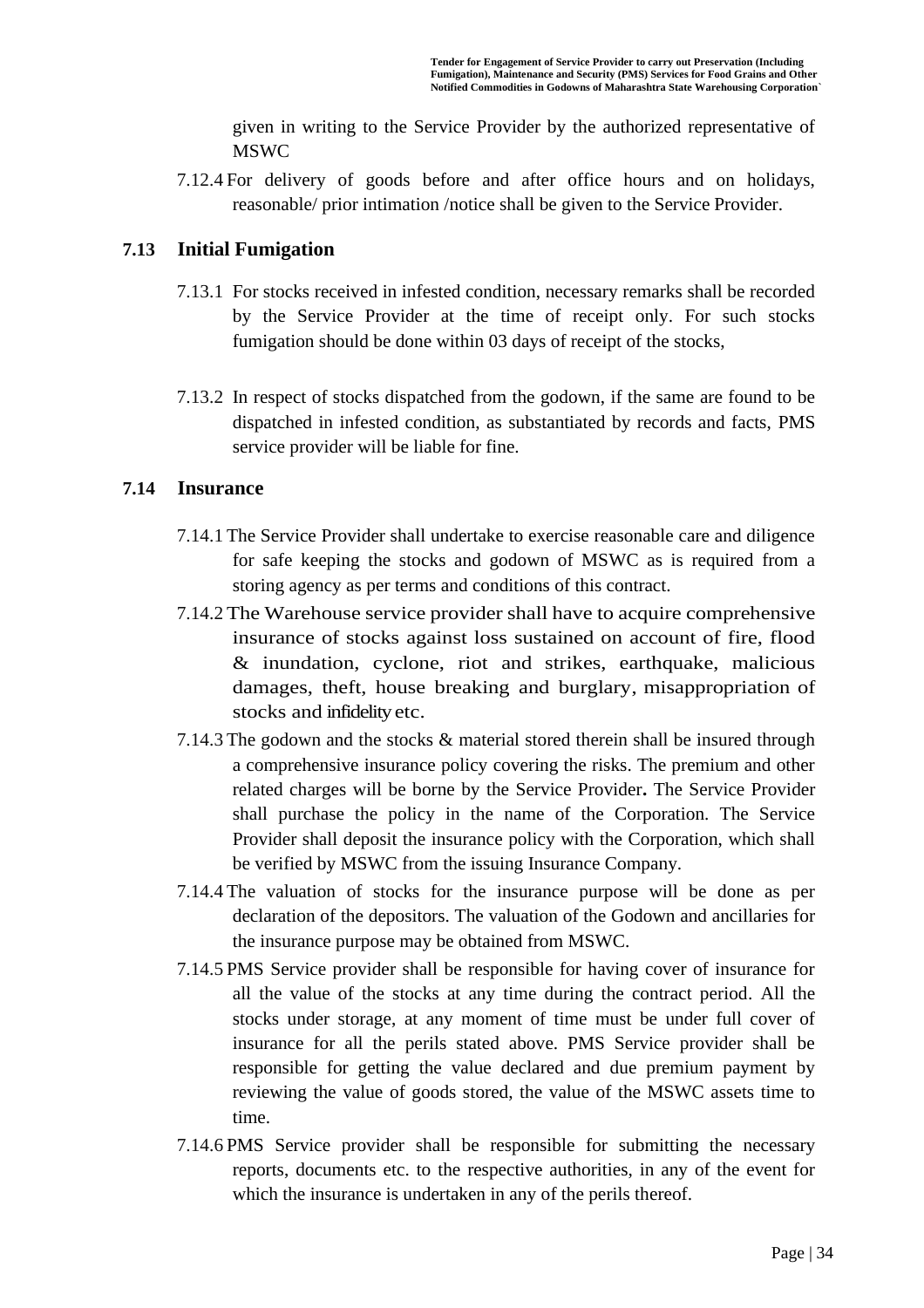given in writing to the Service Provider by the authorized representative of MSWC

7.12.4 For delivery of goods before and after office hours and on holidays, reasonable/ prior intimation /notice shall be given to the Service Provider.

### **7.13 Initial Fumigation**

- 7.13.1 For stocks received in infested condition, necessary remarks shall be recorded by the Service Provider at the time of receipt only. For such stocks fumigation should be done within 03 days of receipt of the stocks,
- 7.13.2 In respect of stocks dispatched from the godown, if the same are found to be dispatched in infested condition, as substantiated by records and facts, PMS service provider will be liable for fine.

### **7.14 Insurance**

- 7.14.1 The Service Provider shall undertake to exercise reasonable care and diligence for safe keeping the stocks and godown of MSWC as is required from a storing agency as per terms and conditions of this contract.
- 7.14.2 The Warehouse service provider shall have to acquire comprehensive insurance of stocks against loss sustained on account of fire, flood & inundation, cyclone, riot and strikes, earthquake, malicious damages, theft, house breaking and burglary, misappropriation of stocks and infidelity etc.
- 7.14.3 The godown and the stocks & material stored therein shall be insured through a comprehensive insurance policy covering the risks. The premium and other related charges will be borne by the Service Provider**.** The Service Provider shall purchase the policy in the name of the Corporation. The Service Provider shall deposit the insurance policy with the Corporation, which shall be verified by MSWC from the issuing Insurance Company.
- 7.14.4 The valuation of stocks for the insurance purpose will be done as per declaration of the depositors. The valuation of the Godown and ancillaries for the insurance purpose may be obtained from MSWC.
- 7.14.5 PMS Service provider shall be responsible for having cover of insurance for all the value of the stocks at any time during the contract period. All the stocks under storage, at any moment of time must be under full cover of insurance for all the perils stated above. PMS Service provider shall be responsible for getting the value declared and due premium payment by reviewing the value of goods stored, the value of the MSWC assets time to time.
- 7.14.6 PMS Service provider shall be responsible for submitting the necessary reports, documents etc. to the respective authorities, in any of the event for which the insurance is undertaken in any of the perils thereof.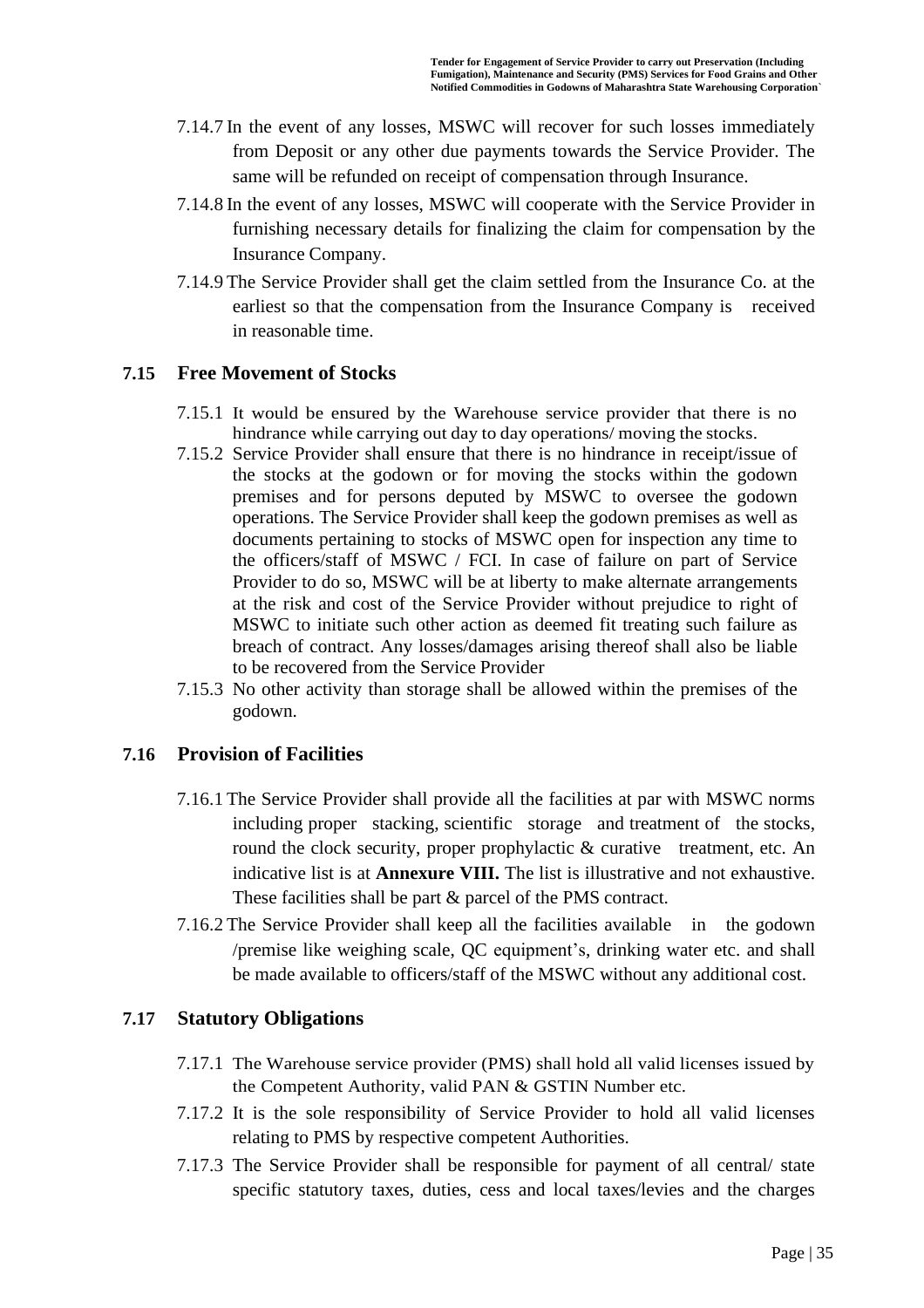- 7.14.7 In the event of any losses, MSWC will recover for such losses immediately from Deposit or any other due payments towards the Service Provider. The same will be refunded on receipt of compensation through Insurance.
- 7.14.8 In the event of any losses, MSWC will cooperate with the Service Provider in furnishing necessary details for finalizing the claim for compensation by the Insurance Company.
- 7.14.9 The Service Provider shall get the claim settled from the Insurance Co. at the earliest so that the compensation from the Insurance Company is received in reasonable time.

### **7.15 Free Movement of Stocks**

- 7.15.1 It would be ensured by the Warehouse service provider that there is no hindrance while carrying out day to day operations/ moving the stocks.
- 7.15.2 Service Provider shall ensure that there is no hindrance in receipt/issue of the stocks at the godown or for moving the stocks within the godown premises and for persons deputed by MSWC to oversee the godown operations. The Service Provider shall keep the godown premises as well as documents pertaining to stocks of MSWC open for inspection any time to the officers/staff of MSWC / FCI. In case of failure on part of Service Provider to do so, MSWC will be at liberty to make alternate arrangements at the risk and cost of the Service Provider without prejudice to right of MSWC to initiate such other action as deemed fit treating such failure as breach of contract. Any losses/damages arising thereof shall also be liable to be recovered from the Service Provider
- 7.15.3 No other activity than storage shall be allowed within the premises of the godown.

### **7.16 Provision of Facilities**

- 7.16.1 The Service Provider shall provide all the facilities at par with MSWC norms including proper stacking, scientific storage and treatment of the stocks, round the clock security, proper prophylactic  $&$  curative treatment, etc. An indicative list is at **Annexure VIII.** The list is illustrative and not exhaustive. These facilities shall be part & parcel of the PMS contract.
- 7.16.2 The Service Provider shall keep all the facilities available in the godown /premise like weighing scale, QC equipment's, drinking water etc. and shall be made available to officers/staff of the MSWC without any additional cost.

### **7.17 Statutory Obligations**

- 7.17.1 The Warehouse service provider (PMS) shall hold all valid licenses issued by the Competent Authority, valid PAN & GSTIN Number etc.
- 7.17.2 It is the sole responsibility of Service Provider to hold all valid licenses relating to PMS by respective competent Authorities.
- 7.17.3 The Service Provider shall be responsible for payment of all central/ state specific statutory taxes, duties, cess and local taxes/levies and the charges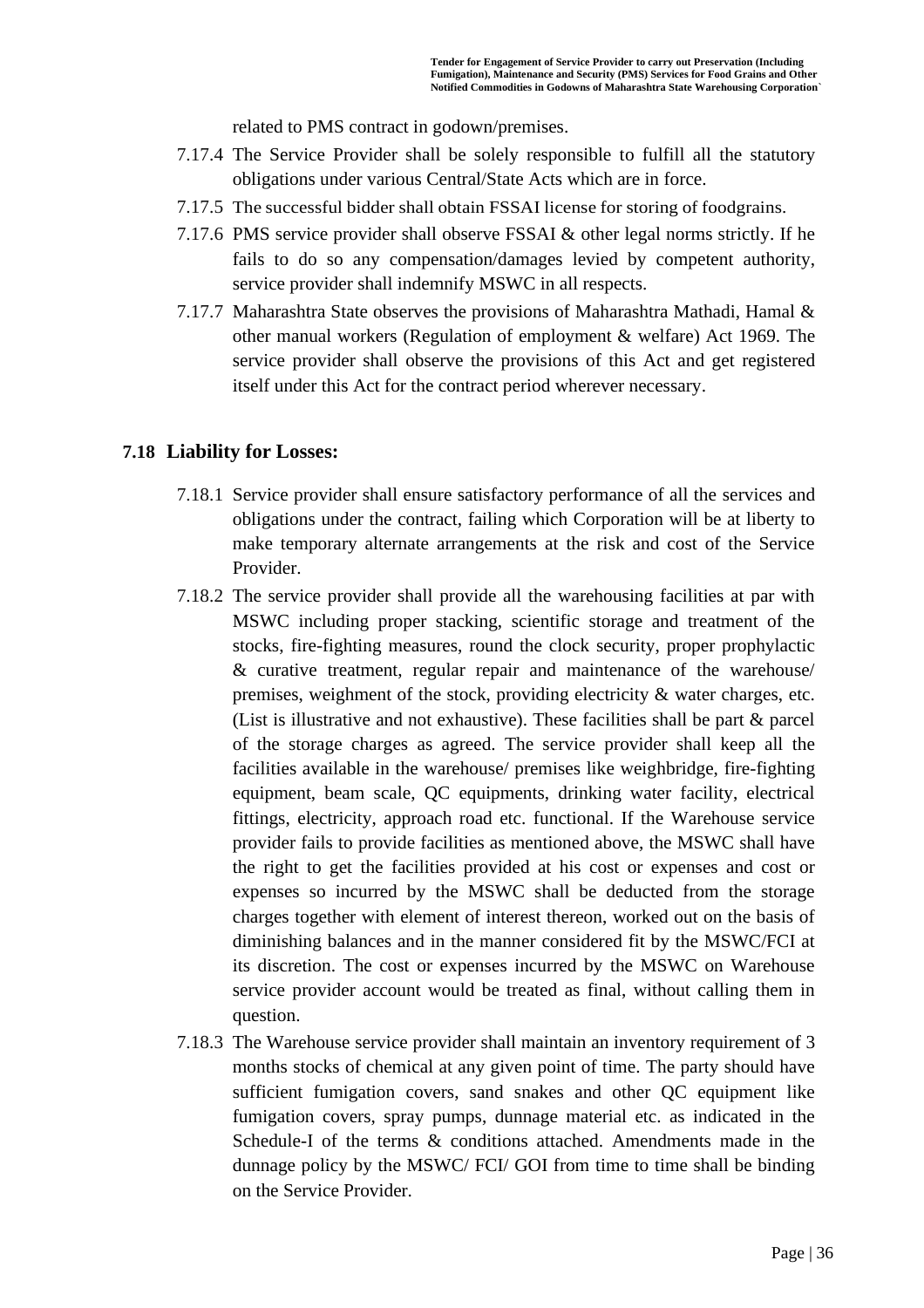related to PMS contract in godown/premises.

- 7.17.4 The Service Provider shall be solely responsible to fulfill all the statutory obligations under various Central/State Acts which are in force.
- 7.17.5 The successful bidder shall obtain FSSAI license for storing of foodgrains.
- 7.17.6 PMS service provider shall observe FSSAI & other legal norms strictly. If he fails to do so any compensation/damages levied by competent authority, service provider shall indemnify MSWC in all respects.
- 7.17.7 Maharashtra State observes the provisions of Maharashtra Mathadi, Hamal & other manual workers (Regulation of employment & welfare) Act 1969. The service provider shall observe the provisions of this Act and get registered itself under this Act for the contract period wherever necessary.

### **7.18 Liability for Losses:**

- 7.18.1 Service provider shall ensure satisfactory performance of all the services and obligations under the contract, failing which Corporation will be at liberty to make temporary alternate arrangements at the risk and cost of the Service Provider.
- 7.18.2 The service provider shall provide all the warehousing facilities at par with MSWC including proper stacking, scientific storage and treatment of the stocks, fire-fighting measures, round the clock security, proper prophylactic & curative treatment, regular repair and maintenance of the warehouse/ premises, weighment of the stock, providing electricity & water charges, etc. (List is illustrative and not exhaustive). These facilities shall be part & parcel of the storage charges as agreed. The service provider shall keep all the facilities available in the warehouse/ premises like weighbridge, fire-fighting equipment, beam scale, QC equipments, drinking water facility, electrical fittings, electricity, approach road etc. functional. If the Warehouse service provider fails to provide facilities as mentioned above, the MSWC shall have the right to get the facilities provided at his cost or expenses and cost or expenses so incurred by the MSWC shall be deducted from the storage charges together with element of interest thereon, worked out on the basis of diminishing balances and in the manner considered fit by the MSWC/FCI at its discretion. The cost or expenses incurred by the MSWC on Warehouse service provider account would be treated as final, without calling them in question.
- 7.18.3 The Warehouse service provider shall maintain an inventory requirement of 3 months stocks of chemical at any given point of time. The party should have sufficient fumigation covers, sand snakes and other QC equipment like fumigation covers, spray pumps, dunnage material etc. as indicated in the Schedule-I of the terms & conditions attached. Amendments made in the dunnage policy by the MSWC/ FCI/ GOI from time to time shall be binding on the Service Provider.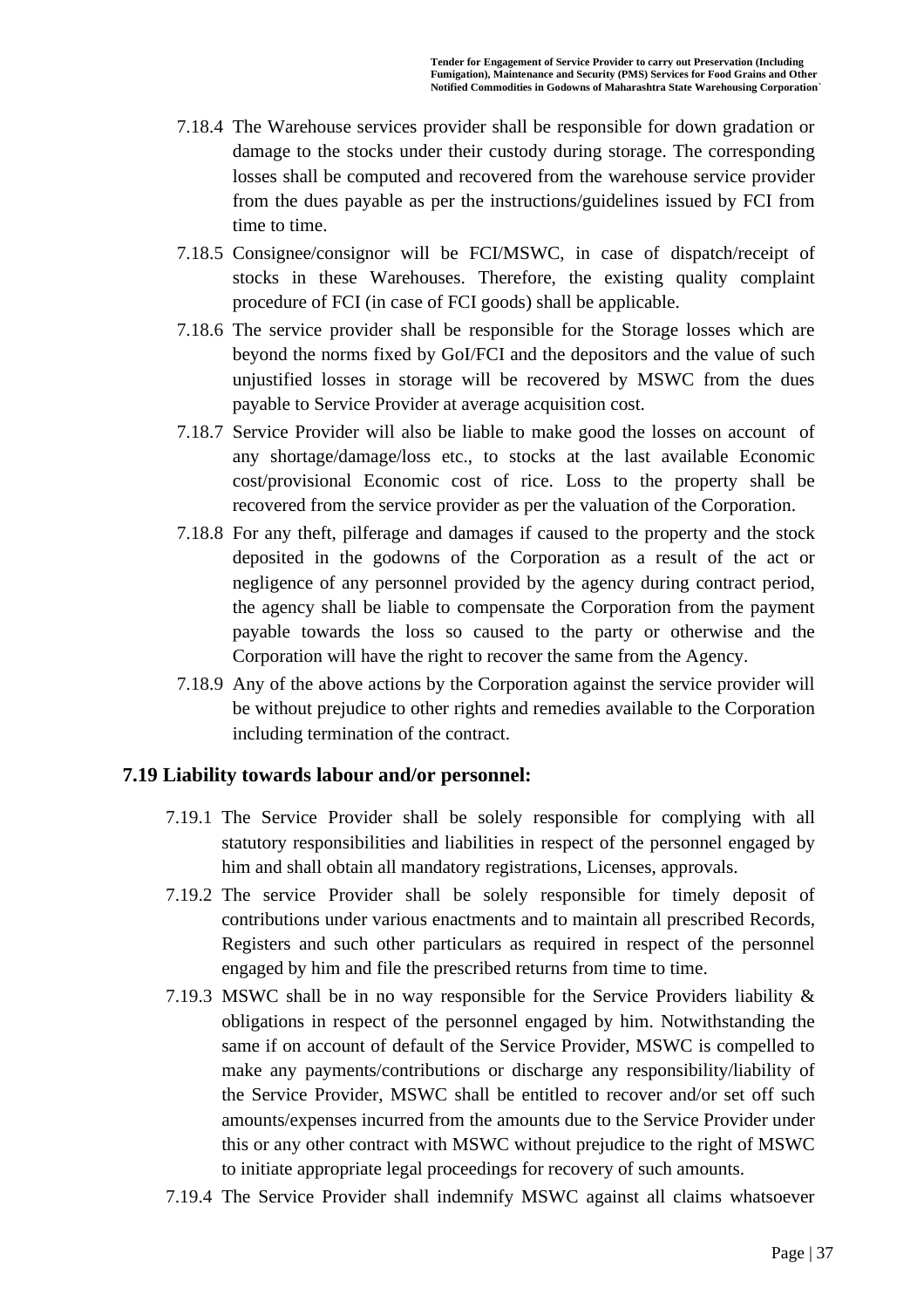- 7.18.4 The Warehouse services provider shall be responsible for down gradation or damage to the stocks under their custody during storage. The corresponding losses shall be computed and recovered from the warehouse service provider from the dues payable as per the instructions/guidelines issued by FCI from time to time.
- 7.18.5 Consignee/consignor will be FCI/MSWC, in case of dispatch/receipt of stocks in these Warehouses. Therefore, the existing quality complaint procedure of FCI (in case of FCI goods) shall be applicable.
- 7.18.6 The service provider shall be responsible for the Storage losses which are beyond the norms fixed by GoI/FCI and the depositors and the value of such unjustified losses in storage will be recovered by MSWC from the dues payable to Service Provider at average acquisition cost.
- 7.18.7 Service Provider will also be liable to make good the losses on account of any shortage/damage/loss etc., to stocks at the last available Economic cost/provisional Economic cost of rice. Loss to the property shall be recovered from the service provider as per the valuation of the Corporation.
- 7.18.8 For any theft, pilferage and damages if caused to the property and the stock deposited in the godowns of the Corporation as a result of the act or negligence of any personnel provided by the agency during contract period, the agency shall be liable to compensate the Corporation from the payment payable towards the loss so caused to the party or otherwise and the Corporation will have the right to recover the same from the Agency.
- 7.18.9 Any of the above actions by the Corporation against the service provider will be without prejudice to other rights and remedies available to the Corporation including termination of the contract.

### **7.19 Liability towards labour and/or personnel:**

- 7.19.1 The Service Provider shall be solely responsible for complying with all statutory responsibilities and liabilities in respect of the personnel engaged by him and shall obtain all mandatory registrations, Licenses, approvals.
- 7.19.2 The service Provider shall be solely responsible for timely deposit of contributions under various enactments and to maintain all prescribed Records, Registers and such other particulars as required in respect of the personnel engaged by him and file the prescribed returns from time to time.
- 7.19.3 MSWC shall be in no way responsible for the Service Providers liability & obligations in respect of the personnel engaged by him. Notwithstanding the same if on account of default of the Service Provider, MSWC is compelled to make any payments/contributions or discharge any responsibility/liability of the Service Provider, MSWC shall be entitled to recover and/or set off such amounts/expenses incurred from the amounts due to the Service Provider under this or any other contract with MSWC without prejudice to the right of MSWC to initiate appropriate legal proceedings for recovery of such amounts.
- 7.19.4 The Service Provider shall indemnify MSWC against all claims whatsoever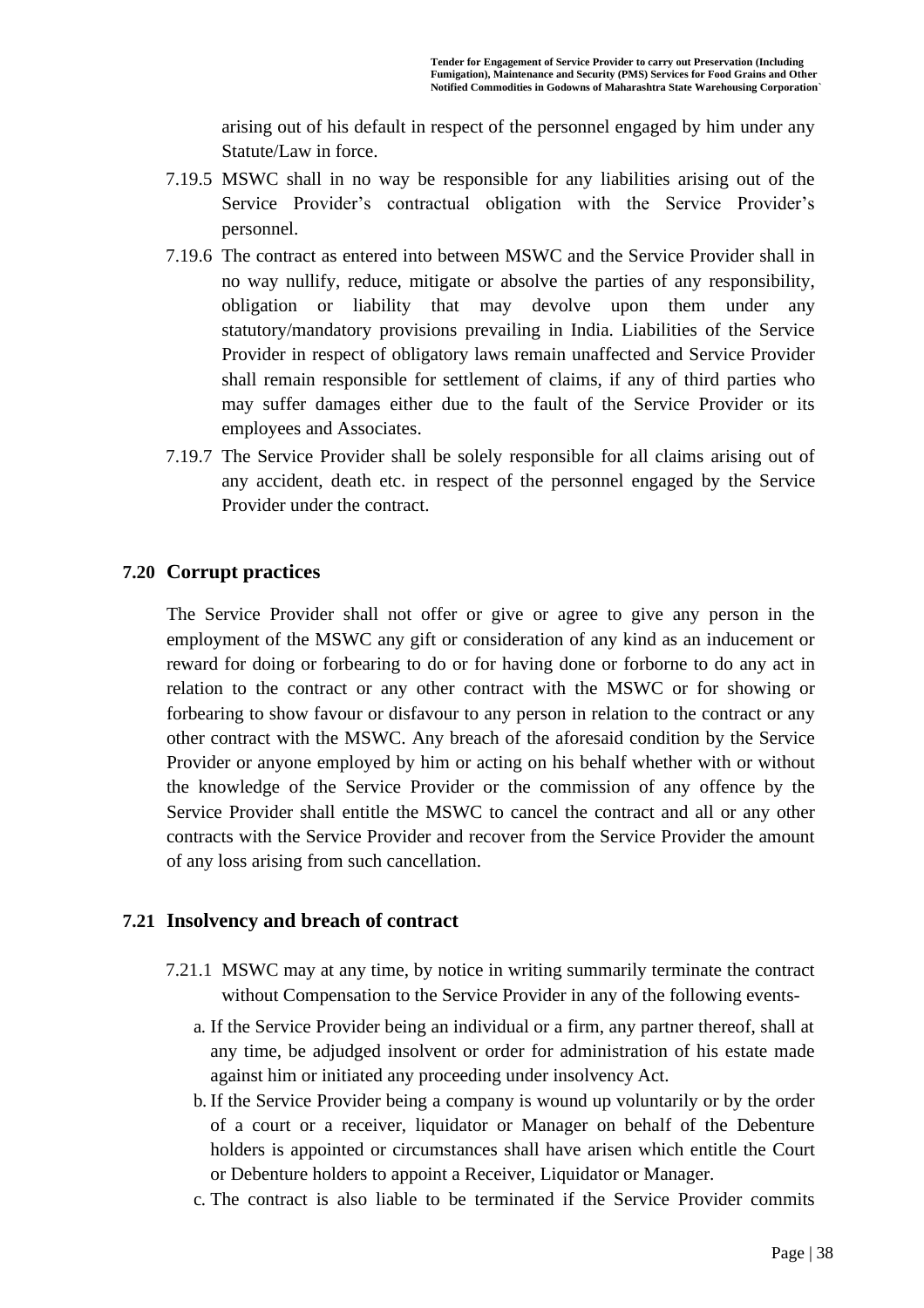arising out of his default in respect of the personnel engaged by him under any Statute/Law in force.

- 7.19.5 MSWC shall in no way be responsible for any liabilities arising out of the Service Provider's contractual obligation with the Service Provider's personnel.
- 7.19.6 The contract as entered into between MSWC and the Service Provider shall in no way nullify, reduce, mitigate or absolve the parties of any responsibility, obligation or liability that may devolve upon them under any statutory/mandatory provisions prevailing in India. Liabilities of the Service Provider in respect of obligatory laws remain unaffected and Service Provider shall remain responsible for settlement of claims, if any of third parties who may suffer damages either due to the fault of the Service Provider or its employees and Associates.
- 7.19.7 The Service Provider shall be solely responsible for all claims arising out of any accident, death etc. in respect of the personnel engaged by the Service Provider under the contract.

### **7.20 Corrupt practices**

The Service Provider shall not offer or give or agree to give any person in the employment of the MSWC any gift or consideration of any kind as an inducement or reward for doing or forbearing to do or for having done or forborne to do any act in relation to the contract or any other contract with the MSWC or for showing or forbearing to show favour or disfavour to any person in relation to the contract or any other contract with the MSWC. Any breach of the aforesaid condition by the Service Provider or anyone employed by him or acting on his behalf whether with or without the knowledge of the Service Provider or the commission of any offence by the Service Provider shall entitle the MSWC to cancel the contract and all or any other contracts with the Service Provider and recover from the Service Provider the amount of any loss arising from such cancellation.

### **7.21 Insolvency and breach of contract**

- 7.21.1 MSWC may at any time, by notice in writing summarily terminate the contract without Compensation to the Service Provider in any of the following events
	- a. If the Service Provider being an individual or a firm, any partner thereof, shall at any time, be adjudged insolvent or order for administration of his estate made against him or initiated any proceeding under insolvency Act.
	- b. If the Service Provider being a company is wound up voluntarily or by the order of a court or a receiver, liquidator or Manager on behalf of the Debenture holders is appointed or circumstances shall have arisen which entitle the Court or Debenture holders to appoint a Receiver, Liquidator or Manager.
	- c. The contract is also liable to be terminated if the Service Provider commits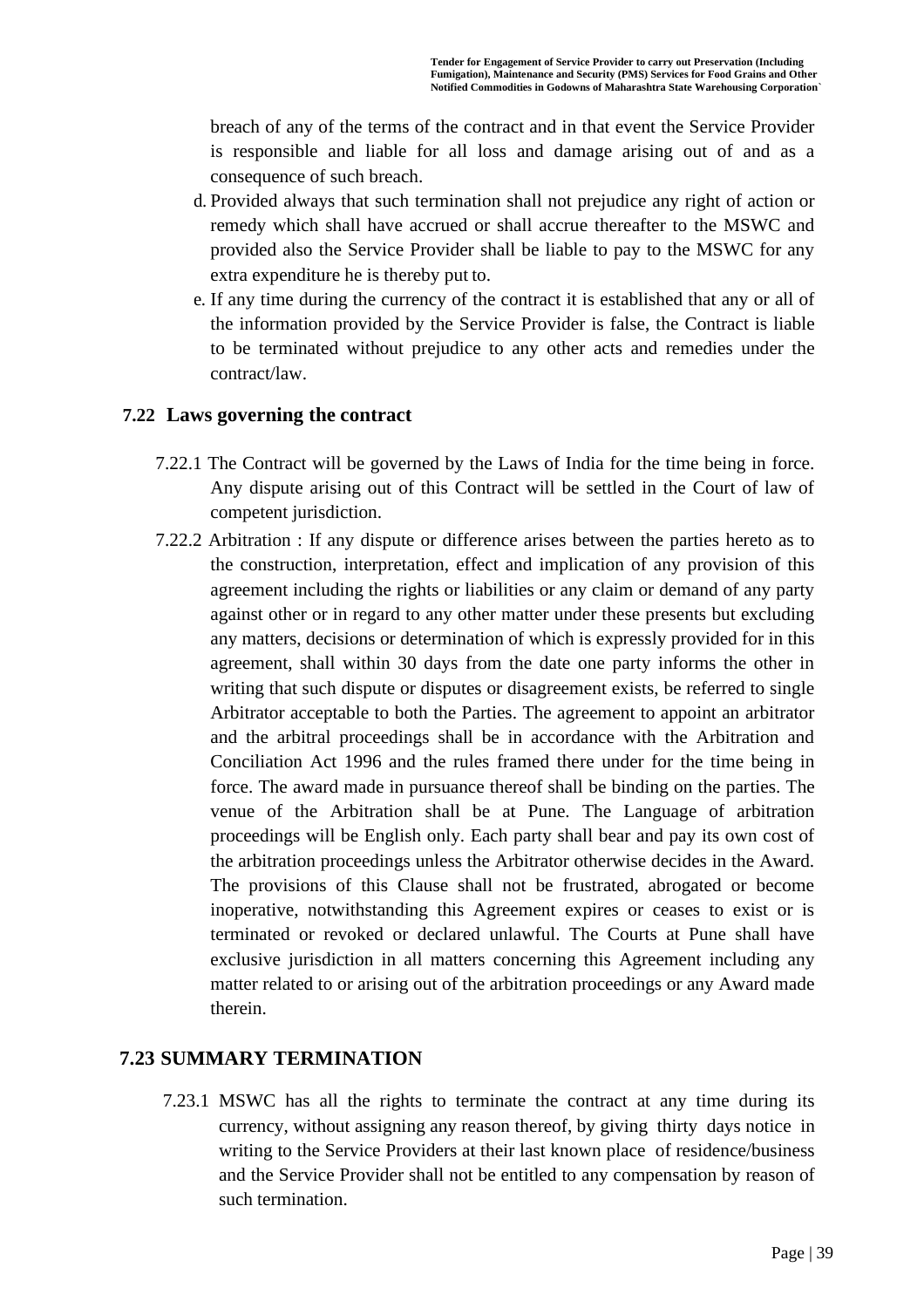breach of any of the terms of the contract and in that event the Service Provider is responsible and liable for all loss and damage arising out of and as a consequence of such breach.

- d. Provided always that such termination shall not prejudice any right of action or remedy which shall have accrued or shall accrue thereafter to the MSWC and provided also the Service Provider shall be liable to pay to the MSWC for any extra expenditure he is thereby put to.
- e. If any time during the currency of the contract it is established that any or all of the information provided by the Service Provider is false, the Contract is liable to be terminated without prejudice to any other acts and remedies under the contract/law.

### **7.22 Laws governing the contract**

- 7.22.1 The Contract will be governed by the Laws of India for the time being in force. Any dispute arising out of this Contract will be settled in the Court of law of competent jurisdiction.
- 7.22.2 Arbitration : If any dispute or difference arises between the parties hereto as to the construction, interpretation, effect and implication of any provision of this agreement including the rights or liabilities or any claim or demand of any party against other or in regard to any other matter under these presents but excluding any matters, decisions or determination of which is expressly provided for in this agreement, shall within 30 days from the date one party informs the other in writing that such dispute or disputes or disagreement exists, be referred to single Arbitrator acceptable to both the Parties. The agreement to appoint an arbitrator and the arbitral proceedings shall be in accordance with the Arbitration and Conciliation Act 1996 and the rules framed there under for the time being in force. The award made in pursuance thereof shall be binding on the parties. The venue of the Arbitration shall be at Pune. The Language of arbitration proceedings will be English only. Each party shall bear and pay its own cost of the arbitration proceedings unless the Arbitrator otherwise decides in the Award. The provisions of this Clause shall not be frustrated, abrogated or become inoperative, notwithstanding this Agreement expires or ceases to exist or is terminated or revoked or declared unlawful. The Courts at Pune shall have exclusive jurisdiction in all matters concerning this Agreement including any matter related to or arising out of the arbitration proceedings or any Award made therein.

### **7.23 SUMMARY TERMINATION**

7.23.1 MSWC has all the rights to terminate the contract at any time during its currency, without assigning any reason thereof, by giving thirty days notice in writing to the Service Providers at their last known place of residence/business and the Service Provider shall not be entitled to any compensation by reason of such termination.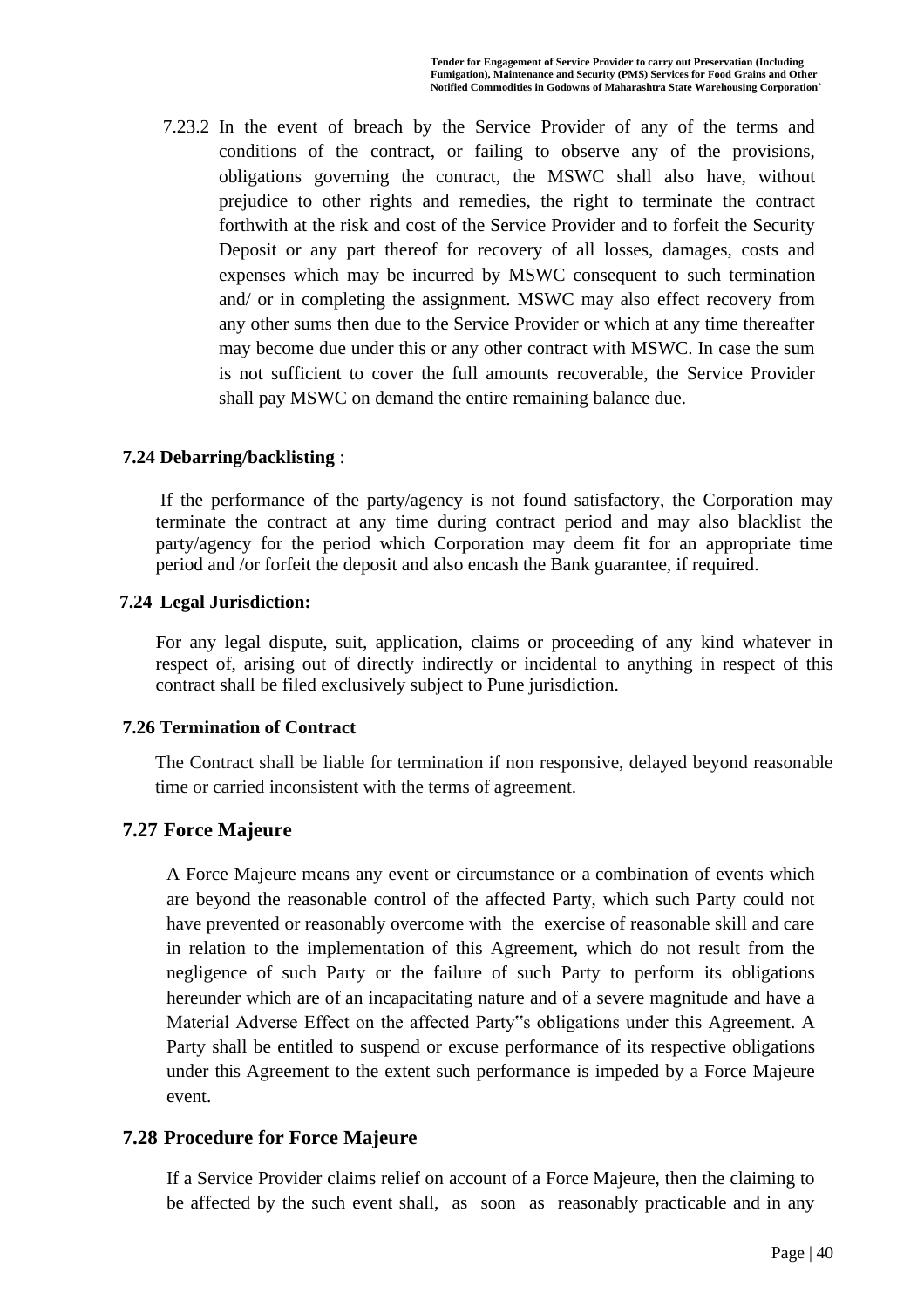7.23.2 In the event of breach by the Service Provider of any of the terms and conditions of the contract, or failing to observe any of the provisions, obligations governing the contract, the MSWC shall also have, without prejudice to other rights and remedies, the right to terminate the contract forthwith at the risk and cost of the Service Provider and to forfeit the Security Deposit or any part thereof for recovery of all losses, damages, costs and expenses which may be incurred by MSWC consequent to such termination and/ or in completing the assignment. MSWC may also effect recovery from any other sums then due to the Service Provider or which at any time thereafter may become due under this or any other contract with MSWC. In case the sum is not sufficient to cover the full amounts recoverable, the Service Provider shall pay MSWC on demand the entire remaining balance due.

#### **7.24 Debarring/backlisting** :

If the performance of the party/agency is not found satisfactory, the Corporation may terminate the contract at any time during contract period and may also blacklist the party/agency for the period which Corporation may deem fit for an appropriate time period and /or forfeit the deposit and also encash the Bank guarantee, if required.

#### **7.24 Legal Jurisdiction:**

For any legal dispute, suit, application, claims or proceeding of any kind whatever in respect of, arising out of directly indirectly or incidental to anything in respect of this contract shall be filed exclusively subject to Pune jurisdiction.

#### **7.26 Termination of Contract**

The Contract shall be liable for termination if non responsive, delayed beyond reasonable time or carried inconsistent with the terms of agreement.

### **7.27 Force Majeure**

A Force Majeure means any event or circumstance or a combination of events which are beyond the reasonable control of the affected Party, which such Party could not have prevented or reasonably overcome with the exercise of reasonable skill and care in relation to the implementation of this Agreement, which do not result from the negligence of such Party or the failure of such Party to perform its obligations hereunder which are of an incapacitating nature and of a severe magnitude and have a Material Adverse Effect on the affected Party"s obligations under this Agreement. A Party shall be entitled to suspend or excuse performance of its respective obligations under this Agreement to the extent such performance is impeded by a Force Majeure event.

### **7.28 Procedure for Force Majeure**

If a Service Provider claims relief on account of a Force Majeure, then the claiming to be affected by the such event shall, as soon as reasonably practicable and in any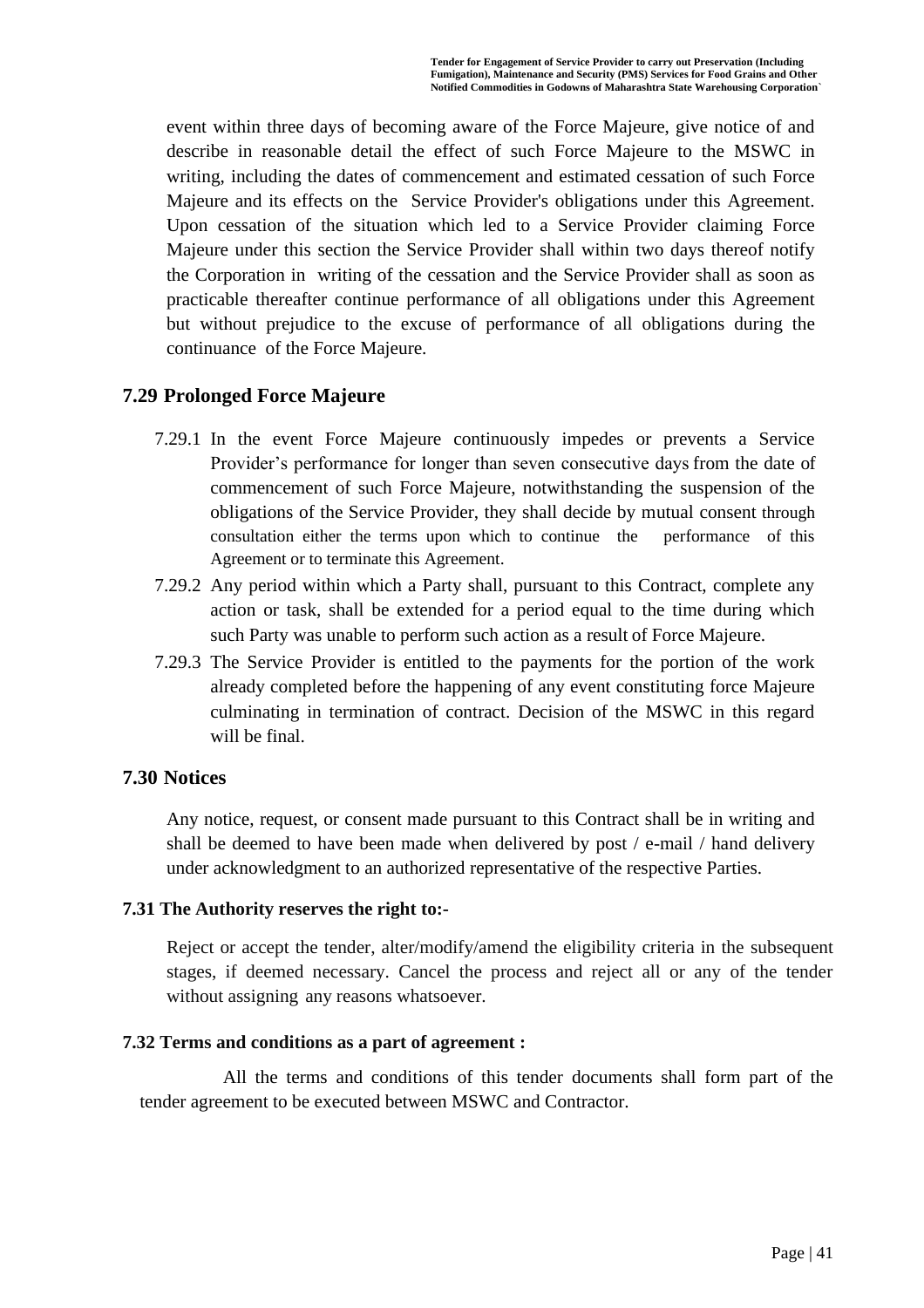event within three days of becoming aware of the Force Majeure, give notice of and describe in reasonable detail the effect of such Force Majeure to the MSWC in writing, including the dates of commencement and estimated cessation of such Force Majeure and its effects on the Service Provider's obligations under this Agreement. Upon cessation of the situation which led to a Service Provider claiming Force Majeure under this section the Service Provider shall within two days thereof notify the Corporation in writing of the cessation and the Service Provider shall as soon as practicable thereafter continue performance of all obligations under this Agreement but without prejudice to the excuse of performance of all obligations during the continuance of the Force Majeure.

### **7.29 Prolonged Force Majeure**

- 7.29.1 In the event Force Majeure continuously impedes or prevents a Service Provider's performance for longer than seven consecutive days from the date of commencement of such Force Majeure, notwithstanding the suspension of the obligations of the Service Provider, they shall decide by mutual consent through consultation either the terms upon which to continue the performance of this Agreement or to terminate this Agreement.
- 7.29.2 Any period within which a Party shall, pursuant to this Contract, complete any action or task, shall be extended for a period equal to the time during which such Party was unable to perform such action as a result of Force Majeure.
- 7.29.3 The Service Provider is entitled to the payments for the portion of the work already completed before the happening of any event constituting force Majeure culminating in termination of contract. Decision of the MSWC in this regard will be final.

### **7.30 Notices**

Any notice, request, or consent made pursuant to this Contract shall be in writing and shall be deemed to have been made when delivered by post / e-mail / hand delivery under acknowledgment to an authorized representative of the respective Parties.

### **7.31 The Authority reserves the right to:-**

Reject or accept the tender, alter/modify/amend the eligibility criteria in the subsequent stages, if deemed necessary. Cancel the process and reject all or any of the tender without assigning any reasons whatsoever.

### **7.32 Terms and conditions as a part of agreement :**

All the terms and conditions of this tender documents shall form part of the tender agreement to be executed between MSWC and Contractor.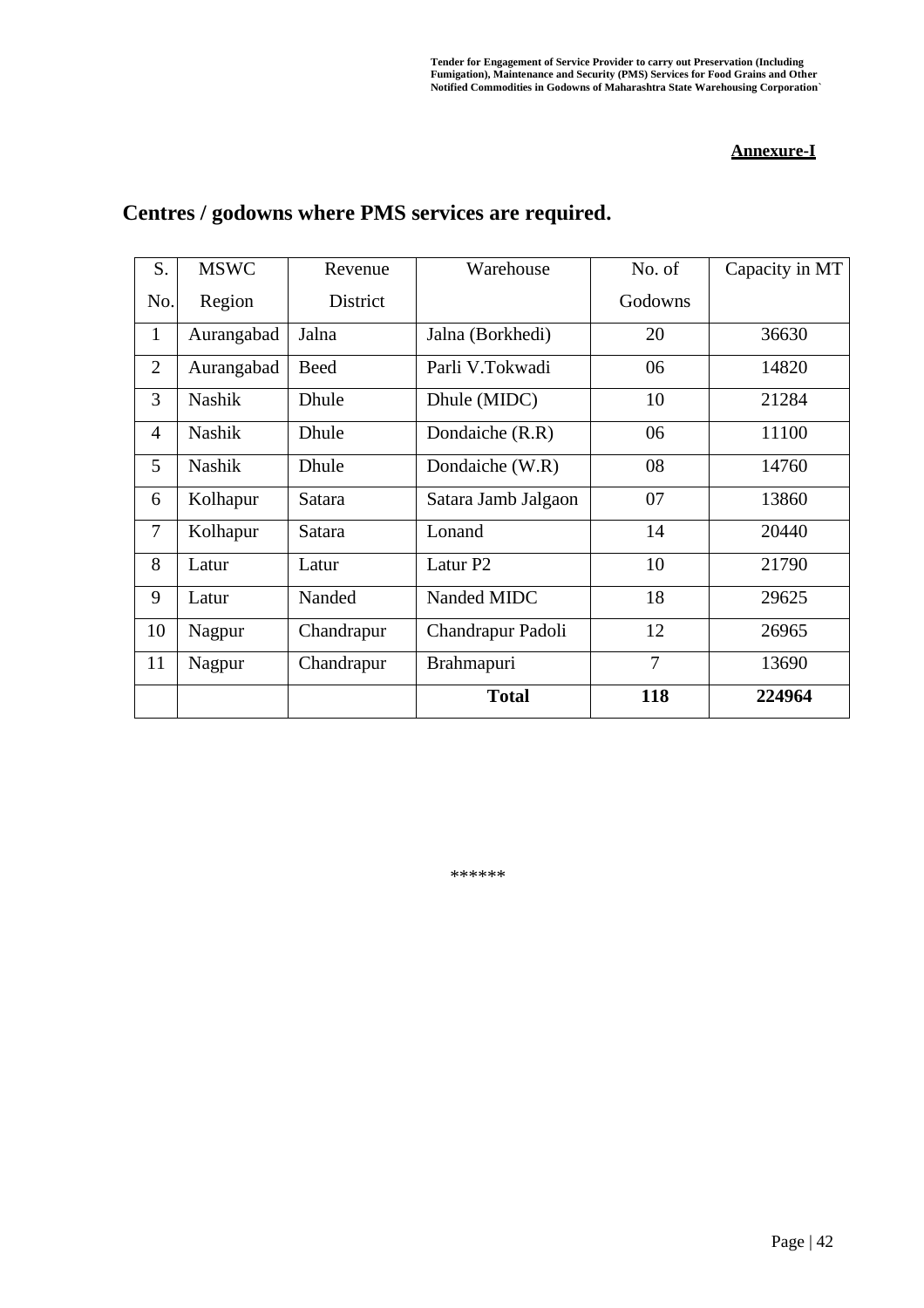#### **Annexure-I**

| S.             | <b>MSWC</b>   | Revenue     | Warehouse           | No. of         | Capacity in MT |
|----------------|---------------|-------------|---------------------|----------------|----------------|
| No.            | Region        | District    |                     | Godowns        |                |
| $\mathbf{1}$   | Aurangabad    | Jalna       | Jalna (Borkhedi)    | 20             | 36630          |
| $\overline{2}$ | Aurangabad    | <b>Beed</b> | Parli V.Tokwadi     | 06             | 14820          |
| 3              | <b>Nashik</b> | Dhule       | Dhule (MIDC)        | 10             | 21284          |
| $\overline{4}$ | Nashik        | Dhule       | Dondaiche (R.R)     | 06             | 11100          |
| 5              | <b>Nashik</b> | Dhule       | Dondaiche (W.R)     | 08             | 14760          |
| 6              | Kolhapur      | Satara      | Satara Jamb Jalgaon | 07             | 13860          |
| $\overline{7}$ | Kolhapur      | Satara      | Lonand              | 14             | 20440          |
| 8              | Latur         | Latur       | Latur <sub>P2</sub> | 10             | 21790          |
| 9              | Latur         | Nanded      | Nanded MIDC         | 18             | 29625          |
| 10             | Nagpur        | Chandrapur  | Chandrapur Padoli   | 12             | 26965          |
| 11             | Nagpur        | Chandrapur  | Brahmapuri          | $\overline{7}$ | 13690          |
|                |               |             | <b>Total</b>        | 118            | 224964         |

## **Centres / godowns where PMS services are required.**

\*\*\*\*\*\*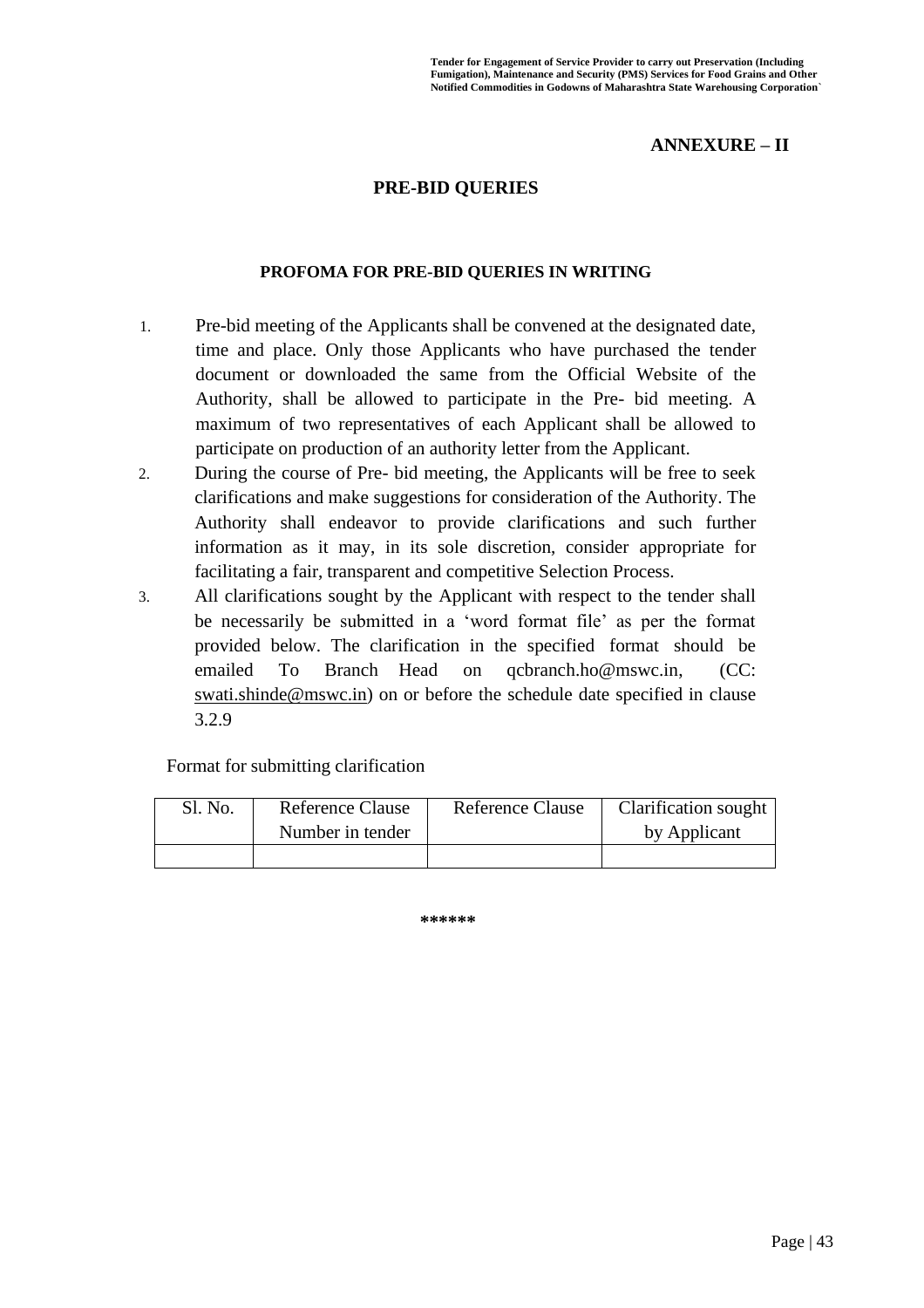### **ANNEXURE – II**

#### **PRE-BID QUERIES**

#### **PROFOMA FOR PRE-BID QUERIES IN WRITING**

- 1. Pre-bid meeting of the Applicants shall be convened at the designated date, time and place. Only those Applicants who have purchased the tender document or downloaded the same from the Official Website of the Authority, shall be allowed to participate in the Pre- bid meeting. A maximum of two representatives of each Applicant shall be allowed to participate on production of an authority letter from the Applicant.
- 2. During the course of Pre- bid meeting, the Applicants will be free to seek clarifications and make suggestions for consideration of the Authority. The Authority shall endeavor to provide clarifications and such further information as it may, in its sole discretion, consider appropriate for facilitating a fair, transparent and competitive Selection Process.
- 3. All clarifications sought by the Applicant with respect to the tender shall be necessarily be submitted in a 'word format file' as per the format provided below. The clarification in the specified format should be emailed To Branch Head on [qcbranch.ho@mswc.in,](mailto:qcbranch.ho@mswc.in) (CC: swati.shinde@mswc.in) on or before the schedule date specified in clause 3.2.9

Format for submitting clarification

| Sl. No. | <b>Reference Clause</b> | <b>Reference Clause</b> | Clarification sought |
|---------|-------------------------|-------------------------|----------------------|
|         | Number in tender        |                         | by Applicant         |
|         |                         |                         |                      |

**\*\*\*\*\*\***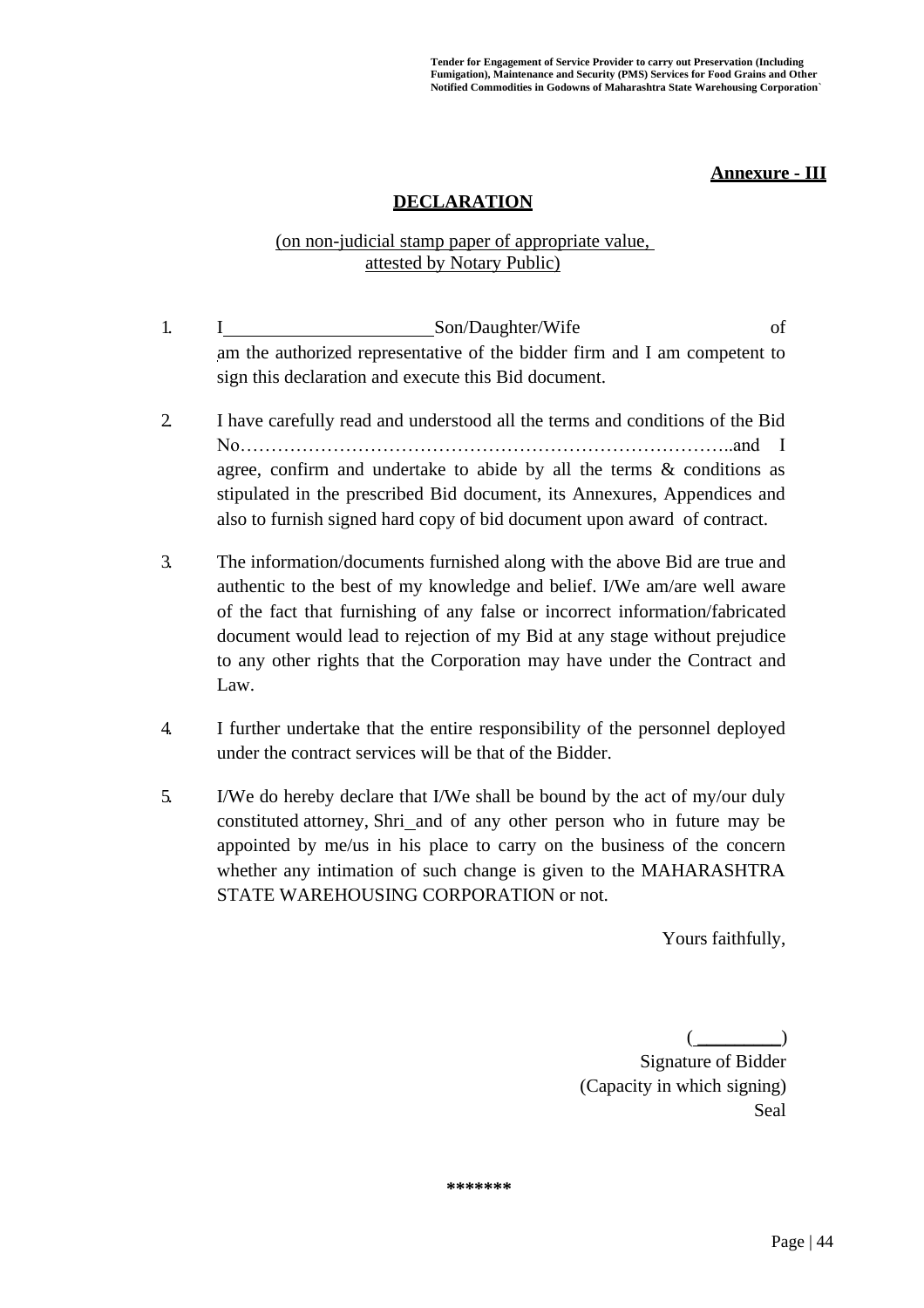#### **Annexure - III**

### **DECLARATION**

#### (on non-judicial stamp paper of appropriate value, attested by Notary Public)

- 1. I Son/Daughter/Wife of am the authorized representative of the bidder firm and I am competent to sign this declaration and execute this Bid document.
- 2. I have carefully read and understood all the terms and conditions of the Bid No……………………………………………………………………..and I agree, confirm and undertake to abide by all the terms  $\&$  conditions as stipulated in the prescribed Bid document, its Annexures, Appendices and also to furnish signed hard copy of bid document upon award of contract.
- 3. The information/documents furnished along with the above Bid are true and authentic to the best of my knowledge and belief. I/We am/are well aware of the fact that furnishing of any false or incorrect information/fabricated document would lead to rejection of my Bid at any stage without prejudice to any other rights that the Corporation may have under the Contract and Law.
- 4. I further undertake that the entire responsibility of the personnel deployed under the contract services will be that of the Bidder.
- 5. I/We do hereby declare that I/We shall be bound by the act of my/our duly constituted attorney, Shri and of any other person who in future may be appointed by me/us in his place to carry on the business of the concern whether any intimation of such change is given to the MAHARASHTRA STATE WAREHOUSING CORPORATION or not.

Yours faithfully,

 $(\_\_$ 

Signature of Bidder (Capacity in which signing) Seal

**\*\*\*\*\*\*\***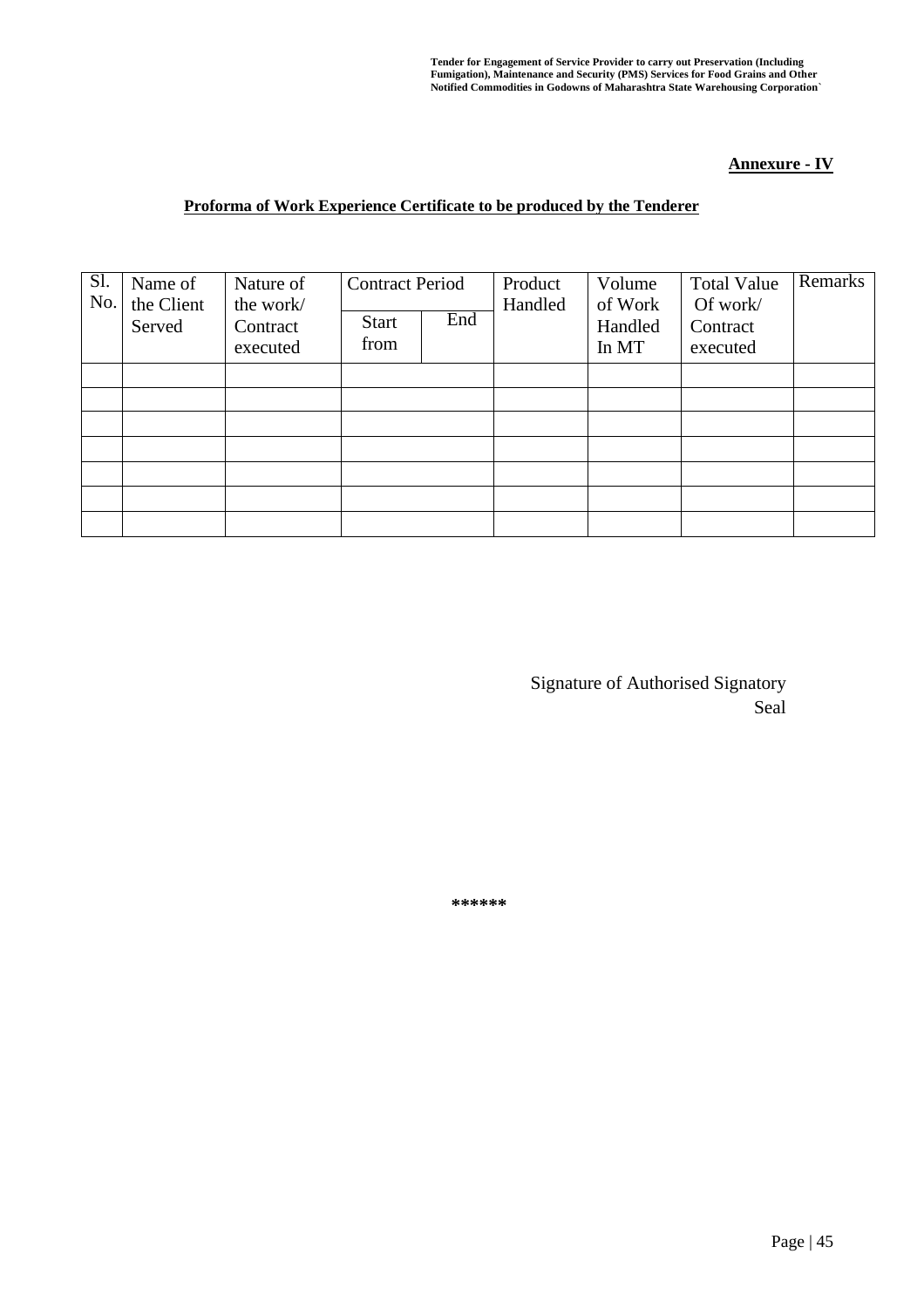#### **Annexure - IV**

#### **Proforma of Work Experience Certificate to be produced by the Tenderer**

| Name of<br>the Client<br>Served | Nature of<br>the work/<br>Contract<br>executed | <b>Start</b><br>from | End | Product<br>Handled     | Volume<br>of Work<br>Handled<br>In MT | <b>Total Value</b><br>Of work/<br>Contract<br>executed | Remarks |
|---------------------------------|------------------------------------------------|----------------------|-----|------------------------|---------------------------------------|--------------------------------------------------------|---------|
|                                 |                                                |                      |     |                        |                                       |                                                        |         |
|                                 |                                                |                      |     |                        |                                       |                                                        |         |
|                                 |                                                |                      |     |                        |                                       |                                                        |         |
|                                 |                                                |                      |     |                        |                                       |                                                        |         |
|                                 |                                                |                      |     |                        |                                       |                                                        |         |
|                                 |                                                |                      |     | <b>Contract Period</b> |                                       |                                                        |         |

Signature of Authorised Signatory Seal

**\*\*\*\*\*\***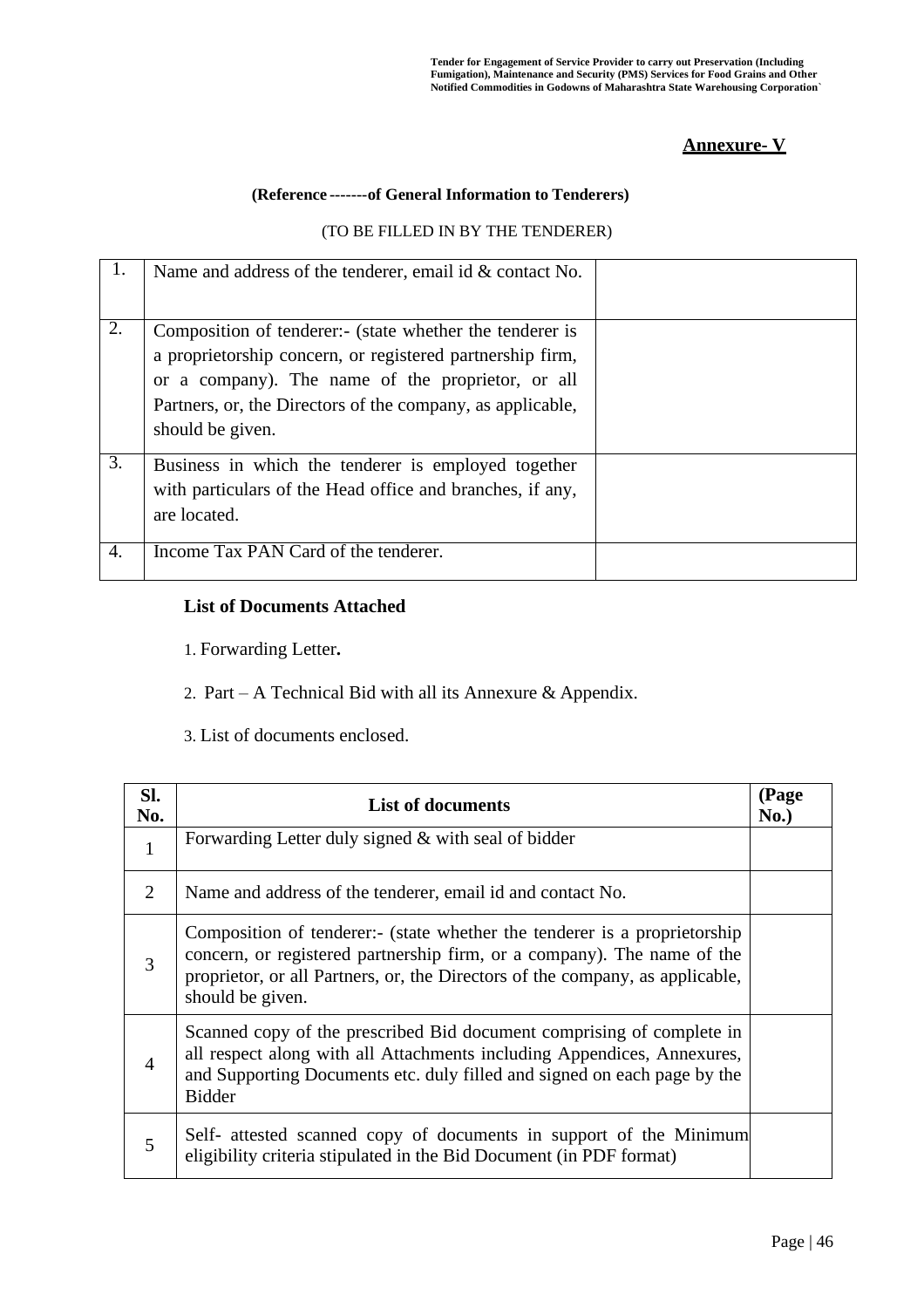### **Annexure- V**

#### **(Reference -------of General Information to Tenderers)**

#### (TO BE FILLED IN BY THE TENDERER)

| Ι. | Name and address of the tenderer, email id $&$ contact No.                                                                                                                                                                                                   |  |
|----|--------------------------------------------------------------------------------------------------------------------------------------------------------------------------------------------------------------------------------------------------------------|--|
| 2. | Composition of tenderer:- (state whether the tenderer is<br>a proprietorship concern, or registered partnership firm,<br>or a company). The name of the proprietor, or all<br>Partners, or, the Directors of the company, as applicable,<br>should be given. |  |
| 3. | Business in which the tenderer is employed together<br>with particulars of the Head office and branches, if any,<br>are located.                                                                                                                             |  |
| 4. | Income Tax PAN Card of the tenderer.                                                                                                                                                                                                                         |  |

### **List of Documents Attached**

1. Forwarding Letter**.**

- 2. Part A Technical Bid with all its Annexure & Appendix.
- 3. List of documents enclosed.

| SI.<br>No.     | <b>List of documents</b>                                                                                                                                                                                                                                  |  |  |
|----------------|-----------------------------------------------------------------------------------------------------------------------------------------------------------------------------------------------------------------------------------------------------------|--|--|
| 1              | Forwarding Letter duly signed & with seal of bidder                                                                                                                                                                                                       |  |  |
| 2              | Name and address of the tenderer, email id and contact No.                                                                                                                                                                                                |  |  |
| 3              | Composition of tenderer:- (state whether the tenderer is a proprietorship<br>concern, or registered partnership firm, or a company). The name of the<br>proprietor, or all Partners, or, the Directors of the company, as applicable,<br>should be given. |  |  |
| $\overline{4}$ | Scanned copy of the prescribed Bid document comprising of complete in<br>all respect along with all Attachments including Appendices, Annexures,<br>and Supporting Documents etc. duly filled and signed on each page by the<br><b>Bidder</b>             |  |  |
| 5              | Self- attested scanned copy of documents in support of the Minimum<br>eligibility criteria stipulated in the Bid Document (in PDF format)                                                                                                                 |  |  |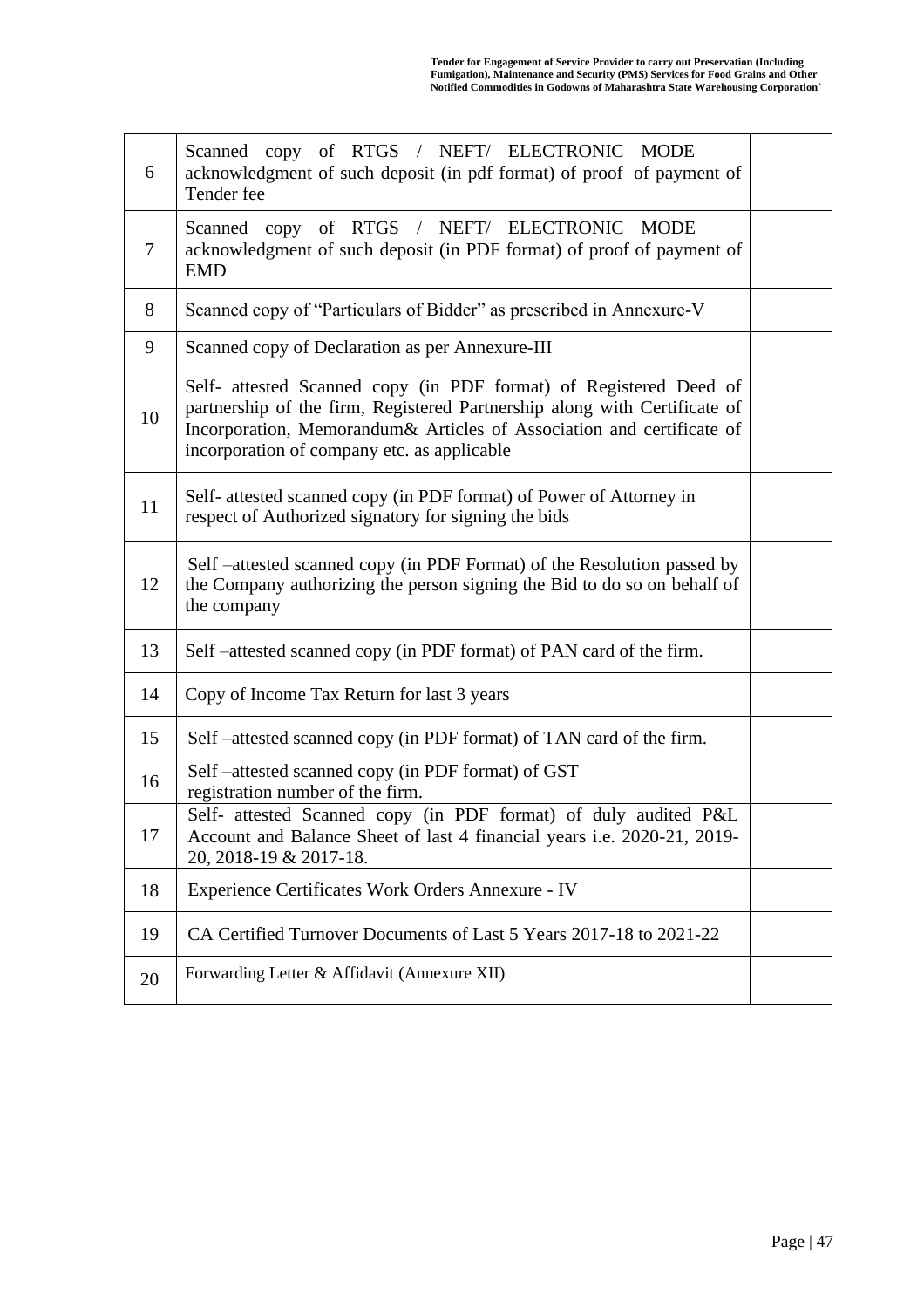| 6      | Scanned copy of RTGS / NEFT/ ELECTRONIC MODE<br>acknowledgment of such deposit (in pdf format) of proof of payment of<br>Tender fee                                                                                                                                    |  |  |  |  |  |
|--------|------------------------------------------------------------------------------------------------------------------------------------------------------------------------------------------------------------------------------------------------------------------------|--|--|--|--|--|
| $\tau$ | Scanned copy of RTGS / NEFT/ ELECTRONIC MODE<br>acknowledgment of such deposit (in PDF format) of proof of payment of<br><b>EMD</b>                                                                                                                                    |  |  |  |  |  |
| 8      | Scanned copy of "Particulars of Bidder" as prescribed in Annexure-V                                                                                                                                                                                                    |  |  |  |  |  |
| 9      | Scanned copy of Declaration as per Annexure-III                                                                                                                                                                                                                        |  |  |  |  |  |
| 10     | Self- attested Scanned copy (in PDF format) of Registered Deed of<br>partnership of the firm, Registered Partnership along with Certificate of<br>Incorporation, Memorandum& Articles of Association and certificate of<br>incorporation of company etc. as applicable |  |  |  |  |  |
| 11     | Self- attested scanned copy (in PDF format) of Power of Attorney in<br>respect of Authorized signatory for signing the bids                                                                                                                                            |  |  |  |  |  |
| 12     | Self –attested scanned copy (in PDF Format) of the Resolution passed by<br>the Company authorizing the person signing the Bid to do so on behalf of<br>the company                                                                                                     |  |  |  |  |  |
| 13     | Self-attested scanned copy (in PDF format) of PAN card of the firm.                                                                                                                                                                                                    |  |  |  |  |  |
| 14     | Copy of Income Tax Return for last 3 years                                                                                                                                                                                                                             |  |  |  |  |  |
| 15     | Self-attested scanned copy (in PDF format) of TAN card of the firm.                                                                                                                                                                                                    |  |  |  |  |  |
| 16     | Self-attested scanned copy (in PDF format) of GST<br>registration number of the firm.                                                                                                                                                                                  |  |  |  |  |  |
| 17     | Self- attested Scanned copy (in PDF format) of duly audited P&L<br>Account and Balance Sheet of last 4 financial years i.e. 2020-21, 2019-<br>20, 2018-19 & 2017-18.                                                                                                   |  |  |  |  |  |
| 18     | Experience Certificates Work Orders Annexure - IV                                                                                                                                                                                                                      |  |  |  |  |  |
| 19     | CA Certified Turnover Documents of Last 5 Years 2017-18 to 2021-22                                                                                                                                                                                                     |  |  |  |  |  |
| 20     | Forwarding Letter & Affidavit (Annexure XII)                                                                                                                                                                                                                           |  |  |  |  |  |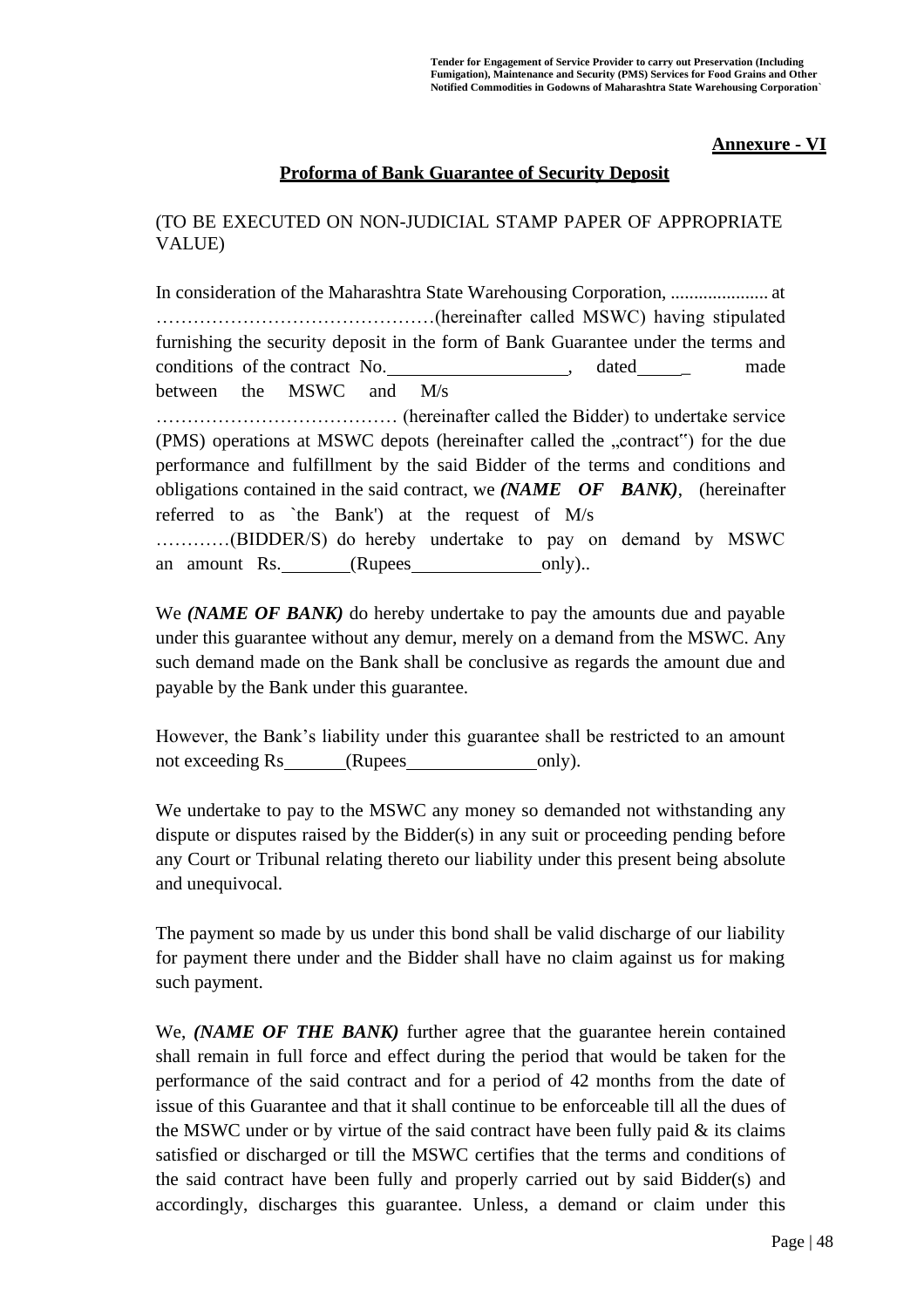#### **Annexure - VI**

#### **Proforma of Bank Guarantee of Security Deposit**

### (TO BE EXECUTED ON NON-JUDICIAL STAMP PAPER OF APPROPRIATE VALUE)

In consideration of the Maharashtra State Warehousing Corporation, ..................... at ………………………………………(hereinafter called MSWC) having stipulated furnishing the security deposit in the form of Bank Guarantee under the terms and conditions of the contract No.  $\qquad \qquad$  dated made between the MSWC and M/s ………………………………… (hereinafter called the Bidder) to undertake service (PMS) operations at MSWC depots (hereinafter called the "contract") for the due performance and fulfillment by the said Bidder of the terms and conditions and obligations contained in the said contract, we *(NAME OF BANK)*, (hereinafter referred to as `the Bank') at the request of M/s …………(BIDDER/S) do hereby undertake to pay on demand by MSWC an amount Rs. (Rupees only)...

We *(NAME OF BANK)* do hereby undertake to pay the amounts due and payable under this guarantee without any demur, merely on a demand from the MSWC. Any such demand made on the Bank shall be conclusive as regards the amount due and payable by the Bank under this guarantee.

However, the Bank's liability under this guarantee shall be restricted to an amount not exceeding Rs (Rupees only).

We undertake to pay to the MSWC any money so demanded not withstanding any dispute or disputes raised by the Bidder(s) in any suit or proceeding pending before any Court or Tribunal relating thereto our liability under this present being absolute and unequivocal.

The payment so made by us under this bond shall be valid discharge of our liability for payment there under and the Bidder shall have no claim against us for making such payment.

We, *(NAME OF THE BANK)* further agree that the guarantee herein contained shall remain in full force and effect during the period that would be taken for the performance of the said contract and for a period of 42 months from the date of issue of this Guarantee and that it shall continue to be enforceable till all the dues of the MSWC under or by virtue of the said contract have been fully paid  $\&$  its claims satisfied or discharged or till the MSWC certifies that the terms and conditions of the said contract have been fully and properly carried out by said Bidder(s) and accordingly, discharges this guarantee. Unless, a demand or claim under this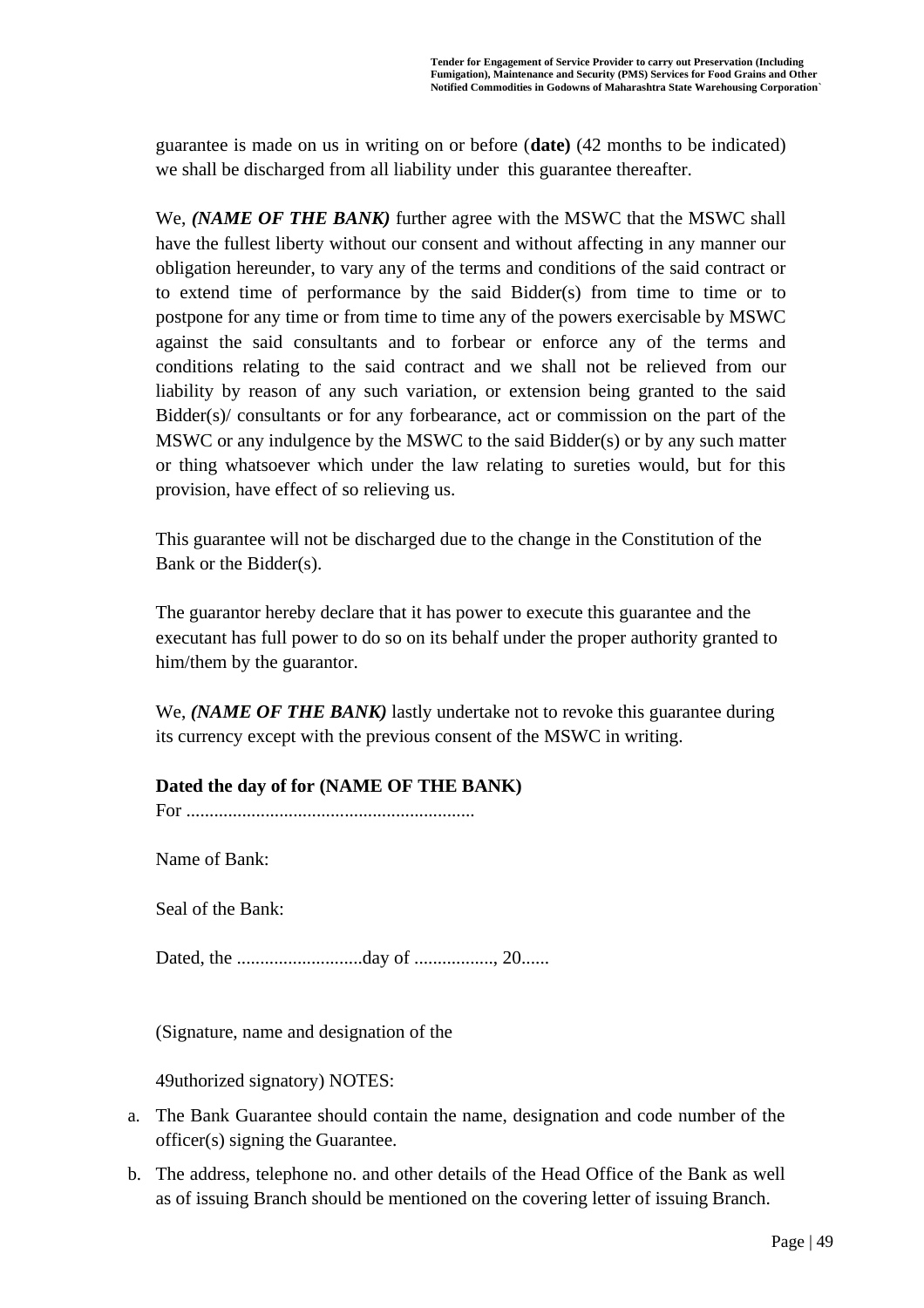guarantee is made on us in writing on or before (**date)** (42 months to be indicated) we shall be discharged from all liability under this guarantee thereafter.

We, *(NAME OF THE BANK)* further agree with the MSWC that the MSWC shall have the fullest liberty without our consent and without affecting in any manner our obligation hereunder, to vary any of the terms and conditions of the said contract or to extend time of performance by the said Bidder(s) from time to time or to postpone for any time or from time to time any of the powers exercisable by MSWC against the said consultants and to forbear or enforce any of the terms and conditions relating to the said contract and we shall not be relieved from our liability by reason of any such variation, or extension being granted to the said Bidder(s)/ consultants or for any forbearance, act or commission on the part of the MSWC or any indulgence by the MSWC to the said Bidder(s) or by any such matter or thing whatsoever which under the law relating to sureties would, but for this provision, have effect of so relieving us.

This guarantee will not be discharged due to the change in the Constitution of the Bank or the Bidder(s).

The guarantor hereby declare that it has power to execute this guarantee and the executant has full power to do so on its behalf under the proper authority granted to him/them by the guarantor.

We, *(NAME OF THE BANK)* lastly undertake not to revoke this guarantee during its currency except with the previous consent of the MSWC in writing.

### **Dated the day of for (NAME OF THE BANK)**

For ..............................................................

Name of Bank:

Seal of the Bank:

Dated, the ...........................day of ................., 20......

(Signature, name and designation of the

49uthorized signatory) NOTES:

- a. The Bank Guarantee should contain the name, designation and code number of the officer(s) signing the Guarantee.
- b. The address, telephone no. and other details of the Head Office of the Bank as well as of issuing Branch should be mentioned on the covering letter of issuing Branch.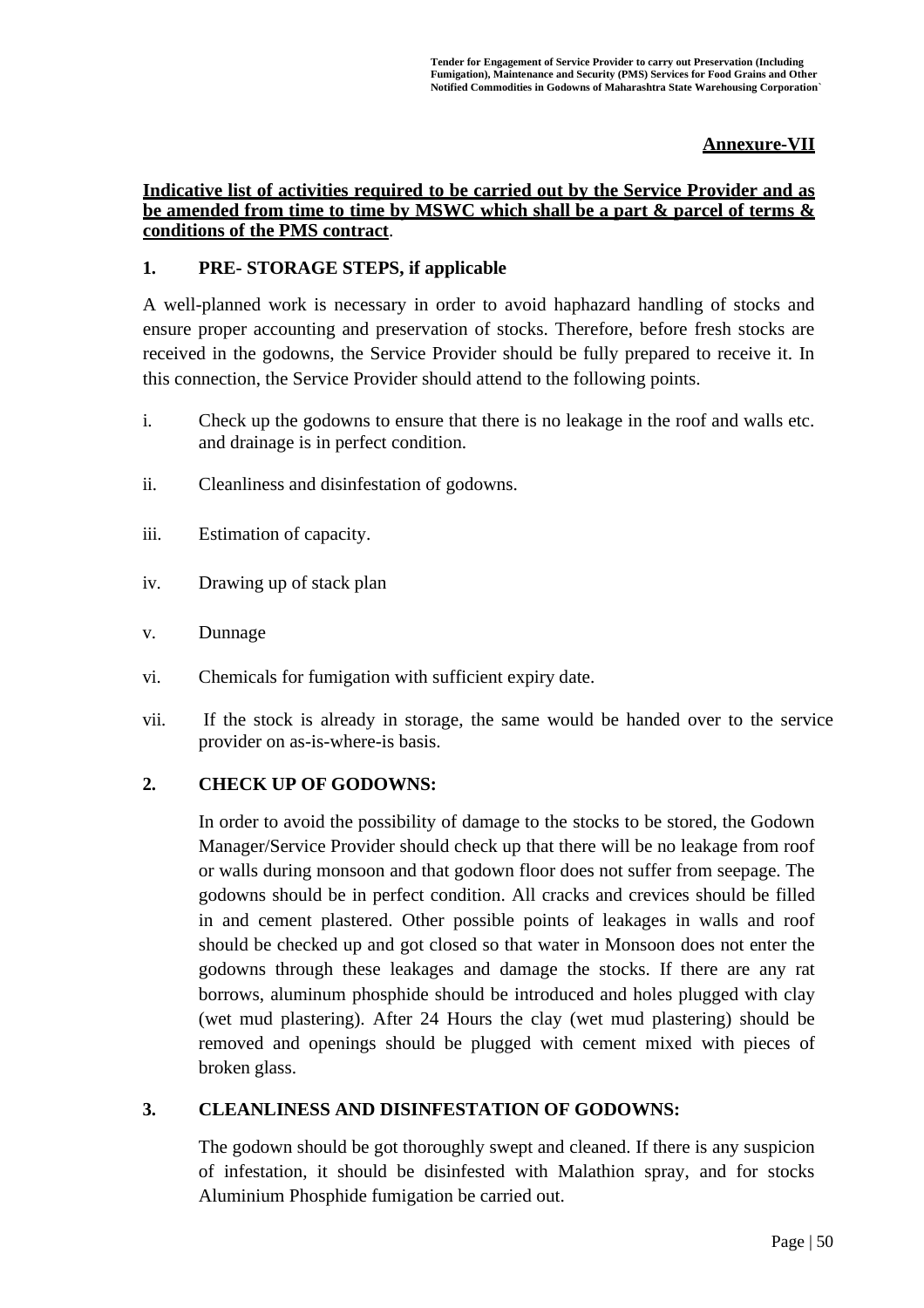#### **Annexure-VII**

#### **Indicative list of activities required to be carried out by the Service Provider and as be amended from time to time by MSWC which shall be a part & parcel of terms & conditions of the PMS contract**.

### **1. PRE- STORAGE STEPS, if applicable**

A well-planned work is necessary in order to avoid haphazard handling of stocks and ensure proper accounting and preservation of stocks. Therefore, before fresh stocks are received in the godowns, the Service Provider should be fully prepared to receive it. In this connection, the Service Provider should attend to the following points.

- i. Check up the godowns to ensure that there is no leakage in the roof and walls etc. and drainage is in perfect condition.
- ii. Cleanliness and disinfestation of godowns.
- iii. Estimation of capacity.
- iv. Drawing up of stack plan
- v. Dunnage
- vi. Chemicals for fumigation with sufficient expiry date.
- vii. If the stock is already in storage, the same would be handed over to the service provider on as-is-where-is basis.

### **2. CHECK UP OF GODOWNS:**

In order to avoid the possibility of damage to the stocks to be stored, the Godown Manager/Service Provider should check up that there will be no leakage from roof or walls during monsoon and that godown floor does not suffer from seepage. The godowns should be in perfect condition. All cracks and crevices should be filled in and cement plastered. Other possible points of leakages in walls and roof should be checked up and got closed so that water in Monsoon does not enter the godowns through these leakages and damage the stocks. If there are any rat borrows, aluminum phosphide should be introduced and holes plugged with clay (wet mud plastering). After 24 Hours the clay (wet mud plastering) should be removed and openings should be plugged with cement mixed with pieces of broken glass.

#### **3. CLEANLINESS AND DISINFESTATION OF GODOWNS:**

The godown should be got thoroughly swept and cleaned. If there is any suspicion of infestation, it should be disinfested with Malathion spray, and for stocks Aluminium Phosphide fumigation be carried out.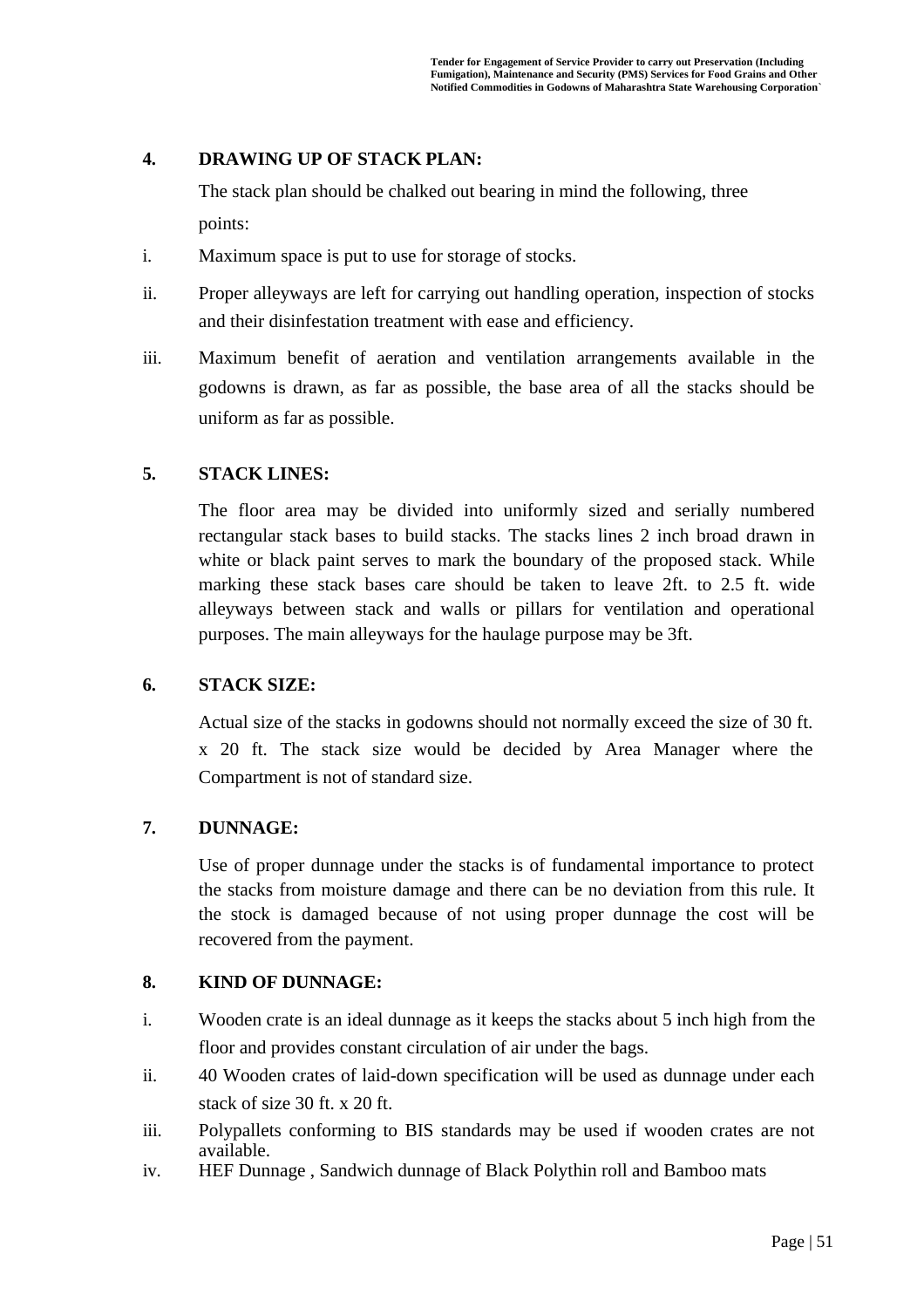### **4. DRAWING UP OF STACK PLAN:**

The stack plan should be chalked out bearing in mind the following, three points:

- i. Maximum space is put to use for storage of stocks.
- ii. Proper alleyways are left for carrying out handling operation, inspection of stocks and their disinfestation treatment with ease and efficiency.
- iii. Maximum benefit of aeration and ventilation arrangements available in the godowns is drawn, as far as possible, the base area of all the stacks should be uniform as far as possible.

### **5. STACK LINES:**

The floor area may be divided into uniformly sized and serially numbered rectangular stack bases to build stacks. The stacks lines 2 inch broad drawn in white or black paint serves to mark the boundary of the proposed stack. While marking these stack bases care should be taken to leave 2ft. to 2.5 ft. wide alleyways between stack and walls or pillars for ventilation and operational purposes. The main alleyways for the haulage purpose may be 3ft.

#### **6. STACK SIZE:**

Actual size of the stacks in godowns should not normally exceed the size of 30 ft. x 20 ft. The stack size would be decided by Area Manager where the Compartment is not of standard size.

### **7. DUNNAGE:**

Use of proper dunnage under the stacks is of fundamental importance to protect the stacks from moisture damage and there can be no deviation from this rule. It the stock is damaged because of not using proper dunnage the cost will be recovered from the payment.

#### **8. KIND OF DUNNAGE:**

- i. Wooden crate is an ideal dunnage as it keeps the stacks about 5 inch high from the floor and provides constant circulation of air under the bags.
- ii. 40 Wooden crates of laid-down specification will be used as dunnage under each stack of size 30 ft. x 20 ft.
- iii. Polypallets conforming to BIS standards may be used if wooden crates are not available.
- iv. HEF Dunnage , Sandwich dunnage of Black Polythin roll and Bamboo mats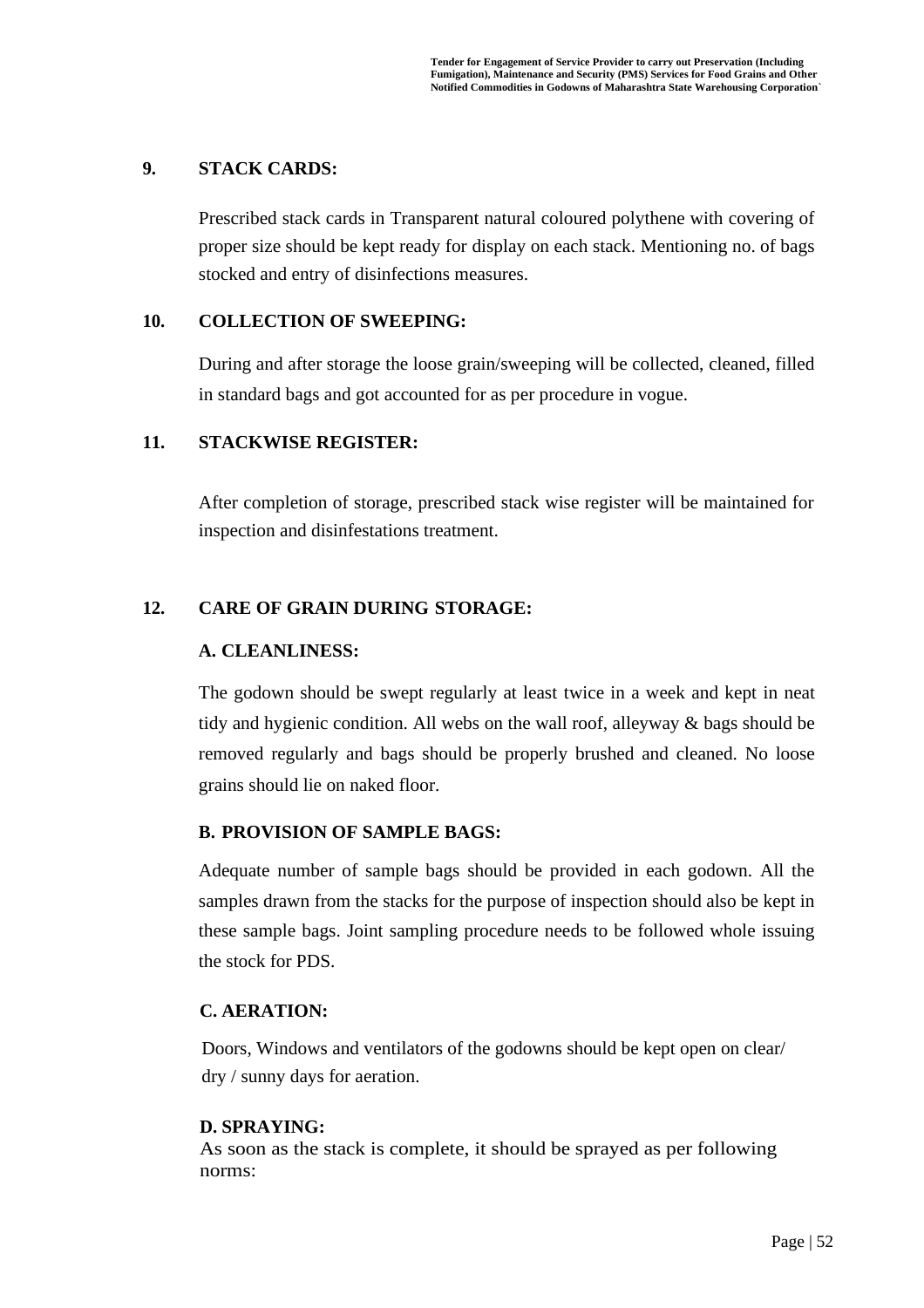#### **9. STACK CARDS:**

Prescribed stack cards in Transparent natural coloured polythene with covering of proper size should be kept ready for display on each stack. Mentioning no. of bags stocked and entry of disinfections measures.

#### **10. COLLECTION OF SWEEPING:**

During and after storage the loose grain/sweeping will be collected, cleaned, filled in standard bags and got accounted for as per procedure in vogue.

### **11. STACKWISE REGISTER:**

After completion of storage, prescribed stack wise register will be maintained for inspection and disinfestations treatment.

### **12. CARE OF GRAIN DURING STORAGE:**

### **A. CLEANLINESS:**

The godown should be swept regularly at least twice in a week and kept in neat tidy and hygienic condition. All webs on the wall roof, alleyway & bags should be removed regularly and bags should be properly brushed and cleaned. No loose grains should lie on naked floor.

### **B. PROVISION OF SAMPLE BAGS:**

Adequate number of sample bags should be provided in each godown. All the samples drawn from the stacks for the purpose of inspection should also be kept in these sample bags. Joint sampling procedure needs to be followed whole issuing the stock for PDS.

#### **C. AERATION:**

Doors, Windows and ventilators of the godowns should be kept open on clear/ dry / sunny days for aeration.

#### **D. SPRAYING:**

As soon as the stack is complete, it should be sprayed as per following norms: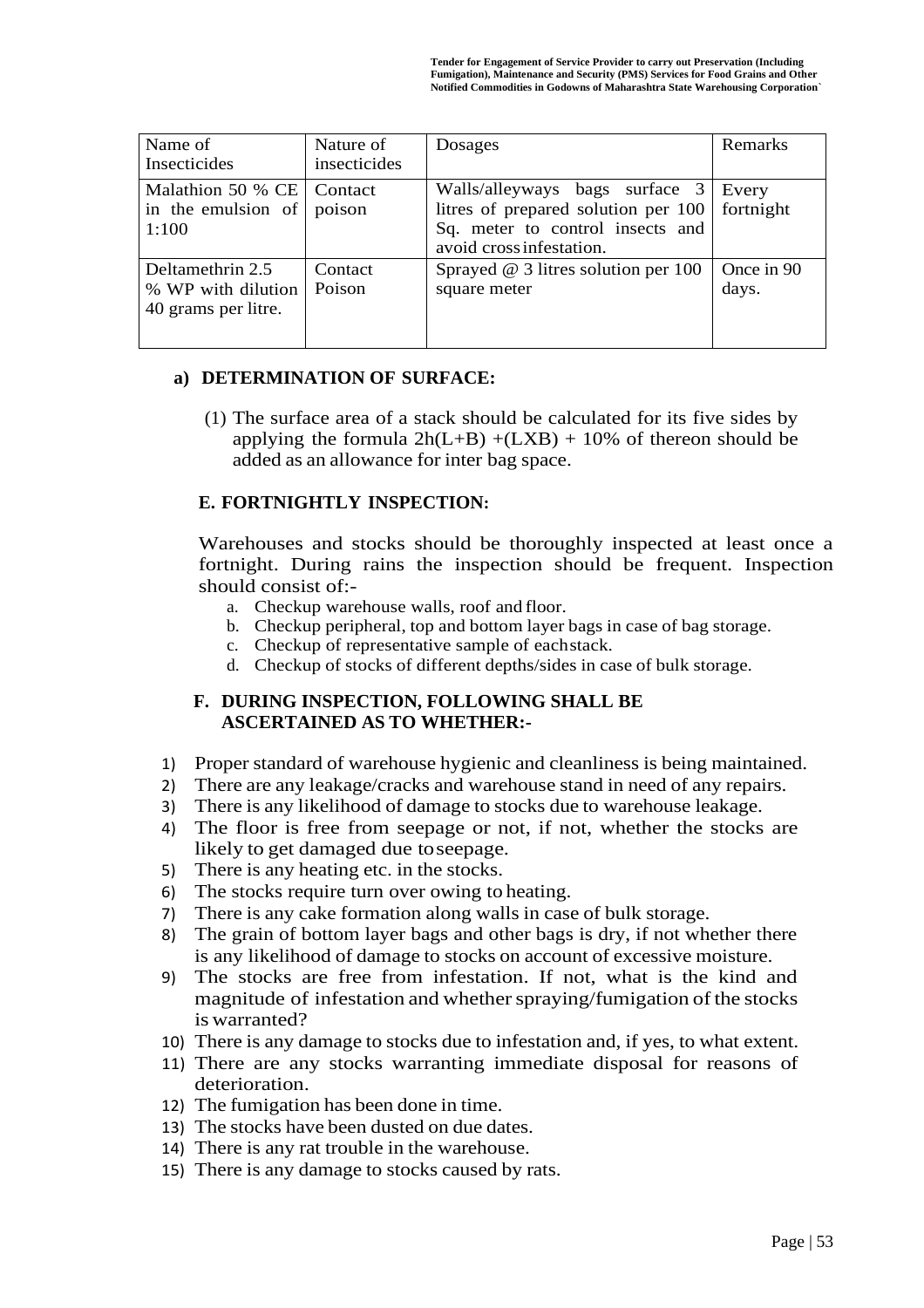| Name of                                                       | Nature of         | Dosages                                                                                                                               | Remarks             |
|---------------------------------------------------------------|-------------------|---------------------------------------------------------------------------------------------------------------------------------------|---------------------|
| Insecticides                                                  | insecticides      |                                                                                                                                       |                     |
| Malathion 50 % CE<br>in the emulsion of<br>1:100              | Contact<br>poison | Walls/alleyways bags surface 3<br>litres of prepared solution per 100<br>Sq. meter to control insects and<br>avoid cross infestation. | Every<br>fortnight  |
| Deltamethrin 2.5<br>% WP with dilution<br>40 grams per litre. | Contact<br>Poison | Sprayed $@$ 3 litres solution per 100<br>square meter                                                                                 | Once in 90<br>days. |

#### **a) DETERMINATION OF SURFACE:**

(1) The surface area of a stack should be calculated for its five sides by applying the formula  $2h(L+B) + (LXB) + 10\%$  of thereon should be added as an allowance for inter bag space.

#### **E. FORTNIGHTLY INSPECTION:**

Warehouses and stocks should be thoroughly inspected at least once a fortnight. During rains the inspection should be frequent. Inspection should consist of:-

- a. Checkup warehouse walls, roof and floor.
- b. Checkup peripheral, top and bottom layer bags in case of bag storage.
- c. Checkup of representative sample of eachstack.
- d. Checkup of stocks of different depths/sides in case of bulk storage.

#### **F. DURING INSPECTION, FOLLOWING SHALL BE ASCERTAINED AS TO WHETHER:-**

- 1) Proper standard of warehouse hygienic and cleanliness is being maintained.
- 2) There are any leakage/cracks and warehouse stand in need of any repairs.
- 3) There is any likelihood of damage to stocks due to warehouse leakage.
- 4) The floor is free from seepage or not, if not, whether the stocks are likely to get damaged due toseepage.
- 5) There is any heating etc. in the stocks.
- 6) The stocks require turn over owing to heating.
- 7) There is any cake formation along walls in case of bulk storage.
- 8) The grain of bottom layer bags and other bags is dry, if not whether there is any likelihood of damage to stocks on account of excessive moisture.
- 9) The stocks are free from infestation. If not, what is the kind and magnitude of infestation and whether spraying/fumigation of the stocks is warranted?
- 10) There is any damage to stocks due to infestation and, if yes, to what extent.
- 11) There are any stocks warranting immediate disposal for reasons of deterioration.
- 12) The fumigation has been done in time.
- 13) The stocks have been dusted on due dates.
- 14) There is any rat trouble in the warehouse.
- 15) There is any damage to stocks caused by rats.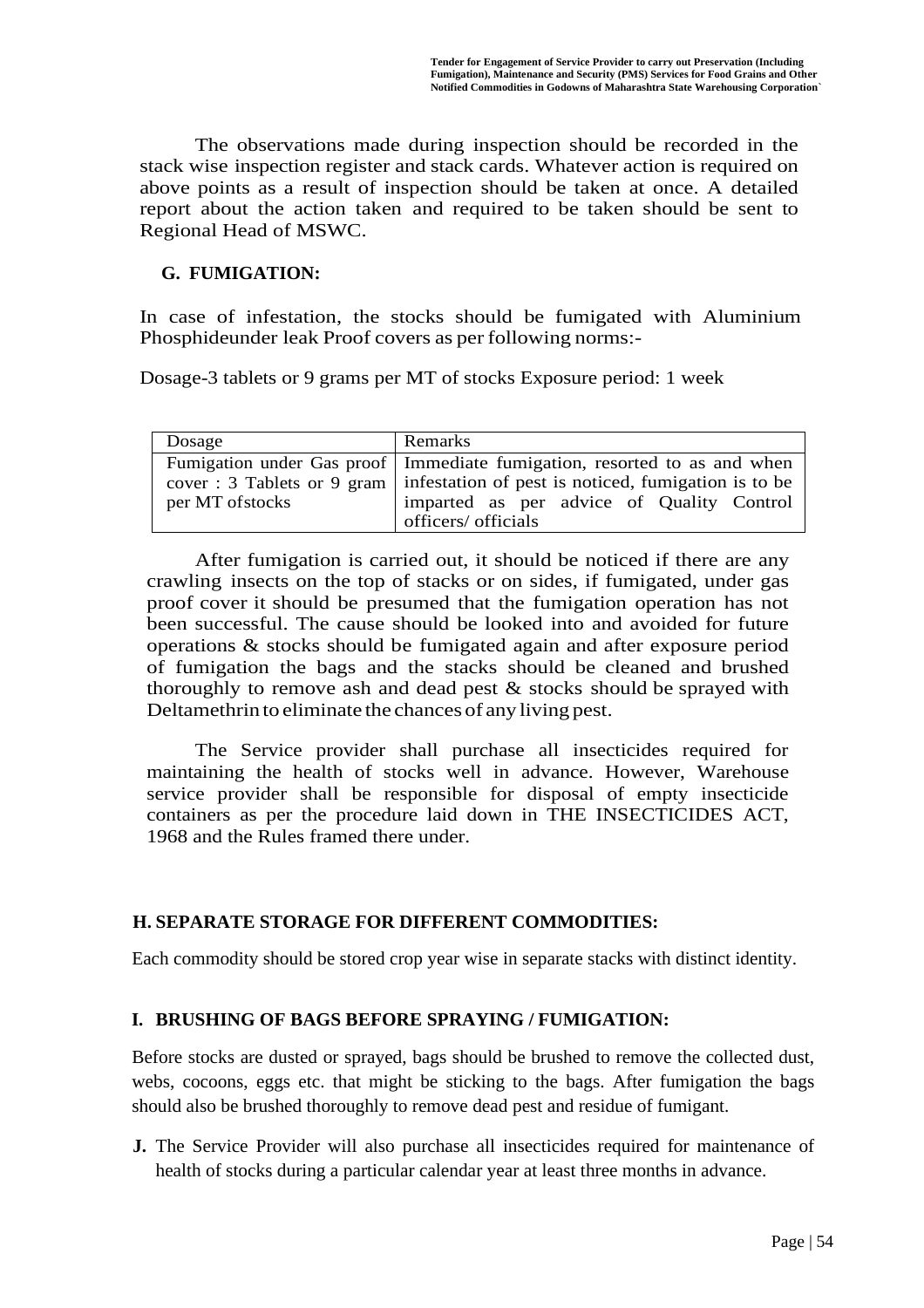The observations made during inspection should be recorded in the stack wise inspection register and stack cards. Whatever action is required on above points as a result of inspection should be taken at once. A detailed report about the action taken and required to be taken should be sent to Regional Head of MSWC.

### **G. FUMIGATION:**

In case of infestation, the stocks should be fumigated with Aluminium Phosphideunder leak Proof covers as per following norms:-

Dosage-3 tablets or 9 grams per MT of stocks Exposure period: 1 week

| Dosage           | Remarks                                                                          |  |  |  |  |
|------------------|----------------------------------------------------------------------------------|--|--|--|--|
|                  | Fumigation under Gas proof   Immediate fumigation, resorted to as and when       |  |  |  |  |
|                  | cover: 3 Tablets or 9 gram   infestation of pest is noticed, fumigation is to be |  |  |  |  |
| per MT of stocks | imparted as per advice of Quality Control                                        |  |  |  |  |
|                  | officers/ officials                                                              |  |  |  |  |

After fumigation is carried out, it should be noticed if there are any crawling insects on the top of stacks or on sides, if fumigated, under gas proof cover it should be presumed that the fumigation operation has not been successful. The cause should be looked into and avoided for future operations & stocks should be fumigated again and after exposure period of fumigation the bags and the stacks should be cleaned and brushed thoroughly to remove ash and dead pest & stocks should be sprayed with Deltamethrin to eliminate the chances of any living pest.

The Service provider shall purchase all insecticides required for maintaining the health of stocks well in advance. However, Warehouse service provider shall be responsible for disposal of empty insecticide containers as per the procedure laid down in THE INSECTICIDES ACT, 1968 and the Rules framed there under.

#### **H. SEPARATE STORAGE FOR DIFFERENT COMMODITIES:**

Each commodity should be stored crop year wise in separate stacks with distinct identity.

#### **I. BRUSHING OF BAGS BEFORE SPRAYING / FUMIGATION:**

Before stocks are dusted or sprayed, bags should be brushed to remove the collected dust, webs, cocoons, eggs etc. that might be sticking to the bags. After fumigation the bags should also be brushed thoroughly to remove dead pest and residue of fumigant.

**J.** The Service Provider will also purchase all insecticides required for maintenance of health of stocks during a particular calendar year at least three months in advance.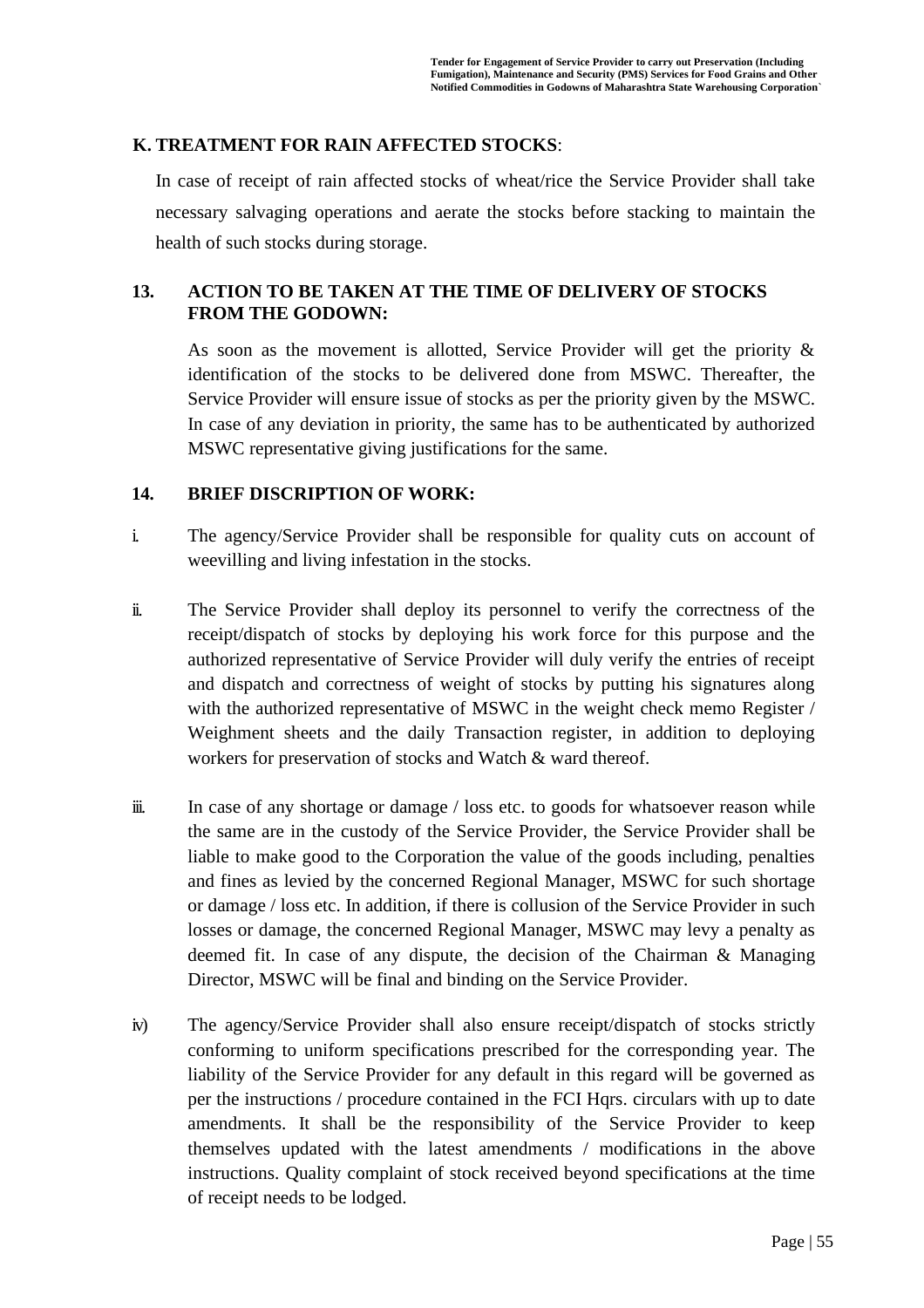### **K. TREATMENT FOR RAIN AFFECTED STOCKS**:

In case of receipt of rain affected stocks of wheat/rice the Service Provider shall take necessary salvaging operations and aerate the stocks before stacking to maintain the health of such stocks during storage.

### **13. ACTION TO BE TAKEN AT THE TIME OF DELIVERY OF STOCKS FROM THE GODOWN:**

As soon as the movement is allotted, Service Provider will get the priority & identification of the stocks to be delivered done from MSWC. Thereafter, the Service Provider will ensure issue of stocks as per the priority given by the MSWC. In case of any deviation in priority, the same has to be authenticated by authorized MSWC representative giving justifications for the same.

### **14. BRIEF DISCRIPTION OF WORK:**

- i. The agency/Service Provider shall be responsible for quality cuts on account of weevilling and living infestation in the stocks.
- ii. The Service Provider shall deploy its personnel to verify the correctness of the receipt/dispatch of stocks by deploying his work force for this purpose and the authorized representative of Service Provider will duly verify the entries of receipt and dispatch and correctness of weight of stocks by putting his signatures along with the authorized representative of MSWC in the weight check memo Register / Weighment sheets and the daily Transaction register, in addition to deploying workers for preservation of stocks and Watch & ward thereof.
- iii. In case of any shortage or damage / loss etc. to goods for whatsoever reason while the same are in the custody of the Service Provider, the Service Provider shall be liable to make good to the Corporation the value of the goods including, penalties and fines as levied by the concerned Regional Manager, MSWC for such shortage or damage / loss etc. In addition, if there is collusion of the Service Provider in such losses or damage, the concerned Regional Manager, MSWC may levy a penalty as deemed fit. In case of any dispute, the decision of the Chairman & Managing Director, MSWC will be final and binding on the Service Provider.
- iv) The agency/Service Provider shall also ensure receipt/dispatch of stocks strictly conforming to uniform specifications prescribed for the corresponding year. The liability of the Service Provider for any default in this regard will be governed as per the instructions / procedure contained in the FCI Hqrs. circulars with up to date amendments. It shall be the responsibility of the Service Provider to keep themselves updated with the latest amendments / modifications in the above instructions. Quality complaint of stock received beyond specifications at the time of receipt needs to be lodged.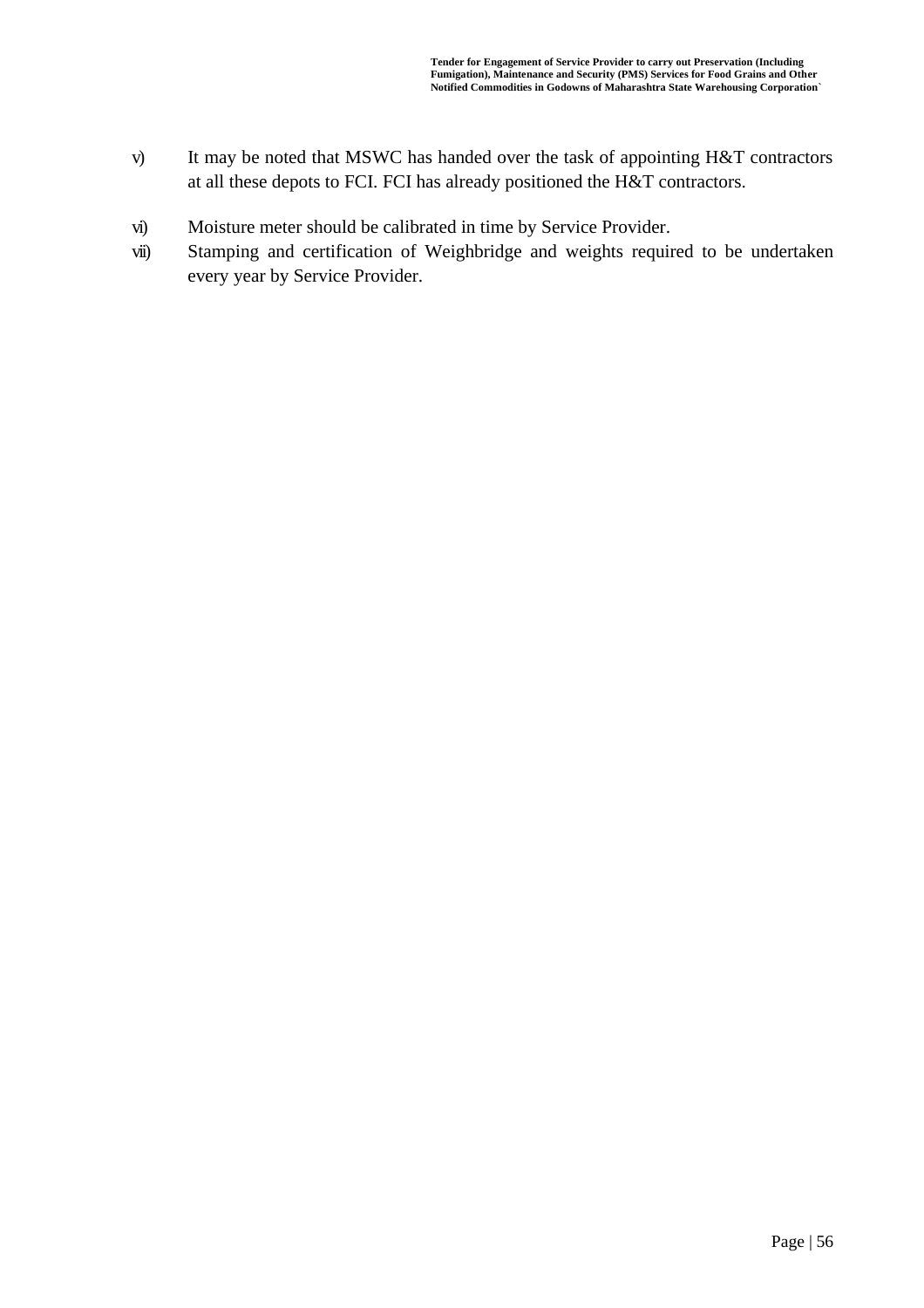- v) It may be noted that MSWC has handed over the task of appointing H&T contractors at all these depots to FCI. FCI has already positioned the H&T contractors.
- vi) Moisture meter should be calibrated in time by Service Provider.
- vii) Stamping and certification of Weighbridge and weights required to be undertaken every year by Service Provider.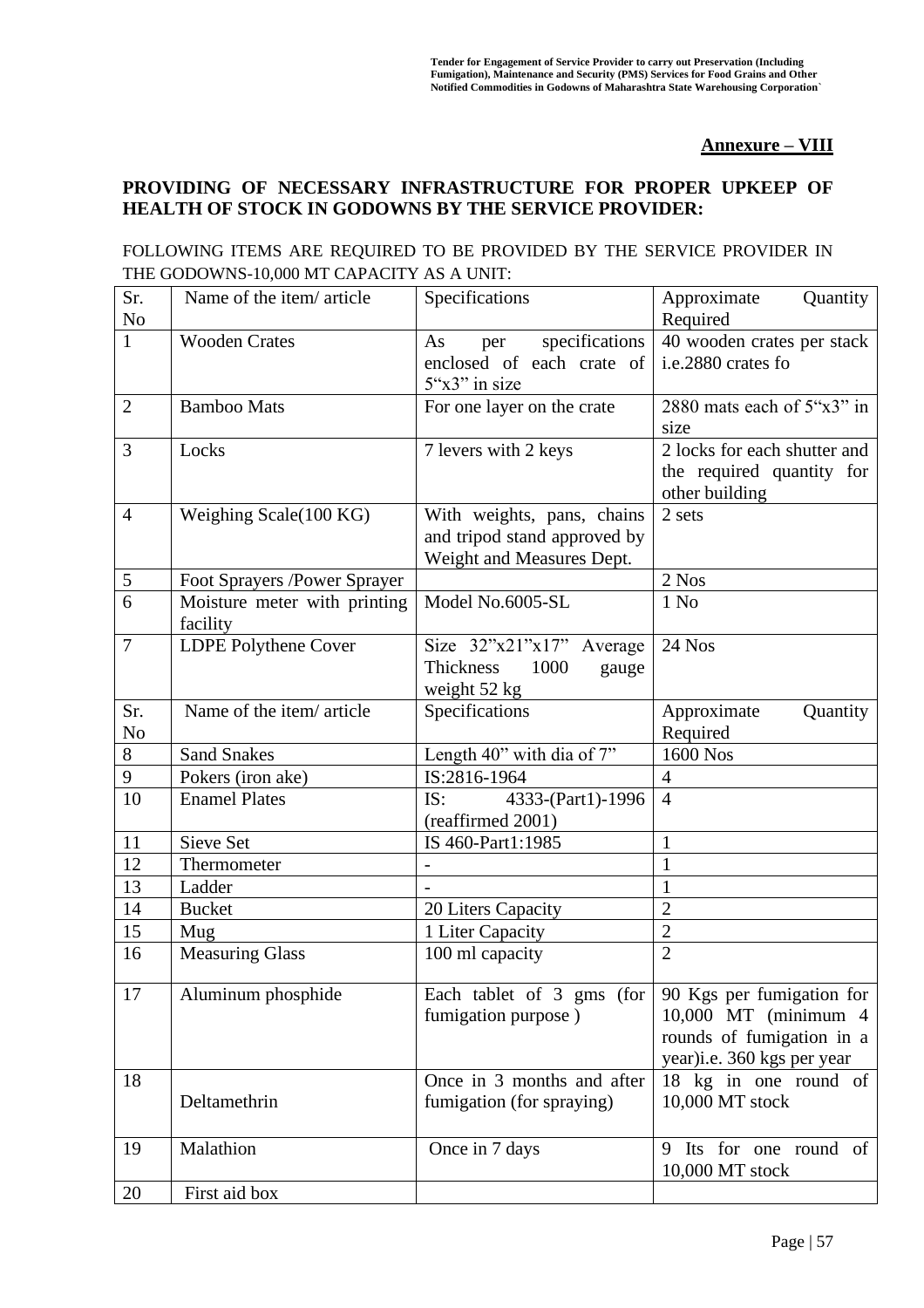#### **Annexure – VIII**

### **PROVIDING OF NECESSARY INFRASTRUCTURE FOR PROPER UPKEEP OF HEALTH OF STOCK IN GODOWNS BY THE SERVICE PROVIDER:**

#### FOLLOWING ITEMS ARE REQUIRED TO BE PROVIDED BY THE SERVICE PROVIDER IN THE GODOWNS-10,000 MT CAPACITY AS A UNIT:

| Sr.<br>N <sub>o</sub> | Name of the item/article                 | Specifications                                                                          | Approximate<br>Quantity<br>Required                                                                          |
|-----------------------|------------------------------------------|-----------------------------------------------------------------------------------------|--------------------------------------------------------------------------------------------------------------|
| $\mathbf{1}$          | <b>Wooden Crates</b>                     | specifications<br>As<br>per<br>enclosed of each crate of<br>$5''x3''$ in size           | 40 wooden crates per stack<br>i.e.2880 crates fo                                                             |
| $\overline{2}$        | <b>Bamboo Mats</b>                       | For one layer on the crate                                                              | 2880 mats each of 5"x3" in<br>size                                                                           |
| 3                     | Locks                                    | 7 levers with 2 keys                                                                    | 2 locks for each shutter and<br>the required quantity for<br>other building                                  |
| $\overline{4}$        | Weighing Scale(100 KG)                   | With weights, pans, chains<br>and tripod stand approved by<br>Weight and Measures Dept. | 2 sets                                                                                                       |
| $\sqrt{5}$            | Foot Sprayers /Power Sprayer             |                                                                                         | 2 Nos                                                                                                        |
| 6                     | Moisture meter with printing<br>facility | Model No.6005-SL                                                                        | 1 No                                                                                                         |
| $\overline{7}$        | LDPE Polythene Cover                     | Size $32"x21"x17"$<br>Average<br>1000<br><b>Thickness</b><br>gauge<br>weight 52 kg      | 24 Nos                                                                                                       |
| Sr.<br>N <sub>o</sub> | Name of the item/article                 | Specifications                                                                          | Approximate<br>Quantity<br>Required                                                                          |
| 8                     | Sand Snakes                              | Length 40" with dia of 7"                                                               | 1600 Nos                                                                                                     |
| 9                     | Pokers (iron ake)                        | IS:2816-1964                                                                            | $\overline{4}$                                                                                               |
| 10                    | <b>Enamel Plates</b>                     | 4333-(Part1)-1996<br>IS:<br>(reaffirmed 2001)                                           | $\overline{4}$                                                                                               |
| 11                    | Sieve Set                                | IS 460-Part1:1985                                                                       | $\mathbf{1}$                                                                                                 |
| 12                    | Thermometer                              |                                                                                         | $\mathbf{1}$                                                                                                 |
| 13                    | Ladder                                   |                                                                                         | $\mathbf{1}$                                                                                                 |
| 14                    | <b>Bucket</b>                            | 20 Liters Capacity                                                                      | $\overline{2}$                                                                                               |
| 15                    | Mug                                      | 1 Liter Capacity                                                                        | $\overline{2}$                                                                                               |
| 16                    | <b>Measuring Glass</b>                   | 100 ml capacity                                                                         | $\overline{2}$                                                                                               |
| 17                    | Aluminum phosphide                       | Each tablet of 3 gms (for<br>fumigation purpose)                                        | 90 Kgs per fumigation for<br>10,000 MT (minimum 4<br>rounds of fumigation in a<br>year)i.e. 360 kgs per year |
| 18                    | Deltamethrin                             | Once in 3 months and after<br>fumigation (for spraying)                                 | 18 kg in one round of<br>10,000 MT stock                                                                     |
| 19                    | Malathion                                | Once in 7 days                                                                          | Its for one round of<br>9<br>10,000 MT stock                                                                 |
| 20                    | First aid box                            |                                                                                         |                                                                                                              |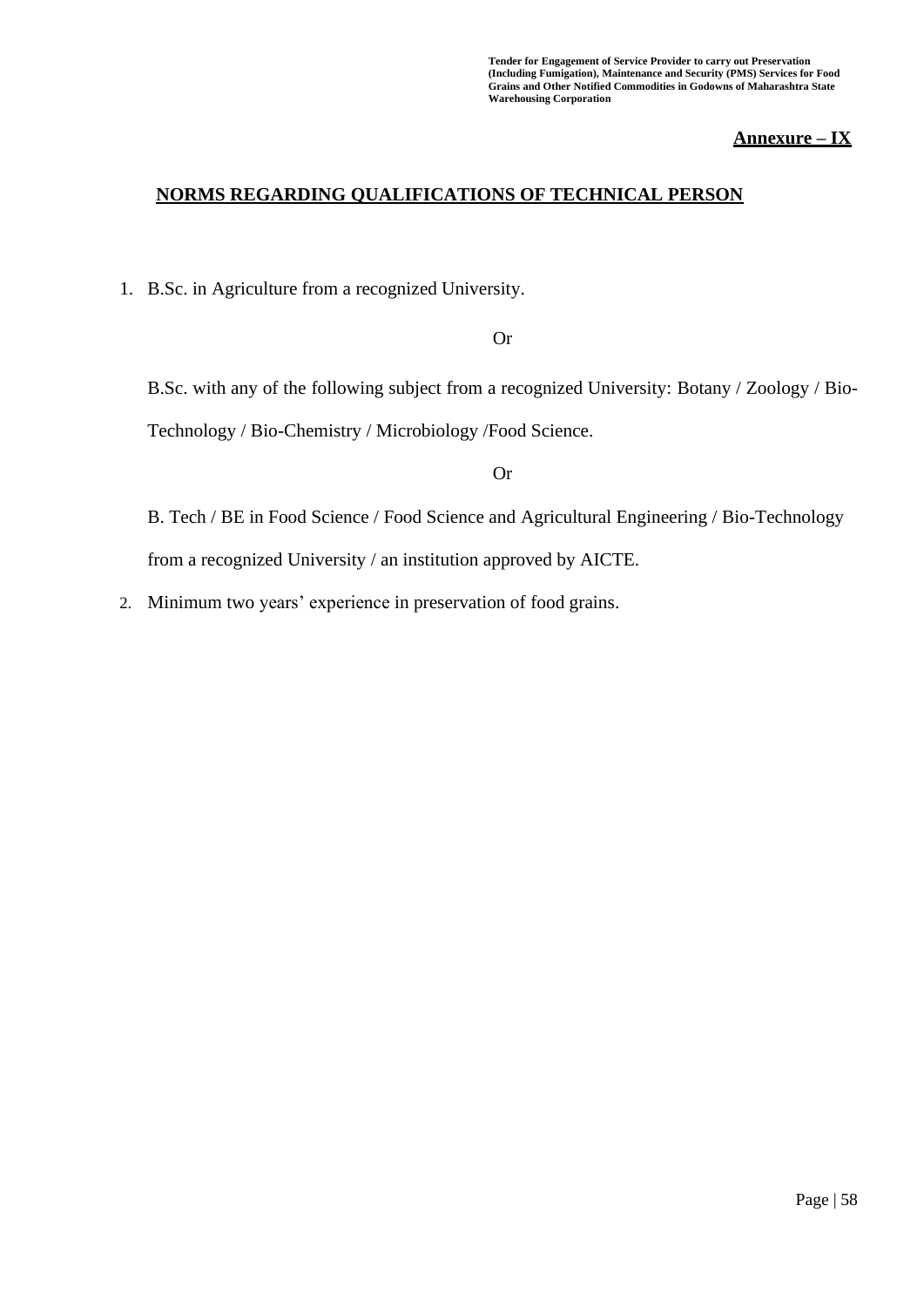**Tender for Engagement of Service Provider to carry out Preservation (Including Fumigation), Maintenance and Security (PMS) Services for Food Grains and Other Notified Commodities in Godowns of Maharashtra State Warehousing Corporation**

### **Annexure – IX**

#### **NORMS REGARDING QUALIFICATIONS OF TECHNICAL PERSON**

1. B.Sc. in Agriculture from a recognized University.

#### Or

B.Sc. with any of the following subject from a recognized University: Botany / Zoology / Bio-Technology / Bio-Chemistry / Microbiology /Food Science.

#### Or

B. Tech / BE in Food Science / Food Science and Agricultural Engineering / Bio-Technology from a recognized University / an institution approved by AICTE.

2. Minimum two years' experience in preservation of food grains.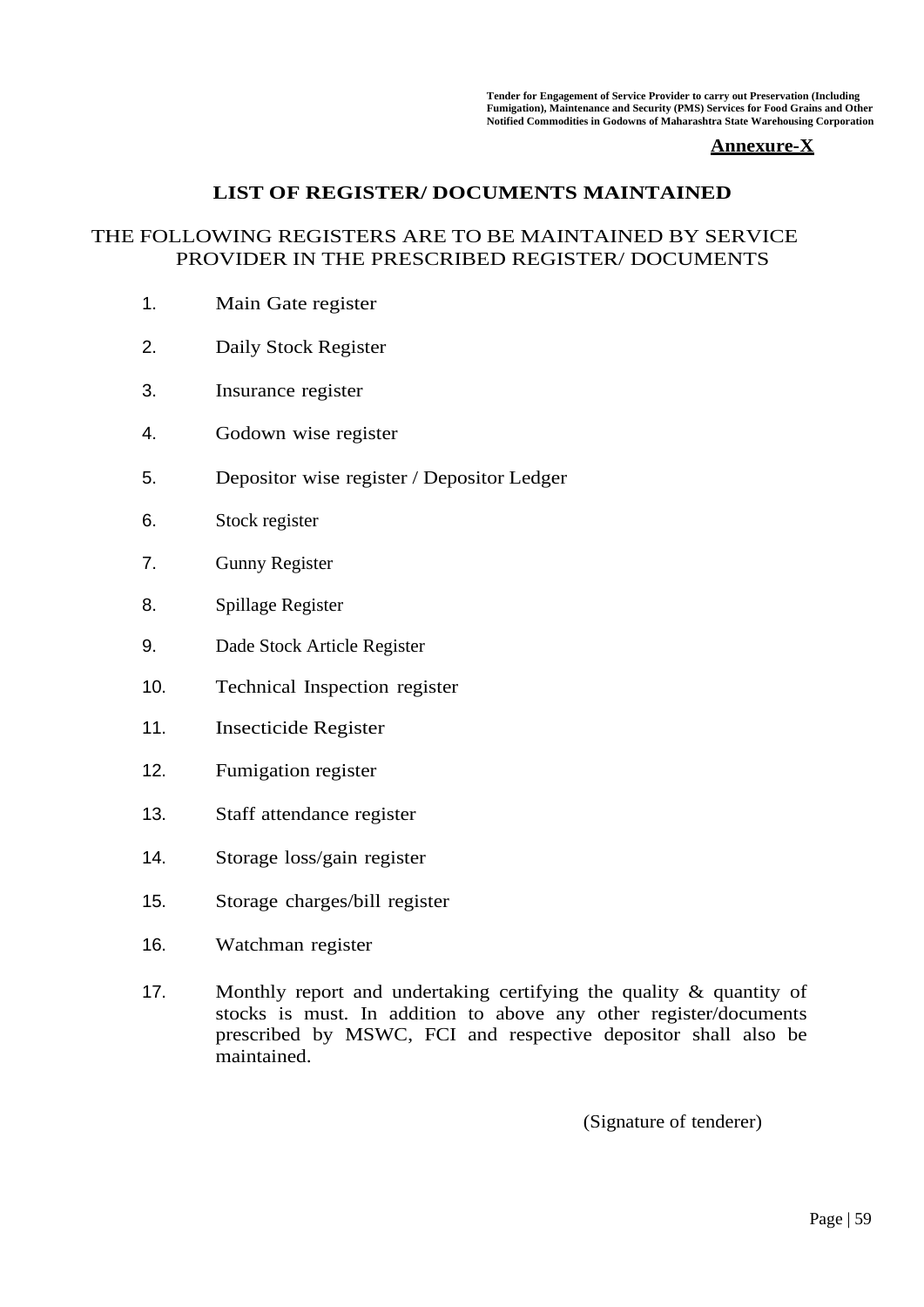**Tender for Engagement of Service Provider to carry out Preservation (Including Fumigation), Maintenance and Security (PMS) Services for Food Grains and Other Notified Commodities in Godowns of Maharashtra State Warehousing Corporation**

#### **Annexure-X**

### **LIST OF REGISTER/ DOCUMENTS MAINTAINED**

### THE FOLLOWING REGISTERS ARE TO BE MAINTAINED BY SERVICE PROVIDER IN THE PRESCRIBED REGISTER/ DOCUMENTS

- 1. Main Gate register
- 2. Daily Stock Register
- 3. Insurance register
- 4. Godown wise register
- 5. Depositor wise register / Depositor Ledger
- 6. Stock register
- 7. Gunny Register
- 8. Spillage Register
- 9. Dade Stock Article Register
- 10. Technical Inspection register
- 11. Insecticide Register
- 12. Fumigation register
- 13. Staff attendance register
- 14. Storage loss/gain register
- 15. Storage charges/bill register
- 16. Watchman register
- 17. Monthly report and undertaking certifying the quality & quantity of stocks is must. In addition to above any other register/documents prescribed by MSWC, FCI and respective depositor shall also be maintained.

(Signature of tenderer)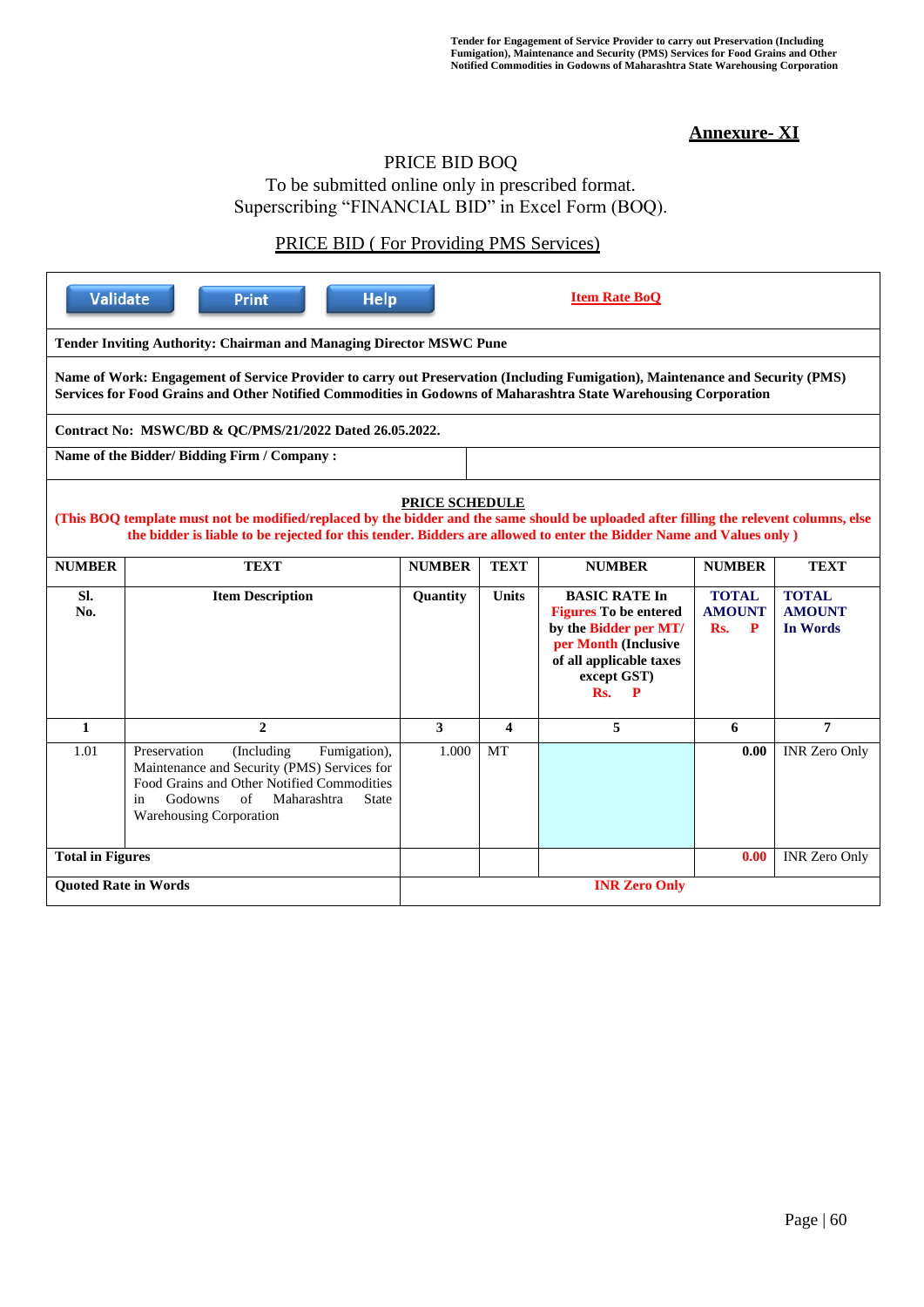### **Annexure- XI**

#### PRICE BID BOQ

To be submitted online only in prescribed format. Superscribing "FINANCIAL BID" in Excel Form (BOQ).

### PRICE BID ( For Providing PMS Services)

|                                                                                                                                                                                                                                                  | <b>Validate</b><br><b>Help</b><br><b>Item Rate BoQ</b><br><b>Print</b>                                                                                                                                                                                                                 |                      |                         |                                                                                                                                                             |                                           |                                                  |  |
|--------------------------------------------------------------------------------------------------------------------------------------------------------------------------------------------------------------------------------------------------|----------------------------------------------------------------------------------------------------------------------------------------------------------------------------------------------------------------------------------------------------------------------------------------|----------------------|-------------------------|-------------------------------------------------------------------------------------------------------------------------------------------------------------|-------------------------------------------|--------------------------------------------------|--|
| Tender Inviting Authority: Chairman and Managing Director MSWC Pune                                                                                                                                                                              |                                                                                                                                                                                                                                                                                        |                      |                         |                                                                                                                                                             |                                           |                                                  |  |
| Name of Work: Engagement of Service Provider to carry out Preservation (Including Fumigation), Maintenance and Security (PMS)<br>Services for Food Grains and Other Notified Commodities in Godowns of Maharashtra State Warehousing Corporation |                                                                                                                                                                                                                                                                                        |                      |                         |                                                                                                                                                             |                                           |                                                  |  |
|                                                                                                                                                                                                                                                  | Contract No: MSWC/BD & QC/PMS/21/2022 Dated 26.05.2022.                                                                                                                                                                                                                                |                      |                         |                                                                                                                                                             |                                           |                                                  |  |
|                                                                                                                                                                                                                                                  | Name of the Bidder/ Bidding Firm / Company:                                                                                                                                                                                                                                            |                      |                         |                                                                                                                                                             |                                           |                                                  |  |
|                                                                                                                                                                                                                                                  | <b>PRICE SCHEDULE</b><br>(This BOQ template must not be modified/replaced by the bidder and the same should be uploaded after filling the relevent columns, else<br>the bidder is liable to be rejected for this tender. Bidders are allowed to enter the Bidder Name and Values only) |                      |                         |                                                                                                                                                             |                                           |                                                  |  |
| <b>NUMBER</b>                                                                                                                                                                                                                                    | <b>TEXT</b>                                                                                                                                                                                                                                                                            | <b>NUMBER</b>        | <b>TEXT</b>             | <b>NUMBER</b>                                                                                                                                               | <b>NUMBER</b>                             | <b>TEXT</b>                                      |  |
| Sl.<br>No.                                                                                                                                                                                                                                       | <b>Item Description</b>                                                                                                                                                                                                                                                                | <b>Quantity</b>      | <b>Units</b>            | <b>BASIC RATE In</b><br><b>Figures To be entered</b><br>by the Bidder per MT/<br>per Month (Inclusive<br>of all applicable taxes<br>except GST)<br>Rs.<br>P | <b>TOTAL</b><br><b>AMOUNT</b><br>Rs.<br>P | <b>TOTAL</b><br><b>AMOUNT</b><br><b>In Words</b> |  |
| $\mathbf{1}$                                                                                                                                                                                                                                     | $\mathbf{2}$                                                                                                                                                                                                                                                                           | $\mathbf{3}$         | $\overline{\mathbf{4}}$ | 5                                                                                                                                                           | 6                                         | $\overline{7}$                                   |  |
| 1.01                                                                                                                                                                                                                                             | Preservation<br>(Including)<br>Fumigation),<br>Maintenance and Security (PMS) Services for<br>Food Grains and Other Notified Commodities<br>Godowns<br>of<br>Maharashtra<br><b>State</b><br>in<br><b>Warehousing Corporation</b>                                                       | 1.000                | <b>MT</b>               |                                                                                                                                                             | 0.00                                      | <b>INR Zero Only</b>                             |  |
| <b>Total in Figures</b>                                                                                                                                                                                                                          |                                                                                                                                                                                                                                                                                        |                      |                         |                                                                                                                                                             | 0.00                                      | <b>INR Zero Only</b>                             |  |
| <b>Ouoted Rate in Words</b>                                                                                                                                                                                                                      |                                                                                                                                                                                                                                                                                        | <b>INR Zero Only</b> |                         |                                                                                                                                                             |                                           |                                                  |  |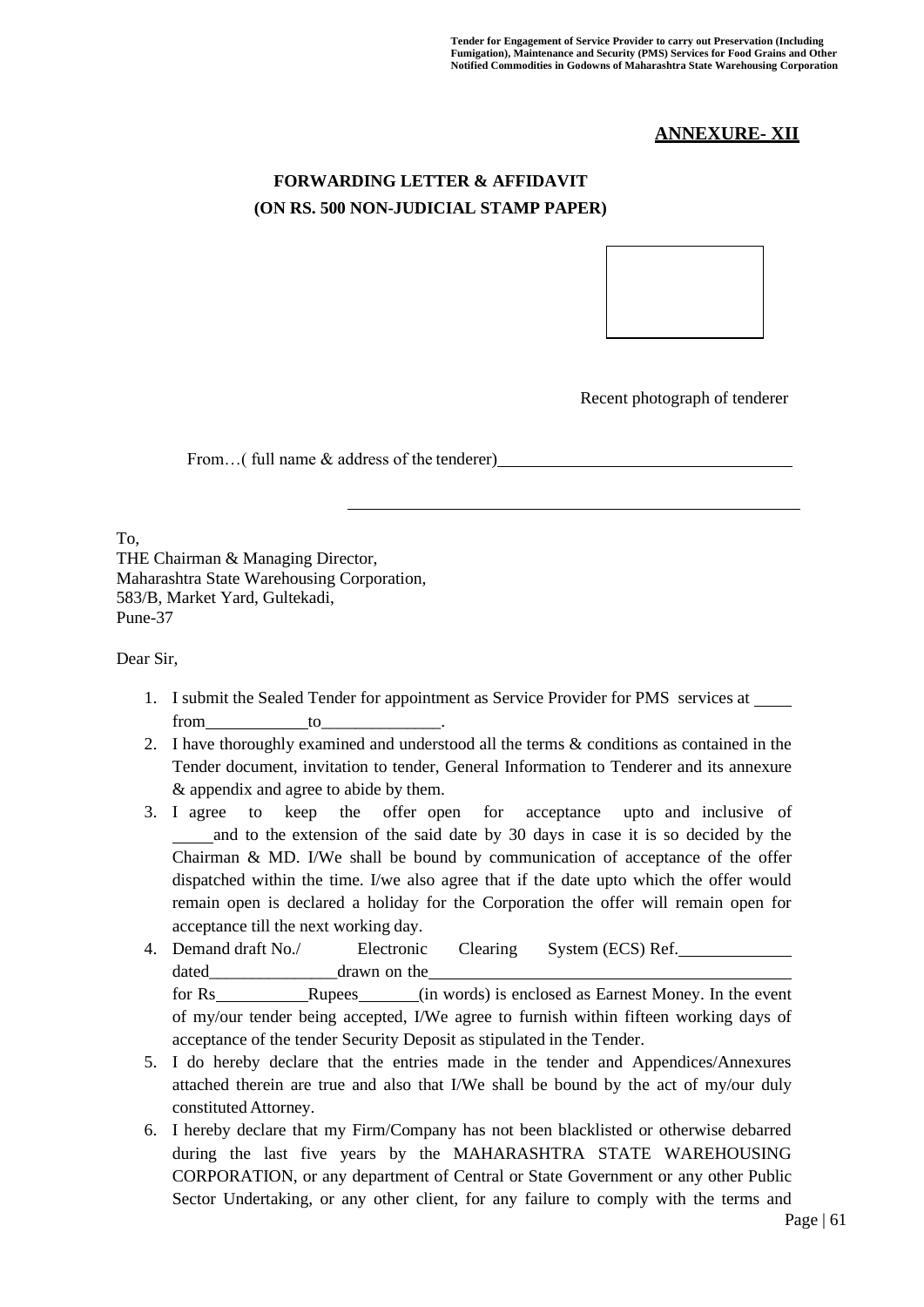### **ANNEXURE- XII**

### **FORWARDING LETTER & AFFIDAVIT (ON RS. 500 NON-JUDICIAL STAMP PAPER)**



Recent photograph of tenderer

From...( full name & address of the tenderer) has a set of the tenderer  $\sim$ 

To,

THE Chairman & Managing Director, Maharashtra State Warehousing Corporation, 583/B, Market Yard, Gultekadi, Pune-37

Dear Sir,

- 1. I submit the Sealed Tender for appointment as Service Provider for PMS services at from to
- 2. I have thoroughly examined and understood all the terms & conditions as contained in the Tender document, invitation to tender, General Information to Tenderer and its annexure & appendix and agree to abide by them.
- 3. I agree to keep the offer open for acceptance upto and inclusive of and to the extension of the said date by 30 days in case it is so decided by the Chairman  $\&$  MD. I/We shall be bound by communication of acceptance of the offer dispatched within the time. I/we also agree that if the date upto which the offer would remain open is declared a holiday for the Corporation the offer will remain open for acceptance till the next working day.
- 4. Demand draft No./ Electronic Clearing System (ECS) Ref. dated drawn on the

for Rs Rupees (in words) is enclosed as Earnest Money. In the event of my/our tender being accepted, I/We agree to furnish within fifteen working days of acceptance of the tender Security Deposit as stipulated in the Tender.

- 5. I do hereby declare that the entries made in the tender and Appendices/Annexures attached therein are true and also that I/We shall be bound by the act of my/our duly constituted Attorney.
- 6. I hereby declare that my Firm/Company has not been blacklisted or otherwise debarred during the last five years by the MAHARASHTRA STATE WAREHOUSING CORPORATION, or any department of Central or State Government or any other Public Sector Undertaking, or any other client, for any failure to comply with the terms and